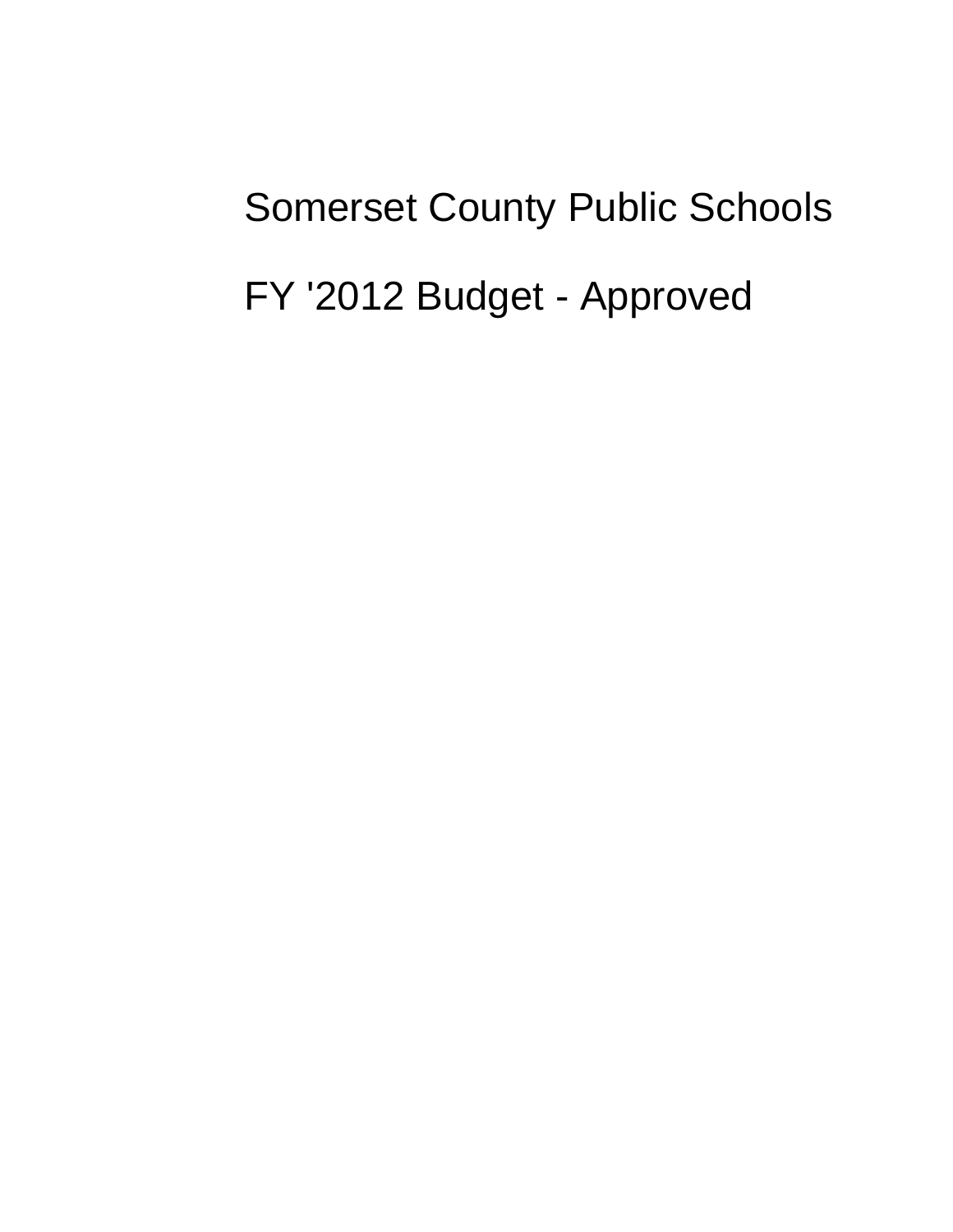## Somerset County Public Schools FY '2012 Budget - Approved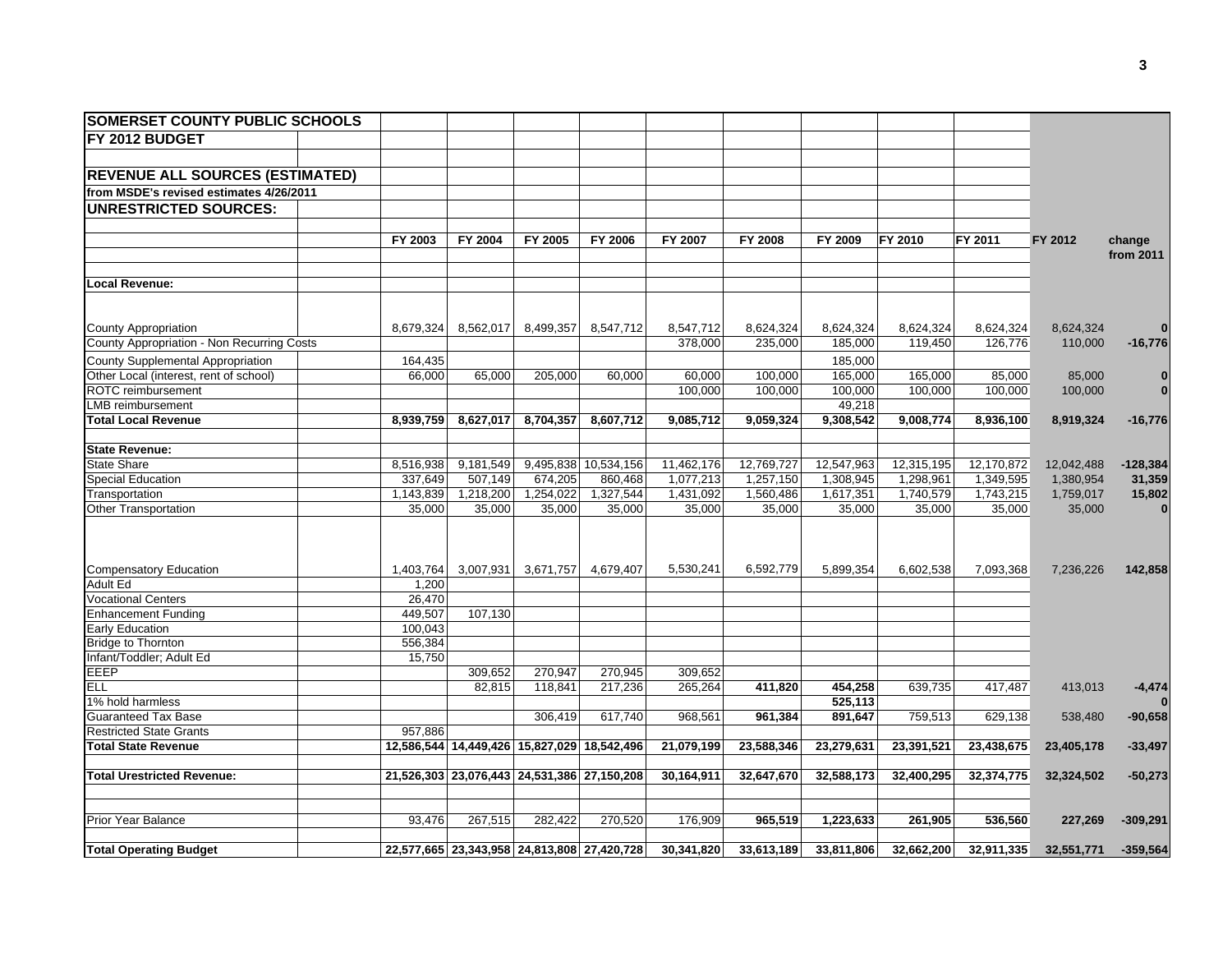| <b>SOMERSET COUNTY PUBLIC SCHOOLS</b>      |           |                                             |           |                                             |            |            |            |            |            |            |              |
|--------------------------------------------|-----------|---------------------------------------------|-----------|---------------------------------------------|------------|------------|------------|------------|------------|------------|--------------|
| FY 2012 BUDGET                             |           |                                             |           |                                             |            |            |            |            |            |            |              |
|                                            |           |                                             |           |                                             |            |            |            |            |            |            |              |
| <b>REVENUE ALL SOURCES (ESTIMATED)</b>     |           |                                             |           |                                             |            |            |            |            |            |            |              |
| from MSDE's revised estimates 4/26/2011    |           |                                             |           |                                             |            |            |            |            |            |            |              |
| <b>UNRESTRICTED SOURCES:</b>               |           |                                             |           |                                             |            |            |            |            |            |            |              |
|                                            |           |                                             |           |                                             |            |            |            |            |            |            |              |
|                                            | FY 2003   | FY 2004                                     | FY 2005   | FY 2006                                     | FY 2007    | FY 2008    | FY 2009    | FY 2010    | FY 2011    | FY 2012    | change       |
|                                            |           |                                             |           |                                             |            |            |            |            |            |            | from 2011    |
|                                            |           |                                             |           |                                             |            |            |            |            |            |            |              |
| Local Revenue:                             |           |                                             |           |                                             |            |            |            |            |            |            |              |
|                                            |           |                                             |           |                                             |            |            |            |            |            |            |              |
|                                            |           |                                             |           |                                             |            |            |            |            |            |            |              |
| <b>County Appropriation</b>                | 8,679,324 | 8,562,017                                   | 8,499,357 | 8,547,712                                   | 8,547,712  | 8,624,324  | 8,624,324  | 8,624,324  | 8,624,324  | 8,624,324  |              |
| County Appropriation - Non Recurring Costs |           |                                             |           |                                             | 378,000    | 235.000    | 185,000    | 119.450    | 126,776    | 110,000    | $-16,776$    |
| County Supplemental Appropriation          | 164,435   |                                             |           |                                             |            |            | 185,000    |            |            |            |              |
| Other Local (interest, rent of school)     | 66,000    | 65,000                                      | 205,000   | 60,000                                      | 60,000     | 100,000    | 165,000    | 165,000    | 85,000     | 85,000     | $\bf{0}$     |
| ROTC reimbursement                         |           |                                             |           |                                             | 100,000    | 100,000    | 100,000    | 100,000    | 100,000    | 100,000    | $\bf{0}$     |
| LMB reimbursement                          |           |                                             |           |                                             |            |            | 49,218     |            |            |            |              |
| <b>Total Local Revenue</b>                 | 8,939,759 | 8,627,017                                   | 8,704,357 | 8,607,712                                   | 9,085,712  | 9,059,324  | 9,308,542  | 9,008,774  | 8,936,100  | 8,919,324  | $-16,776$    |
|                                            |           |                                             |           |                                             |            |            |            |            |            |            |              |
| <b>State Revenue:</b>                      |           |                                             |           |                                             |            |            |            |            |            |            |              |
| <b>State Share</b>                         | 8,516,938 | 9,181,549                                   |           | 9,495,838 10,534,156                        | 11,462,176 | 12,769,727 | 12,547,963 | 12,315,195 | 12,170,872 | 12,042,488 | $-128,384$   |
| <b>Special Education</b>                   | 337,649   | 507,149                                     | 674,205   | 860,468                                     | 1,077,213  | 1,257,150  | 1,308,945  | 1,298,961  | 1,349,595  | 1,380,954  | 31,359       |
| Transportation                             | 1,143,839 | 1,218,200                                   | 1,254,022 | 1,327,544                                   | 1,431,092  | 1,560,486  | 1,617,351  | 1,740,579  | 1,743,215  | 1,759,017  | 15,802       |
| Other Transportation                       | 35,000    | 35,000                                      | 35,000    | 35,000                                      | 35,000     | 35,000     | 35,000     | 35,000     | 35,000     | 35,000     | $\mathbf{0}$ |
|                                            |           |                                             |           |                                             |            |            |            |            |            |            |              |
|                                            |           |                                             |           |                                             |            |            |            |            |            |            |              |
|                                            |           |                                             |           |                                             |            |            |            |            |            |            |              |
| <b>Compensatory Education</b>              | 1,403,764 |                                             |           | 3,007,931 3,671,757 4,679,407               | 5.530.241  | 6.592.779  | 5.899.354  | 6,602,538  | 7,093,368  | 7,236,226  | 142,858      |
| <b>Adult Ed</b>                            | 1,200     |                                             |           |                                             |            |            |            |            |            |            |              |
| <b>Vocational Centers</b>                  | 26,470    |                                             |           |                                             |            |            |            |            |            |            |              |
| <b>Enhancement Funding</b>                 | 449,507   | 107,130                                     |           |                                             |            |            |            |            |            |            |              |
| Early Education                            | 100,043   |                                             |           |                                             |            |            |            |            |            |            |              |
| <b>Bridge to Thornton</b>                  | 556,384   |                                             |           |                                             |            |            |            |            |            |            |              |
| Infant/Toddler; Adult Ed                   | 15,750    |                                             |           |                                             |            |            |            |            |            |            |              |
| EEEP                                       |           | 309,652                                     | 270,947   | 270,945                                     | 309,652    |            |            |            |            |            |              |
| <b>ELL</b>                                 |           | 82,815                                      | 118,841   | 217,236                                     | 265,264    | 411,820    | 454,258    | 639,735    | 417,487    | 413,013    | $-4,474$     |
| 1% hold harmless                           |           |                                             |           |                                             |            |            | 525,113    |            |            |            |              |
| <b>Guaranteed Tax Base</b>                 |           |                                             | 306,419   | 617,740                                     | 968,561    | 961,384    | 891,647    | 759,513    | 629,138    | 538,480    | $-90,658$    |
| <b>Restricted State Grants</b>             | 957,886   |                                             |           |                                             |            |            |            |            |            |            |              |
| <b>Total State Revenue</b>                 |           | 12,586,544 14,449,426 15,827,029 18,542,496 |           |                                             | 21,079,199 | 23,588,346 | 23,279,631 | 23,391,521 | 23,438,675 | 23,405,178 | $-33,497$    |
|                                            |           |                                             |           |                                             |            |            |            |            |            |            |              |
| <b>Total Urestricted Revenue:</b>          |           | 21,526,303 23,076,443 24,531,386 27,150,208 |           |                                             | 30,164,911 | 32,647,670 | 32,588,173 | 32,400,295 | 32,374,775 | 32,324,502 | $-50,273$    |
|                                            |           |                                             |           |                                             |            |            |            |            |            |            |              |
| Prior Year Balance                         | 93,476    | 267,515                                     | 282,422   | 270,520                                     | 176,909    | 965,519    | 1,223,633  | 261,905    | 536,560    |            |              |
|                                            |           |                                             |           |                                             |            |            |            |            |            | 227,269    | $-309,291$   |
| <b>Total Operating Budget</b>              |           |                                             |           | 22,577,665 23,343,958 24,813,808 27,420,728 | 30,341,820 | 33,613,189 | 33,811,806 | 32,662,200 | 32,911,335 | 32,551,771 | $-359,564$   |
|                                            |           |                                             |           |                                             |            |            |            |            |            |            |              |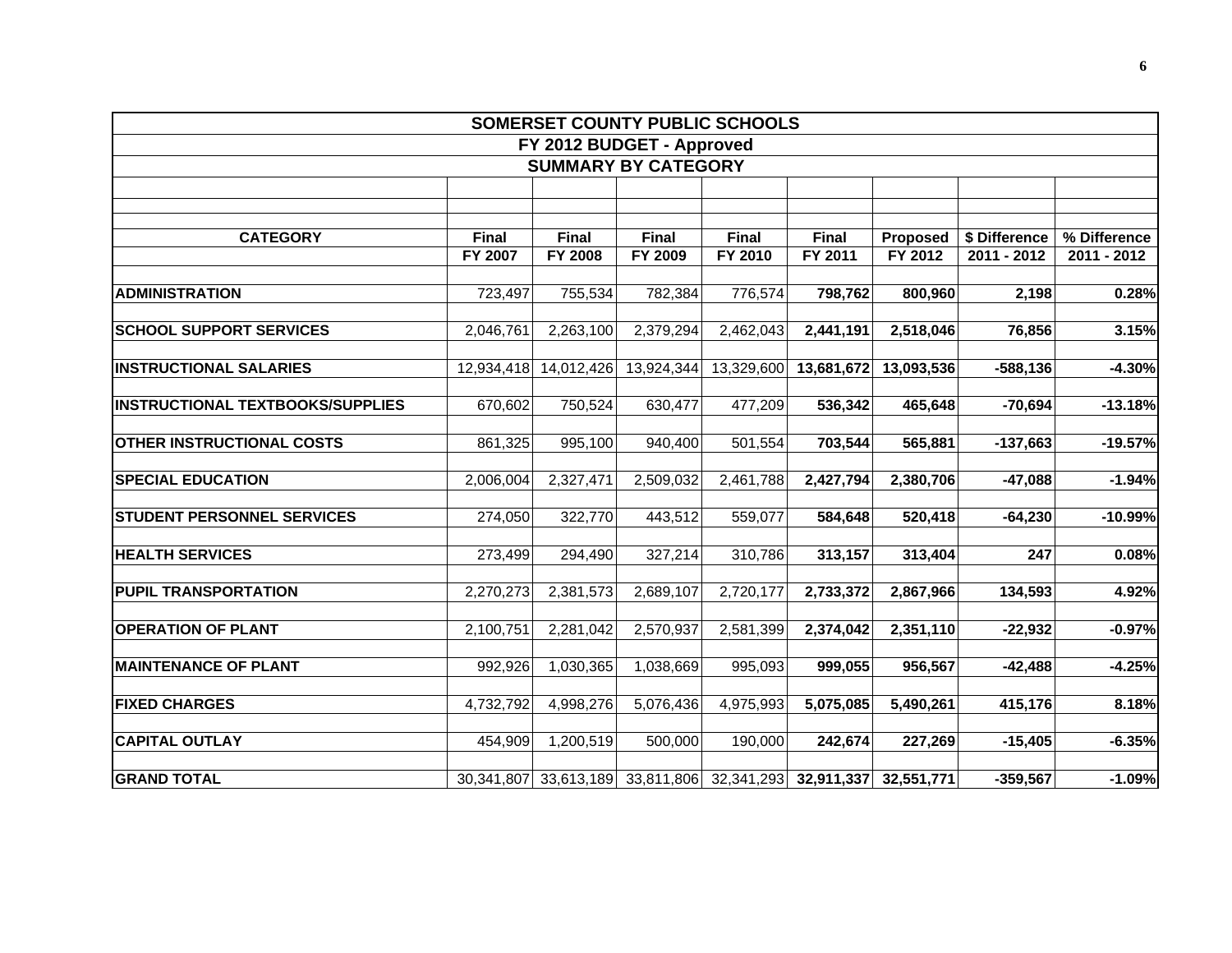| <b>SOMERSET COUNTY PUBLIC SCHOOLS</b>   |            |            |                            |                                                        |              |            |               |              |  |  |  |  |
|-----------------------------------------|------------|------------|----------------------------|--------------------------------------------------------|--------------|------------|---------------|--------------|--|--|--|--|
| FY 2012 BUDGET - Approved               |            |            |                            |                                                        |              |            |               |              |  |  |  |  |
|                                         |            |            | <b>SUMMARY BY CATEGORY</b> |                                                        |              |            |               |              |  |  |  |  |
|                                         |            |            |                            |                                                        |              |            |               |              |  |  |  |  |
|                                         |            |            |                            |                                                        |              |            |               |              |  |  |  |  |
| <b>CATEGORY</b>                         | Final      | Final      | Final                      | Final                                                  | <b>Final</b> | Proposed   | \$ Difference | % Difference |  |  |  |  |
|                                         | FY 2007    | FY 2008    | FY 2009                    | FY 2010                                                | FY 2011      | FY 2012    | 2011 - 2012   | 2011 - 2012  |  |  |  |  |
|                                         |            |            |                            |                                                        |              |            |               |              |  |  |  |  |
| <b>ADMINISTRATION</b>                   | 723,497    | 755,534    | 782,384                    | 776,574                                                | 798,762      | 800,960    | 2,198         | 0.28%        |  |  |  |  |
|                                         |            |            |                            |                                                        |              |            |               |              |  |  |  |  |
| <b>SCHOOL SUPPORT SERVICES</b>          | 2,046,761  | 2,263,100  | 2,379,294                  | 2,462,043                                              | 2,441,191    | 2,518,046  | 76,856        | 3.15%        |  |  |  |  |
| <b>INSTRUCTIONAL SALARIES</b>           | 12,934,418 | 14,012,426 | 13,924,344                 | 13,329,600                                             | 13,681,672   | 13,093,536 | $-588,136$    | $-4.30%$     |  |  |  |  |
|                                         |            |            |                            |                                                        |              |            |               |              |  |  |  |  |
| <b>INSTRUCTIONAL TEXTBOOKS/SUPPLIES</b> | 670,602    | 750,524    | 630,477                    | 477,209                                                | 536,342      | 465,648    | $-70,694$     | $-13.18%$    |  |  |  |  |
|                                         |            |            |                            |                                                        |              |            |               |              |  |  |  |  |
| <b>OTHER INSTRUCTIONAL COSTS</b>        | 861,325    | 995,100    | 940,400                    | 501,554                                                | 703,544      | 565,881    | $-137,663$    | $-19.57%$    |  |  |  |  |
|                                         |            |            |                            |                                                        |              |            |               |              |  |  |  |  |
| <b>SPECIAL EDUCATION</b>                | 2,006,004  | 2,327,471  | 2,509,032                  | 2,461,788                                              | 2,427,794    | 2,380,706  | $-47,088$     | $-1.94%$     |  |  |  |  |
| <b>STUDENT PERSONNEL SERVICES</b>       | 274,050    | 322,770    | 443,512                    | 559,077                                                | 584,648      | 520,418    | $-64,230$     | $-10.99%$    |  |  |  |  |
|                                         |            |            |                            |                                                        |              |            |               |              |  |  |  |  |
| <b>HEALTH SERVICES</b>                  | 273,499    | 294,490    | 327,214                    | 310,786                                                | 313,157      | 313,404    | 247           | 0.08%        |  |  |  |  |
|                                         |            |            |                            |                                                        |              |            |               |              |  |  |  |  |
| <b>PUPIL TRANSPORTATION</b>             | 2,270,273  | 2,381,573  | 2,689,107                  | 2,720,177                                              | 2,733,372    | 2,867,966  | 134,593       | 4.92%        |  |  |  |  |
|                                         |            |            |                            |                                                        |              |            |               |              |  |  |  |  |
| <b>OPERATION OF PLANT</b>               | 2,100,751  | 2,281,042  | 2,570,937                  | 2,581,399                                              | 2,374,042    | 2,351,110  | $-22,932$     | $-0.97%$     |  |  |  |  |
| <b>MAINTENANCE OF PLANT</b>             | 992,926    | 1,030,365  | 1,038,669                  | 995,093                                                | 999,055      | 956,567    | $-42,488$     | $-4.25%$     |  |  |  |  |
|                                         |            |            |                            |                                                        |              |            |               |              |  |  |  |  |
| <b>FIXED CHARGES</b>                    | 4,732,792  | 4,998,276  | 5,076,436                  | 4,975,993                                              | 5,075,085    | 5,490,261  | 415,176       | 8.18%        |  |  |  |  |
|                                         |            |            |                            |                                                        |              |            |               |              |  |  |  |  |
| <b>CAPITAL OUTLAY</b>                   | 454,909    | 1,200,519  | 500,000                    | 190,000                                                | 242,674      | 227,269    | $-15,405$     | $-6.35%$     |  |  |  |  |
|                                         |            |            |                            |                                                        |              |            |               |              |  |  |  |  |
| <b>GRAND TOTAL</b>                      |            |            |                            | 30,341,807 33,613,189 33,811,806 32,341,293 32,911,337 |              | 32,551,771 | $-359,567$    | $-1.09%$     |  |  |  |  |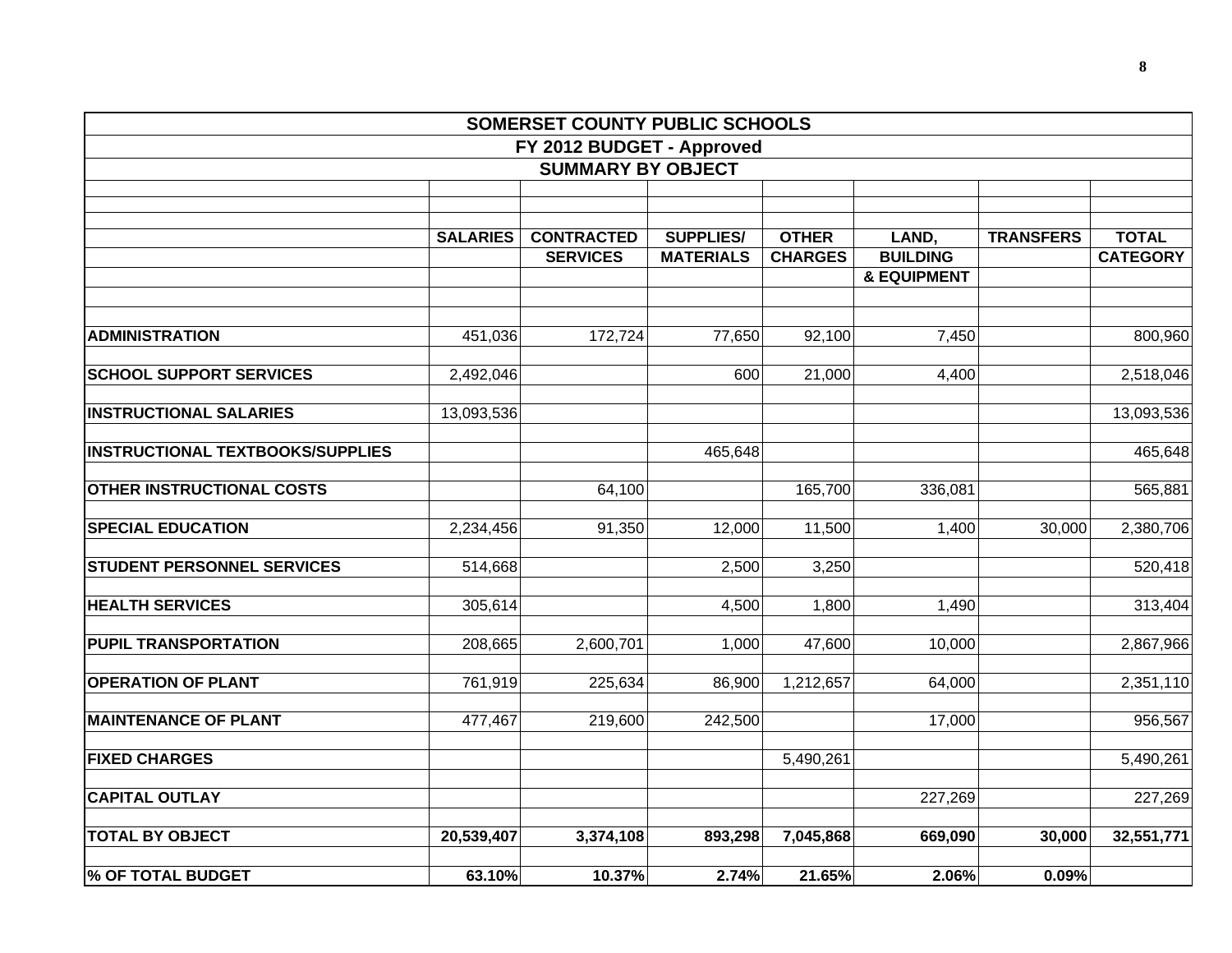|                                         |                 | SOMERSET COUNTY PUBLIC SCHOOLS |                  |                |                        |                  |                 |
|-----------------------------------------|-----------------|--------------------------------|------------------|----------------|------------------------|------------------|-----------------|
|                                         |                 | FY 2012 BUDGET - Approved      |                  |                |                        |                  |                 |
|                                         |                 | <b>SUMMARY BY OBJECT</b>       |                  |                |                        |                  |                 |
|                                         |                 |                                |                  |                |                        |                  |                 |
|                                         |                 |                                |                  |                |                        |                  |                 |
|                                         | <b>SALARIES</b> | <b>CONTRACTED</b>              | <b>SUPPLIES/</b> | <b>OTHER</b>   | LAND,                  | <b>TRANSFERS</b> | <b>TOTAL</b>    |
|                                         |                 | <b>SERVICES</b>                | <b>MATERIALS</b> | <b>CHARGES</b> | <b>BUILDING</b>        |                  | <b>CATEGORY</b> |
|                                         |                 |                                |                  |                | <b>&amp; EQUIPMENT</b> |                  |                 |
| <b>ADMINISTRATION</b>                   | 451,036         | 172,724                        | 77,650           | 92,100         | 7,450                  |                  | 800,960         |
| <b>SCHOOL SUPPORT SERVICES</b>          | 2,492,046       |                                | 600              | 21,000         | 4,400                  |                  | 2,518,046       |
| <b>INSTRUCTIONAL SALARIES</b>           | 13,093,536      |                                |                  |                |                        |                  | 13,093,536      |
| <b>INSTRUCTIONAL TEXTBOOKS/SUPPLIES</b> |                 |                                | 465,648          |                |                        |                  | 465,648         |
| <b>OTHER INSTRUCTIONAL COSTS</b>        |                 | 64,100                         |                  | 165,700        | 336,081                |                  | 565,881         |
| <b>SPECIAL EDUCATION</b>                | 2,234,456       | 91,350                         | 12,000           | 11,500         | 1,400                  | 30,000           | 2,380,706       |
| <b>STUDENT PERSONNEL SERVICES</b>       | 514,668         |                                | 2,500            | 3,250          |                        |                  | 520,418         |
| <b>HEALTH SERVICES</b>                  | 305,614         |                                | 4,500            | 1,800          | 1,490                  |                  | 313,404         |
| <b>PUPIL TRANSPORTATION</b>             | 208,665         | 2,600,701                      | 1,000            | 47,600         | 10,000                 |                  | 2,867,966       |
| <b>OPERATION OF PLANT</b>               | 761,919         | 225,634                        | 86,900           | 1,212,657      | 64,000                 |                  | 2,351,110       |
| <b>MAINTENANCE OF PLANT</b>             | 477,467         | 219,600                        | 242,500          |                | 17,000                 |                  | 956,567         |
| <b>FIXED CHARGES</b>                    |                 |                                |                  | 5,490,261      |                        |                  | 5,490,261       |
| <b>CAPITAL OUTLAY</b>                   |                 |                                |                  |                | 227,269                |                  | 227,269         |
| <b>TOTAL BY OBJECT</b>                  | 20,539,407      | 3,374,108                      | 893,298          | 7,045,868      | 669,090                | 30,000           | 32,551,771      |
| <b>% OF TOTAL BUDGET</b>                | 63.10%          | 10.37%                         | 2.74%            | 21.65%         | 2.06%                  | 0.09%            |                 |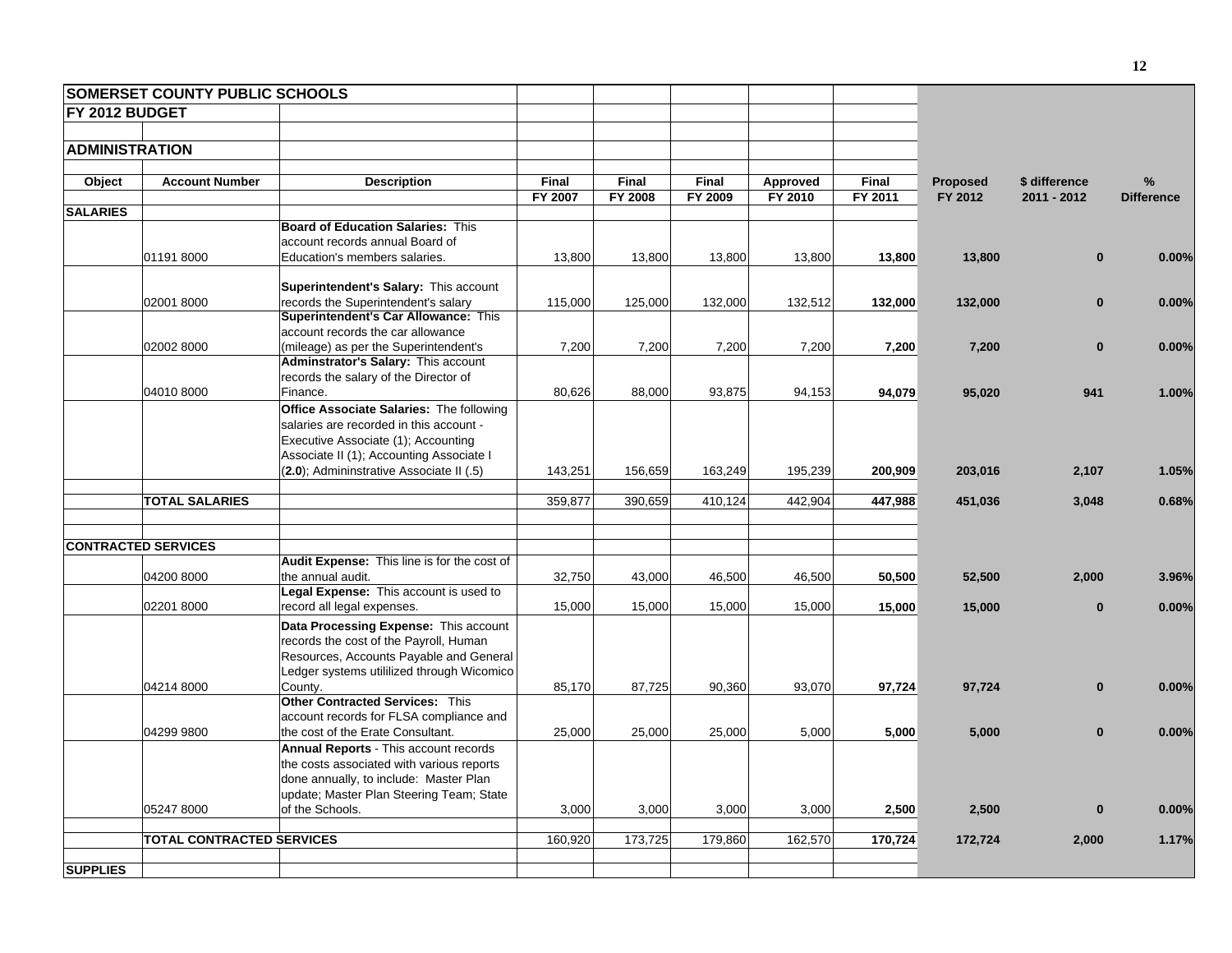|                       | <b>SOMERSET COUNTY PUBLIC SCHOOLS</b> |                                                                           |              |         |         |          |              |                 |               |                   |
|-----------------------|---------------------------------------|---------------------------------------------------------------------------|--------------|---------|---------|----------|--------------|-----------------|---------------|-------------------|
| FY 2012 BUDGET        |                                       |                                                                           |              |         |         |          |              |                 |               |                   |
|                       |                                       |                                                                           |              |         |         |          |              |                 |               |                   |
| <b>ADMINISTRATION</b> |                                       |                                                                           |              |         |         |          |              |                 |               |                   |
|                       |                                       |                                                                           |              |         |         |          |              |                 |               |                   |
| Object                | <b>Account Number</b>                 | <b>Description</b>                                                        | <b>Final</b> | Final   | Final   | Approved | <b>Final</b> | <b>Proposed</b> | \$ difference | %                 |
| <b>SALARIES</b>       |                                       |                                                                           | FY 2007      | FY 2008 | FY 2009 | FY 2010  | FY 2011      | FY 2012         | 2011 - 2012   | <b>Difference</b> |
|                       |                                       | <b>Board of Education Salaries: This</b>                                  |              |         |         |          |              |                 |               |                   |
|                       |                                       | account records annual Board of                                           |              |         |         |          |              |                 |               |                   |
|                       | 011918000                             | Education's members salaries.                                             | 13,800       | 13,800  | 13,800  | 13,800   | 13,800       | 13,800          | $\mathbf{0}$  | 0.00%             |
|                       |                                       |                                                                           |              |         |         |          |              |                 |               |                   |
|                       |                                       | Superintendent's Salary: This account                                     |              |         |         |          |              |                 |               |                   |
|                       | 02001 8000                            | records the Superintendent's salary                                       | 115,000      | 125,000 | 132,000 | 132,512  | 132,000      | 132,000         | $\mathbf{0}$  | 0.00%             |
|                       |                                       | Superintendent's Car Allowance: This<br>account records the car allowance |              |         |         |          |              |                 |               |                   |
|                       | 02002 8000                            | (mileage) as per the Superintendent's                                     | 7,200        | 7,200   | 7,200   | 7,200    | 7,200        | 7,200           | $\bf{0}$      | 0.00%             |
|                       |                                       | Adminstrator's Salary: This account                                       |              |         |         |          |              |                 |               |                   |
|                       |                                       | records the salary of the Director of                                     |              |         |         |          |              |                 |               |                   |
|                       | 04010 8000                            | Finance.                                                                  | 80,626       | 88,000  | 93,875  | 94,153   | 94,079       | 95,020          | 941           | 1.00%             |
|                       |                                       | Office Associate Salaries: The following                                  |              |         |         |          |              |                 |               |                   |
|                       |                                       | salaries are recorded in this account -                                   |              |         |         |          |              |                 |               |                   |
|                       |                                       | Executive Associate (1); Accounting                                       |              |         |         |          |              |                 |               |                   |
|                       |                                       | Associate II (1); Accounting Associate I                                  |              |         |         |          |              |                 |               |                   |
|                       |                                       | (2.0); Admininstrative Associate II (.5)                                  | 143,251      | 156,659 | 163,249 | 195,239  | 200,909      | 203,016         | 2,107         | 1.05%             |
|                       | <b>TOTAL SALARIES</b>                 |                                                                           | 359,877      | 390,659 | 410,124 | 442,904  | 447,988      | 451,036         | 3,048         | 0.68%             |
|                       |                                       |                                                                           |              |         |         |          |              |                 |               |                   |
|                       | <b>CONTRACTED SERVICES</b>            |                                                                           |              |         |         |          |              |                 |               |                   |
|                       |                                       | Audit Expense: This line is for the cost of                               |              |         |         |          |              |                 |               |                   |
|                       | 04200 8000                            | the annual audit.                                                         | 32,750       | 43,000  | 46,500  | 46,500   | 50,500       | 52,500          | 2,000         | 3.96%             |
|                       |                                       | Legal Expense: This account is used to                                    |              |         |         |          |              |                 |               |                   |
|                       | 02201 8000                            | record all legal expenses.                                                | 15,000       | 15,000  | 15,000  | 15,000   | 15,000       | 15,000          | $\bf{0}$      | 0.00%             |
|                       |                                       | Data Processing Expense: This account                                     |              |         |         |          |              |                 |               |                   |
|                       |                                       | records the cost of the Payroll, Human                                    |              |         |         |          |              |                 |               |                   |
|                       |                                       | Resources, Accounts Payable and General                                   |              |         |         |          |              |                 |               |                   |
|                       |                                       | Ledger systems utililized through Wicomico                                |              |         |         |          |              |                 |               |                   |
|                       | 04214 8000                            | County.<br><b>Other Contracted Services: This</b>                         | 85,170       | 87,725  | 90,360  | 93,070   | 97,724       | 97,724          | $\mathbf{0}$  | 0.00%             |
|                       |                                       | account records for FLSA compliance and                                   |              |         |         |          |              |                 |               |                   |
|                       | 04299 9800                            | the cost of the Erate Consultant.                                         | 25,000       | 25,000  | 25,000  | 5,000    | 5,000        | 5,000           | $\bf{0}$      | 0.00%             |
|                       |                                       | Annual Reports - This account records                                     |              |         |         |          |              |                 |               |                   |
|                       |                                       | the costs associated with various reports                                 |              |         |         |          |              |                 |               |                   |
|                       |                                       | done annually, to include: Master Plan                                    |              |         |         |          |              |                 |               |                   |
|                       |                                       | update; Master Plan Steering Team; State                                  |              |         |         |          |              |                 |               |                   |
|                       | 05247 8000                            | of the Schools.                                                           | 3,000        | 3,000   | 3,000   | 3,000    | 2,500        | 2,500           | $\bf{0}$      | 0.00%             |
|                       |                                       |                                                                           |              |         |         |          |              |                 |               |                   |
|                       | <b>TOTAL CONTRACTED SERVICES</b>      |                                                                           | 160,920      | 173,725 | 179,860 | 162,570  | 170,724      | 172,724         | 2,000         | 1.17%             |
| <b>SUPPLIES</b>       |                                       |                                                                           |              |         |         |          |              |                 |               |                   |
|                       |                                       |                                                                           |              |         |         |          |              |                 |               |                   |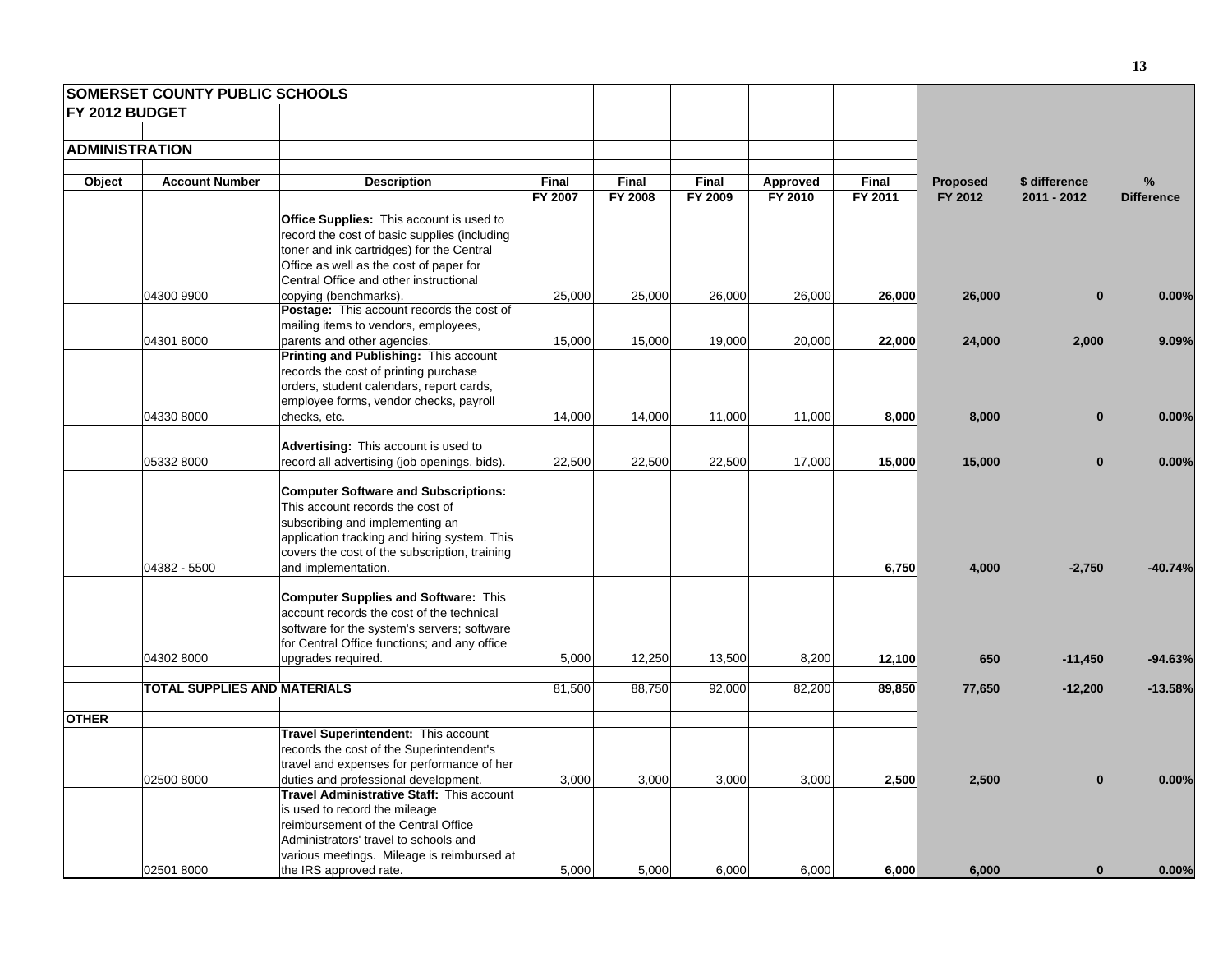|                       | <b>SOMERSET COUNTY PUBLIC SCHOOLS</b> |                                                                                          |              |                |         |          |              |                 |               |                   |
|-----------------------|---------------------------------------|------------------------------------------------------------------------------------------|--------------|----------------|---------|----------|--------------|-----------------|---------------|-------------------|
| FY 2012 BUDGET        |                                       |                                                                                          |              |                |         |          |              |                 |               |                   |
|                       |                                       |                                                                                          |              |                |         |          |              |                 |               |                   |
| <b>ADMINISTRATION</b> |                                       |                                                                                          |              |                |         |          |              |                 |               |                   |
|                       |                                       |                                                                                          |              |                |         |          |              |                 |               |                   |
| Object                | <b>Account Number</b>                 | <b>Description</b>                                                                       | <b>Final</b> | Final          | Final   | Approved | <b>Final</b> | <b>Proposed</b> | \$ difference | %                 |
|                       |                                       |                                                                                          | FY 2007      | <b>FY 2008</b> | FY 2009 | FY 2010  | FY 2011      | FY 2012         | 2011 - 2012   | <b>Difference</b> |
|                       |                                       | <b>Office Supplies:</b> This account is used to                                          |              |                |         |          |              |                 |               |                   |
|                       |                                       | record the cost of basic supplies (including                                             |              |                |         |          |              |                 |               |                   |
|                       |                                       | toner and ink cartridges) for the Central                                                |              |                |         |          |              |                 |               |                   |
|                       |                                       | Office as well as the cost of paper for                                                  |              |                |         |          |              |                 |               |                   |
|                       |                                       | Central Office and other instructional                                                   |              |                |         |          |              |                 |               |                   |
|                       | 04300 9900                            | copying (benchmarks).                                                                    | 25,000       | 25,000         | 26,000  | 26,000   | 26,000       | 26,000          | $\bf{0}$      | 0.00%             |
|                       |                                       | Postage: This account records the cost of                                                |              |                |         |          |              |                 |               |                   |
|                       |                                       | mailing items to vendors, employees,                                                     |              |                |         |          |              |                 |               |                   |
|                       | 04301 8000                            | parents and other agencies.                                                              | 15,000       | 15,000         | 19,000  | 20,000   | 22,000       | 24,000          | 2,000         | 9.09%             |
|                       |                                       | Printing and Publishing: This account                                                    |              |                |         |          |              |                 |               |                   |
|                       |                                       | records the cost of printing purchase                                                    |              |                |         |          |              |                 |               |                   |
|                       |                                       | orders, student calendars, report cards,                                                 |              |                |         |          |              |                 |               |                   |
|                       |                                       | employee forms, vendor checks, payroll                                                   |              |                |         |          |              |                 |               |                   |
|                       | 04330 8000                            | checks, etc.                                                                             | 14,000       | 14,000         | 11,000  | 11,000   | 8,000        | 8,000           | $\bf{0}$      | 0.00%             |
|                       |                                       | Advertising: This account is used to                                                     |              |                |         |          |              |                 |               |                   |
|                       | 05332 8000                            | record all advertising (job openings, bids).                                             | 22,500       | 22,500         | 22,500  | 17,000   | 15,000       | 15,000          | $\bf{0}$      | 0.00%             |
|                       |                                       |                                                                                          |              |                |         |          |              |                 |               |                   |
|                       |                                       | <b>Computer Software and Subscriptions:</b>                                              |              |                |         |          |              |                 |               |                   |
|                       |                                       | This account records the cost of                                                         |              |                |         |          |              |                 |               |                   |
|                       |                                       | subscribing and implementing an                                                          |              |                |         |          |              |                 |               |                   |
|                       |                                       | application tracking and hiring system. This                                             |              |                |         |          |              |                 |               |                   |
|                       |                                       | covers the cost of the subscription, training                                            |              |                |         |          |              |                 |               |                   |
|                       | 04382 - 5500                          | and implementation.                                                                      |              |                |         |          | 6,750        | 4,000           | $-2,750$      | $-40.74%$         |
|                       |                                       |                                                                                          |              |                |         |          |              |                 |               |                   |
|                       |                                       | <b>Computer Supplies and Software: This</b><br>account records the cost of the technical |              |                |         |          |              |                 |               |                   |
|                       |                                       | software for the system's servers; software                                              |              |                |         |          |              |                 |               |                   |
|                       |                                       | for Central Office functions; and any office                                             |              |                |         |          |              |                 |               |                   |
|                       | 04302 8000                            | upgrades required.                                                                       | 5,000        | 12,250         | 13,500  | 8,200    | 12,100       | 650             | $-11,450$     | $-94.63%$         |
|                       |                                       |                                                                                          |              |                |         |          |              |                 |               |                   |
|                       | TOTAL SUPPLIES AND MATERIALS          |                                                                                          | 81,500       | 88,750         | 92,000  | 82,200   | 89,850       | 77,650          | $-12,200$     | $-13.58%$         |
|                       |                                       |                                                                                          |              |                |         |          |              |                 |               |                   |
| <b>OTHER</b>          |                                       | Travel Superintendent: This account                                                      |              |                |         |          |              |                 |               |                   |
|                       |                                       | records the cost of the Superintendent's                                                 |              |                |         |          |              |                 |               |                   |
|                       |                                       | travel and expenses for performance of her                                               |              |                |         |          |              |                 |               |                   |
|                       | 02500 8000                            | duties and professional development.                                                     | 3,000        | 3,000          | 3,000   | 3,000    | 2,500        | 2,500           | $\mathbf{0}$  | 0.00%             |
|                       |                                       | Travel Administrative Staff: This account                                                |              |                |         |          |              |                 |               |                   |
|                       |                                       | is used to record the mileage                                                            |              |                |         |          |              |                 |               |                   |
|                       |                                       | reimbursement of the Central Office                                                      |              |                |         |          |              |                 |               |                   |
|                       |                                       | Administrators' travel to schools and                                                    |              |                |         |          |              |                 |               |                   |
|                       |                                       | various meetings. Mileage is reimbursed at                                               |              |                |         |          |              |                 |               |                   |
|                       | 02501 8000                            | the IRS approved rate.                                                                   | 5,000        | 5,000          | 6,000   | 6,000    | 6,000        | 6,000           | $\bf{0}$      | 0.00%             |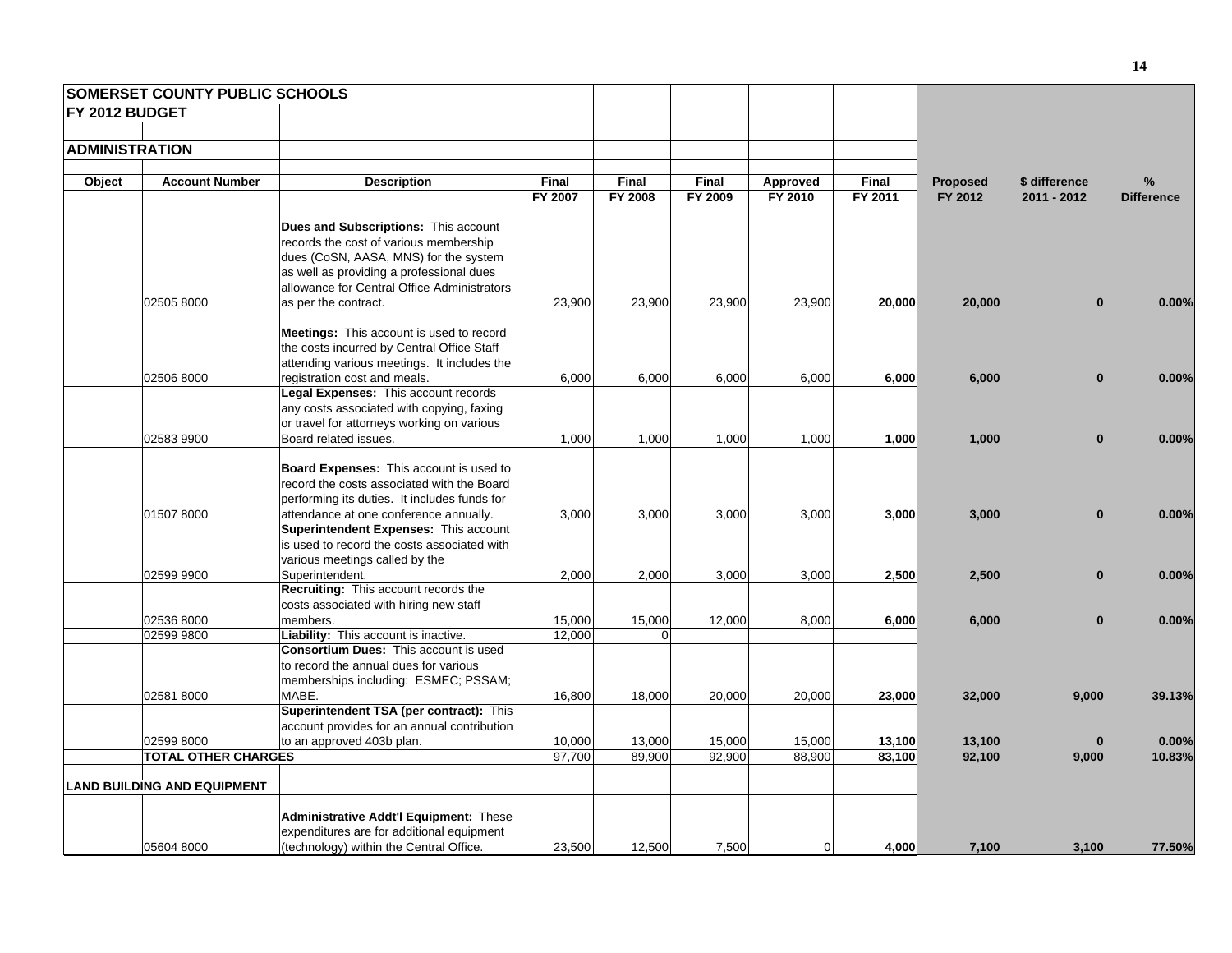|                       | <b>SOMERSET COUNTY PUBLIC SCHOOLS</b>    |                                                                                         |                  |                  |                  |                  |                  |                  |                   |                   |
|-----------------------|------------------------------------------|-----------------------------------------------------------------------------------------|------------------|------------------|------------------|------------------|------------------|------------------|-------------------|-------------------|
| FY 2012 BUDGET        |                                          |                                                                                         |                  |                  |                  |                  |                  |                  |                   |                   |
|                       |                                          |                                                                                         |                  |                  |                  |                  |                  |                  |                   |                   |
| <b>ADMINISTRATION</b> |                                          |                                                                                         |                  |                  |                  |                  |                  |                  |                   |                   |
|                       |                                          |                                                                                         |                  |                  |                  |                  |                  |                  |                   |                   |
| Object                | <b>Account Number</b>                    | <b>Description</b>                                                                      | Final            | Final            | Final            | Approved         | <b>Final</b>     | <b>Proposed</b>  | \$ difference     | %                 |
|                       |                                          |                                                                                         | FY 2007          | FY 2008          | FY 2009          | FY 2010          | FY 2011          | FY 2012          | 2011 - 2012       | <b>Difference</b> |
|                       |                                          |                                                                                         |                  |                  |                  |                  |                  |                  |                   |                   |
|                       |                                          | <b>Dues and Subscriptions: This account</b>                                             |                  |                  |                  |                  |                  |                  |                   |                   |
|                       |                                          | records the cost of various membership                                                  |                  |                  |                  |                  |                  |                  |                   |                   |
|                       |                                          | dues (CoSN, AASA, MNS) for the system                                                   |                  |                  |                  |                  |                  |                  |                   |                   |
|                       |                                          | as well as providing a professional dues                                                |                  |                  |                  |                  |                  |                  |                   |                   |
|                       |                                          | allowance for Central Office Administrators                                             |                  |                  |                  |                  |                  |                  |                   |                   |
|                       | 02505 8000                               | as per the contract.                                                                    | 23,900           | 23,900           | 23,900           | 23,900           | 20,000           | 20,000           | $\bf{0}$          | 0.00%             |
|                       |                                          |                                                                                         |                  |                  |                  |                  |                  |                  |                   |                   |
|                       |                                          | Meetings: This account is used to record                                                |                  |                  |                  |                  |                  |                  |                   |                   |
|                       |                                          | the costs incurred by Central Office Staff                                              |                  |                  |                  |                  |                  |                  |                   |                   |
|                       |                                          | attending various meetings. It includes the                                             |                  |                  |                  |                  |                  |                  |                   |                   |
|                       | 02506 8000                               | registration cost and meals.                                                            | 6,000            | 6,000            | 6,000            | 6,000            | 6,000            | 6,000            | $\mathbf{0}$      | 0.00%             |
|                       |                                          | Legal Expenses: This account records                                                    |                  |                  |                  |                  |                  |                  |                   |                   |
|                       |                                          | any costs associated with copying, faxing<br>or travel for attorneys working on various |                  |                  |                  |                  |                  |                  |                   |                   |
|                       | 02583 9900                               | Board related issues.                                                                   | 1,000            | 1,000            | 1,000            | 1,000            | 1,000            | 1,000            | $\mathbf{0}$      | 0.00%             |
|                       |                                          |                                                                                         |                  |                  |                  |                  |                  |                  |                   |                   |
|                       |                                          | Board Expenses: This account is used to                                                 |                  |                  |                  |                  |                  |                  |                   |                   |
|                       |                                          | record the costs associated with the Board                                              |                  |                  |                  |                  |                  |                  |                   |                   |
|                       |                                          | performing its duties. It includes funds for                                            |                  |                  |                  |                  |                  |                  |                   |                   |
|                       | 01507 8000                               | attendance at one conference annually.                                                  | 3,000            | 3,000            | 3,000            | 3,000            | 3,000            | 3,000            | $\bf{0}$          | 0.00%             |
|                       |                                          | Superintendent Expenses: This account                                                   |                  |                  |                  |                  |                  |                  |                   |                   |
|                       |                                          | is used to record the costs associated with                                             |                  |                  |                  |                  |                  |                  |                   |                   |
|                       |                                          | various meetings called by the                                                          |                  |                  |                  |                  |                  |                  |                   |                   |
|                       | 02599 9900                               | Superintendent.                                                                         | 2,000            | 2,000            | 3,000            | 3,000            | 2,500            | 2,500            | $\bf{0}$          | 0.00%             |
|                       |                                          | Recruiting: This account records the                                                    |                  |                  |                  |                  |                  |                  |                   |                   |
|                       |                                          | costs associated with hiring new staff                                                  |                  |                  |                  |                  |                  |                  |                   |                   |
|                       | 02536 8000                               | members.                                                                                | 15,000           | 15,000           | 12,000           | 8,000            | 6,000            | 6,000            | $\mathbf{0}$      | 0.00%             |
|                       | 02599 9800                               | Liability: This account is inactive.                                                    | 12,000           | $\Omega$         |                  |                  |                  |                  |                   |                   |
|                       |                                          | <b>Consortium Dues: This account is used</b>                                            |                  |                  |                  |                  |                  |                  |                   |                   |
|                       |                                          | to record the annual dues for various                                                   |                  |                  |                  |                  |                  |                  |                   |                   |
|                       |                                          | memberships including: ESMEC; PSSAM;                                                    |                  |                  |                  |                  |                  |                  |                   |                   |
|                       | 02581 8000                               | MABE.                                                                                   | 16,800           | 18,000           | 20,000           | 20,000           | 23,000           | 32,000           | 9,000             | 39.13%            |
|                       |                                          | Superintendent TSA (per contract): This                                                 |                  |                  |                  |                  |                  |                  |                   |                   |
|                       |                                          | account provides for an annual contribution                                             |                  |                  |                  |                  |                  |                  |                   |                   |
|                       | 02599 8000<br><b>TOTAL OTHER CHARGES</b> | to an approved 403b plan.                                                               | 10,000<br>97,700 | 13,000<br>89,900 | 15,000<br>92,900 | 15,000<br>88,900 | 13,100<br>83,100 | 13,100<br>92,100 | $\bf{0}$<br>9,000 | 0.00%<br>10.83%   |
|                       |                                          |                                                                                         |                  |                  |                  |                  |                  |                  |                   |                   |
|                       | <b>LAND BUILDING AND EQUIPMENT</b>       |                                                                                         |                  |                  |                  |                  |                  |                  |                   |                   |
|                       |                                          |                                                                                         |                  |                  |                  |                  |                  |                  |                   |                   |
|                       |                                          | <b>Administrative Addt'l Equipment: These</b>                                           |                  |                  |                  |                  |                  |                  |                   |                   |
|                       | 05604 8000                               | expenditures are for additional equipment<br>(technology) within the Central Office.    | 23,500           | 12,500           | 7,500            | $\mathbf 0$      | 4,000            | 7,100            | 3,100             |                   |
|                       |                                          |                                                                                         |                  |                  |                  |                  |                  |                  |                   | 77.50%            |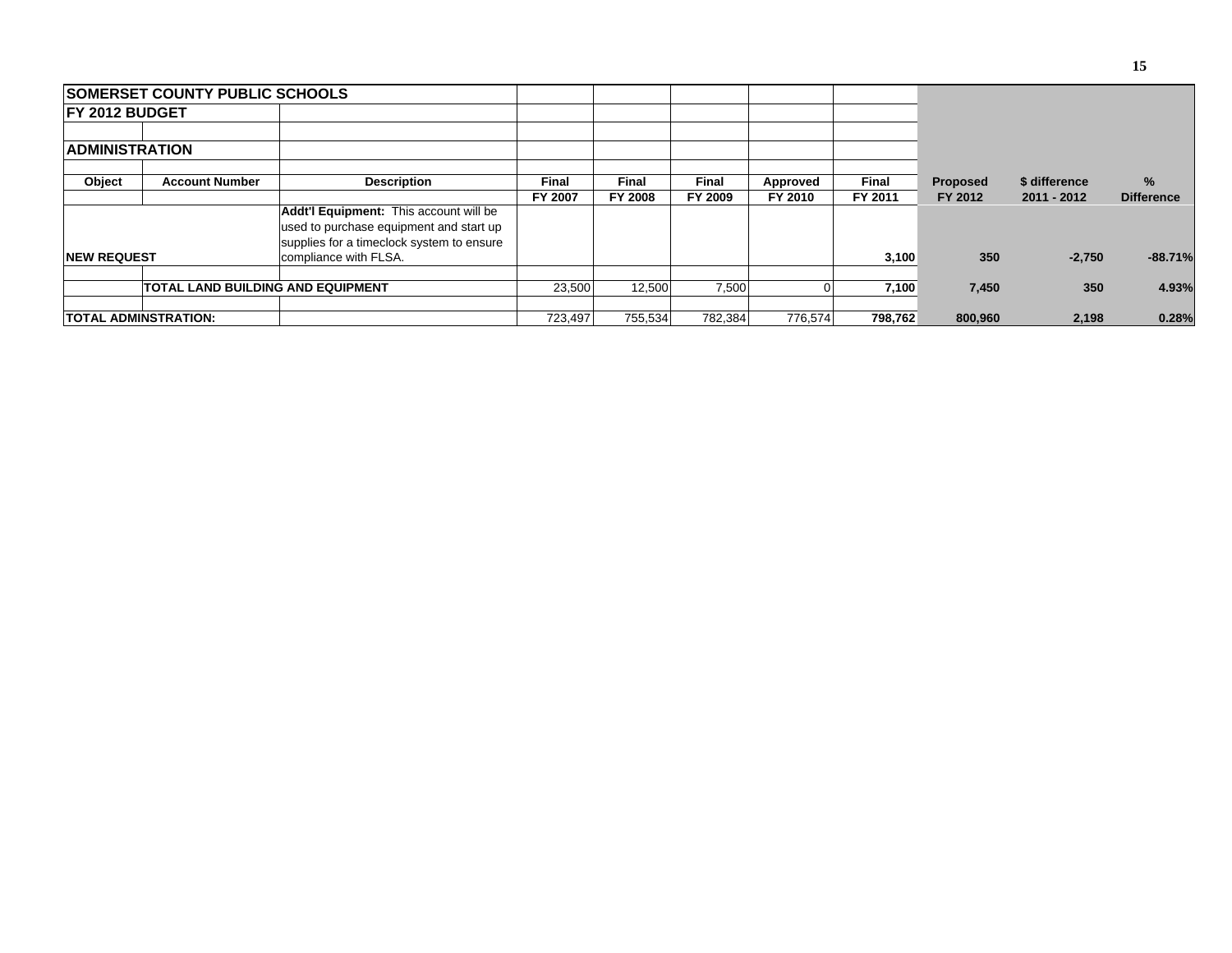|                        | <b>ISOMERSET COUNTY PUBLIC SCHOOLS</b>   |                                                                                                                                |              |                |              |          |         |                 |               |                   |
|------------------------|------------------------------------------|--------------------------------------------------------------------------------------------------------------------------------|--------------|----------------|--------------|----------|---------|-----------------|---------------|-------------------|
| <b>IFY 2012 BUDGET</b> |                                          |                                                                                                                                |              |                |              |          |         |                 |               |                   |
|                        |                                          |                                                                                                                                |              |                |              |          |         |                 |               |                   |
| <b>ADMINISTRATION</b>  |                                          |                                                                                                                                |              |                |              |          |         |                 |               |                   |
| Object                 | <b>Account Number</b>                    | <b>Description</b>                                                                                                             | <b>Final</b> | <b>Final</b>   | <b>Final</b> | Approved | Final   | <b>Proposed</b> | \$ difference | $\%$              |
|                        |                                          |                                                                                                                                | FY 2007      | <b>FY 2008</b> | FY 2009      | FY 2010  | FY 2011 | FY 2012         | 2011 - 2012   | <b>Difference</b> |
|                        |                                          | Addt'l Equipment: This account will be<br>used to purchase equipment and start up<br>supplies for a timeclock system to ensure |              |                |              |          |         |                 |               |                   |
| <b>INEW REQUEST</b>    |                                          | compliance with FLSA.                                                                                                          |              |                |              |          | 3,100   | 350             | $-2,750$      | $-88.71%$         |
|                        | <b>TOTAL LAND BUILDING AND EQUIPMENT</b> |                                                                                                                                | 23.500       | 12.500         | 7,500        |          | 7,100   | 7,450           | 350           | 4.93%             |
|                        | TOTAL ADMINSTRATION:                     |                                                                                                                                | 723,497      | 755,534        | 782,384      | 776,574  | 798,762 | 800,960         | 2,198         | 0.28%             |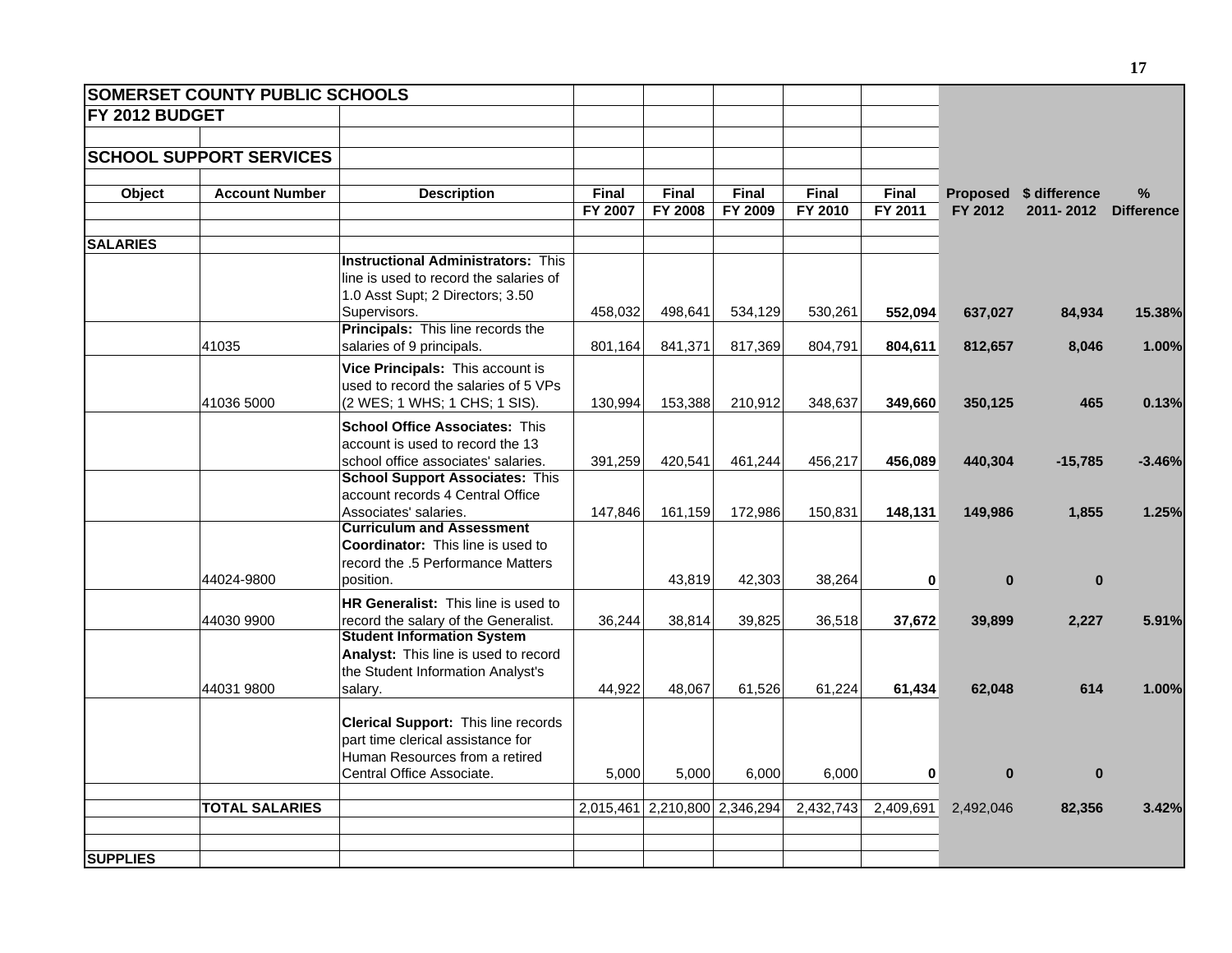|                        | <b>SOMERSET COUNTY PUBLIC SCHOOLS</b> |                                                                                                                                         |                  |                         |                               |                  |                  |              |                                     |                        |
|------------------------|---------------------------------------|-----------------------------------------------------------------------------------------------------------------------------------------|------------------|-------------------------|-------------------------------|------------------|------------------|--------------|-------------------------------------|------------------------|
| <b>IFY 2012 BUDGET</b> |                                       |                                                                                                                                         |                  |                         |                               |                  |                  |              |                                     |                        |
|                        | <b>SCHOOL SUPPORT SERVICES</b>        |                                                                                                                                         |                  |                         |                               |                  |                  |              |                                     |                        |
| Object                 | <b>Account Number</b>                 | <b>Description</b>                                                                                                                      | Final<br>FY 2007 | Final<br><b>FY 2008</b> | Final<br><b>FY 2009</b>       | Final<br>FY 2010 | Final<br>FY 2011 | FY 2012      | Proposed \$ difference<br>2011-2012 | %<br><b>Difference</b> |
| <b>SALARIES</b>        |                                       |                                                                                                                                         |                  |                         |                               |                  |                  |              |                                     |                        |
|                        |                                       | <b>Instructional Administrators: This</b><br>line is used to record the salaries of<br>1.0 Asst Supt; 2 Directors; 3.50<br>Supervisors. | 458,032          | 498,641                 | 534,129                       | 530,261          | 552.094          | 637,027      | 84,934                              | 15.38%                 |
|                        |                                       | Principals: This line records the                                                                                                       |                  |                         |                               |                  |                  |              |                                     |                        |
|                        | 41035                                 | salaries of 9 principals.                                                                                                               | 801,164          | 841,371                 | 817,369                       | 804,791          | 804,611          | 812,657      | 8,046                               | 1.00%                  |
|                        | 41036 5000                            | Vice Principals: This account is<br>used to record the salaries of 5 VPs<br>(2 WES; 1 WHS; 1 CHS; 1 SIS).                               | 130,994          | 153,388                 | 210,912                       | 348,637          | 349,660          | 350,125      | 465                                 | 0.13%                  |
|                        |                                       | <b>School Office Associates: This</b><br>account is used to record the 13<br>school office associates' salaries.                        | 391,259          | 420,541                 | 461,244                       | 456,217          | 456,089          | 440,304      | $-15,785$                           | $-3.46%$               |
|                        |                                       | <b>School Support Associates: This</b><br>account records 4 Central Office<br>Associates' salaries.                                     | 147,846          | 161,159                 | 172,986                       | 150,831          | 148,131          | 149,986      | 1,855                               | 1.25%                  |
|                        | 44024-9800                            | <b>Curriculum and Assessment</b><br><b>Coordinator:</b> This line is used to<br>record the .5 Performance Matters<br>position.          |                  | 43,819                  | 42,303                        | 38,264           | $\mathbf{0}$     | $\mathbf{0}$ | $\mathbf{0}$                        |                        |
|                        | 44030 9900                            | HR Generalist: This line is used to<br>record the salary of the Generalist.                                                             | 36,244           | 38,814                  | 39,825                        | 36,518           | 37,672           | 39,899       | 2,227                               | 5.91%                  |
|                        | 44031 9800                            | <b>Student Information System</b><br>Analyst: This line is used to record<br>the Student Information Analyst's<br>salary.               | 44,922           | 48,067                  | 61,526                        | 61,224           | 61,434           | 62,048       | 614                                 | 1.00%                  |
|                        |                                       | Clerical Support: This line records<br>part time clerical assistance for<br>Human Resources from a retired<br>Central Office Associate. | 5,000            | 5,000                   | 6,000                         | 6,000            | $\mathbf{0}$     | $\mathbf{0}$ | $\bf{0}$                            |                        |
|                        | <b>TOTAL SALARIES</b>                 |                                                                                                                                         |                  |                         | 2,015,461 2,210,800 2,346,294 | 2,432,743        | 2,409,691        | 2,492,046    | 82,356                              | 3.42%                  |
| <b>SUPPLIES</b>        |                                       |                                                                                                                                         |                  |                         |                               |                  |                  |              |                                     |                        |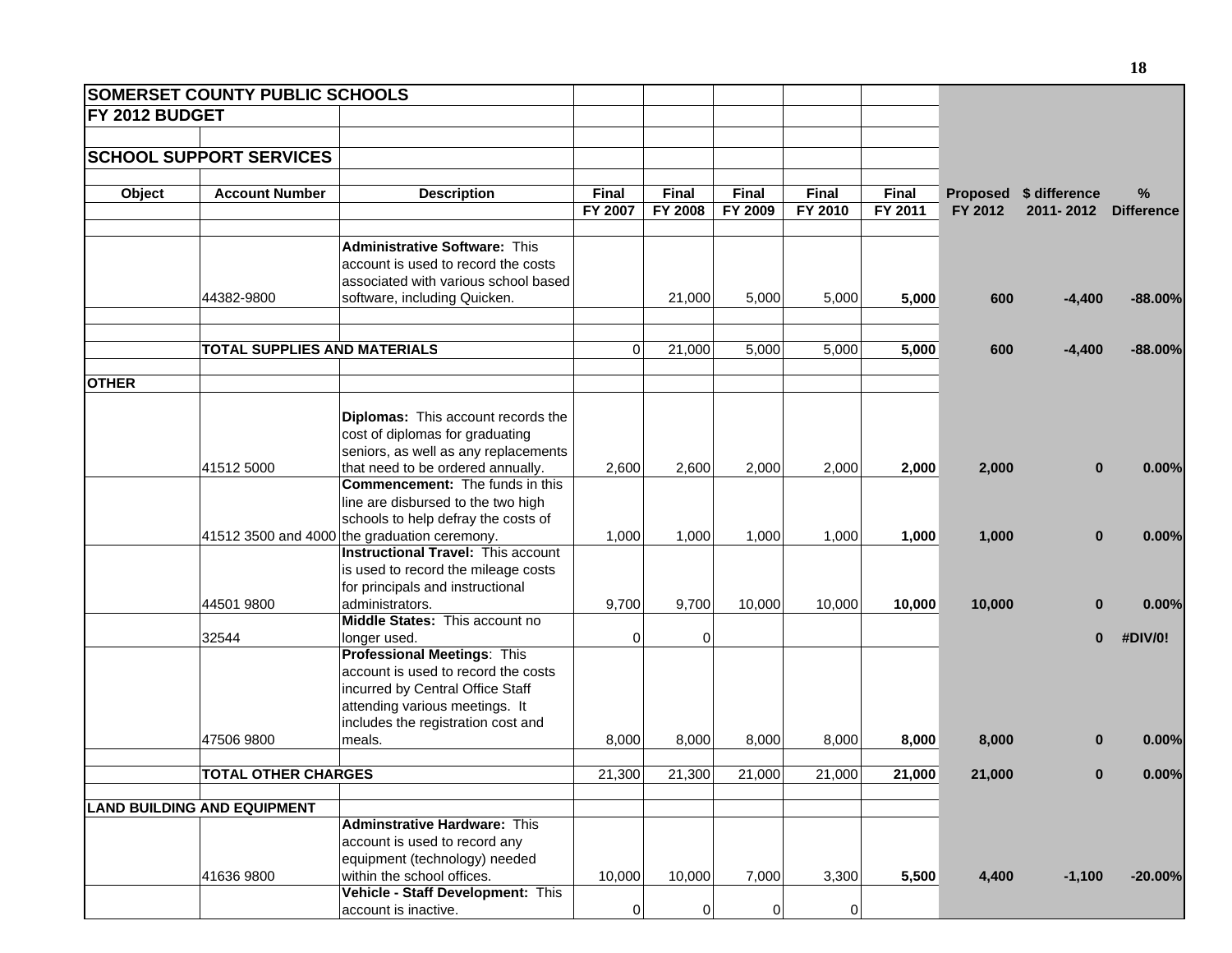|                       | <b>SOMERSET COUNTY PUBLIC SCHOOLS</b> |                                                   |              |                |              |         |              |         |                        |                   |
|-----------------------|---------------------------------------|---------------------------------------------------|--------------|----------------|--------------|---------|--------------|---------|------------------------|-------------------|
| <b>FY 2012 BUDGET</b> |                                       |                                                   |              |                |              |         |              |         |                        |                   |
|                       |                                       |                                                   |              |                |              |         |              |         |                        |                   |
|                       | <b>SCHOOL SUPPORT SERVICES</b>        |                                                   |              |                |              |         |              |         |                        |                   |
|                       |                                       |                                                   |              |                |              |         |              |         |                        |                   |
| Object                | <b>Account Number</b>                 | <b>Description</b>                                | <b>Final</b> | Final          | <b>Final</b> | Final   | <b>Final</b> |         | Proposed \$ difference | %                 |
|                       |                                       |                                                   | FY 2007      | FY 2008        | FY 2009      | FY 2010 | FY 2011      | FY 2012 | 2011-2012              | <b>Difference</b> |
|                       |                                       |                                                   |              |                |              |         |              |         |                        |                   |
|                       |                                       | <b>Administrative Software: This</b>              |              |                |              |         |              |         |                        |                   |
|                       |                                       | account is used to record the costs               |              |                |              |         |              |         |                        |                   |
|                       |                                       | associated with various school based              |              |                |              |         |              |         |                        |                   |
|                       | 44382-9800                            | software, including Quicken.                      |              | 21,000         | 5,000        | 5,000   | 5,000        | 600     | $-4,400$               | $-88.00%$         |
|                       |                                       |                                                   |              |                |              |         |              |         |                        |                   |
|                       | <b>TOTAL SUPPLIES AND MATERIALS</b>   |                                                   | $\Omega$     | 21,000         | 5,000        | 5,000   | 5,000        | 600     | $-4,400$               | $-88.00\%$        |
|                       |                                       |                                                   |              |                |              |         |              |         |                        |                   |
| <b>OTHER</b>          |                                       |                                                   |              |                |              |         |              |         |                        |                   |
|                       |                                       |                                                   |              |                |              |         |              |         |                        |                   |
|                       |                                       | Diplomas: This account records the                |              |                |              |         |              |         |                        |                   |
|                       |                                       | cost of diplomas for graduating                   |              |                |              |         |              |         |                        |                   |
|                       |                                       | seniors, as well as any replacements              |              |                |              |         |              |         |                        |                   |
|                       | 41512 5000                            | that need to be ordered annually.                 | 2,600        | 2,600          | 2,000        | 2,000   | 2,000        | 2,000   | $\bf{0}$               | 0.00%             |
|                       |                                       | <b>Commencement:</b> The funds in this            |              |                |              |         |              |         |                        |                   |
|                       |                                       | line are disbursed to the two high                |              |                |              |         |              |         |                        |                   |
|                       |                                       | schools to help defray the costs of               |              |                |              |         |              |         |                        |                   |
|                       |                                       | 41512 3500 and 4000 the graduation ceremony.      | 1,000        | 1,000          | 1,000        | 1,000   | 1,000        | 1,000   | $\bf{0}$               | 0.00%             |
|                       |                                       | <b>Instructional Travel: This account</b>         |              |                |              |         |              |         |                        |                   |
|                       |                                       | is used to record the mileage costs               |              |                |              |         |              |         |                        |                   |
|                       |                                       | for principals and instructional                  |              |                |              |         |              |         |                        |                   |
|                       | 44501 9800                            | administrators.<br>Middle States: This account no | 9,700        | 9,700          | 10,000       | 10,000  | 10,000       | 10,000  | $\bf{0}$               | 0.00%             |
|                       | 32544                                 | longer used.                                      | 0            | $\overline{0}$ |              |         |              |         | $\bf{0}$               | #DIV/0!           |
|                       |                                       | <b>Professional Meetings: This</b>                |              |                |              |         |              |         |                        |                   |
|                       |                                       | account is used to record the costs               |              |                |              |         |              |         |                        |                   |
|                       |                                       | incurred by Central Office Staff                  |              |                |              |         |              |         |                        |                   |
|                       |                                       | attending various meetings. It                    |              |                |              |         |              |         |                        |                   |
|                       |                                       | includes the registration cost and                |              |                |              |         |              |         |                        |                   |
|                       | 47506 9800                            | meals.                                            | 8,000        | 8,000          | 8,000        | 8,000   | 8,000        | 8,000   | 0                      | 0.00%             |
|                       |                                       |                                                   |              |                |              |         |              |         |                        |                   |
|                       | <b>TOTAL OTHER CHARGES</b>            |                                                   | 21,300       | 21,300         | 21,000       | 21,000  | 21,000       | 21,000  |                        | 0.00%             |
|                       |                                       |                                                   |              |                |              |         |              |         |                        |                   |
|                       | <b>LAND BUILDING AND EQUIPMENT</b>    | <b>Adminstrative Hardware: This</b>               |              |                |              |         |              |         |                        |                   |
|                       |                                       | account is used to record any                     |              |                |              |         |              |         |                        |                   |
|                       |                                       | equipment (technology) needed                     |              |                |              |         |              |         |                        |                   |
|                       | 41636 9800                            | within the school offices.                        | 10,000       | 10,000         | 7,000        | 3,300   |              | 4,400   | $-1,100$               | $-20.00%$         |
|                       |                                       | Vehicle - Staff Development: This                 |              |                |              |         | 5,500        |         |                        |                   |
|                       |                                       | account is inactive.                              | 0            | $\mathbf 0$    | 0            | 0       |              |         |                        |                   |
|                       |                                       |                                                   |              |                |              |         |              |         |                        |                   |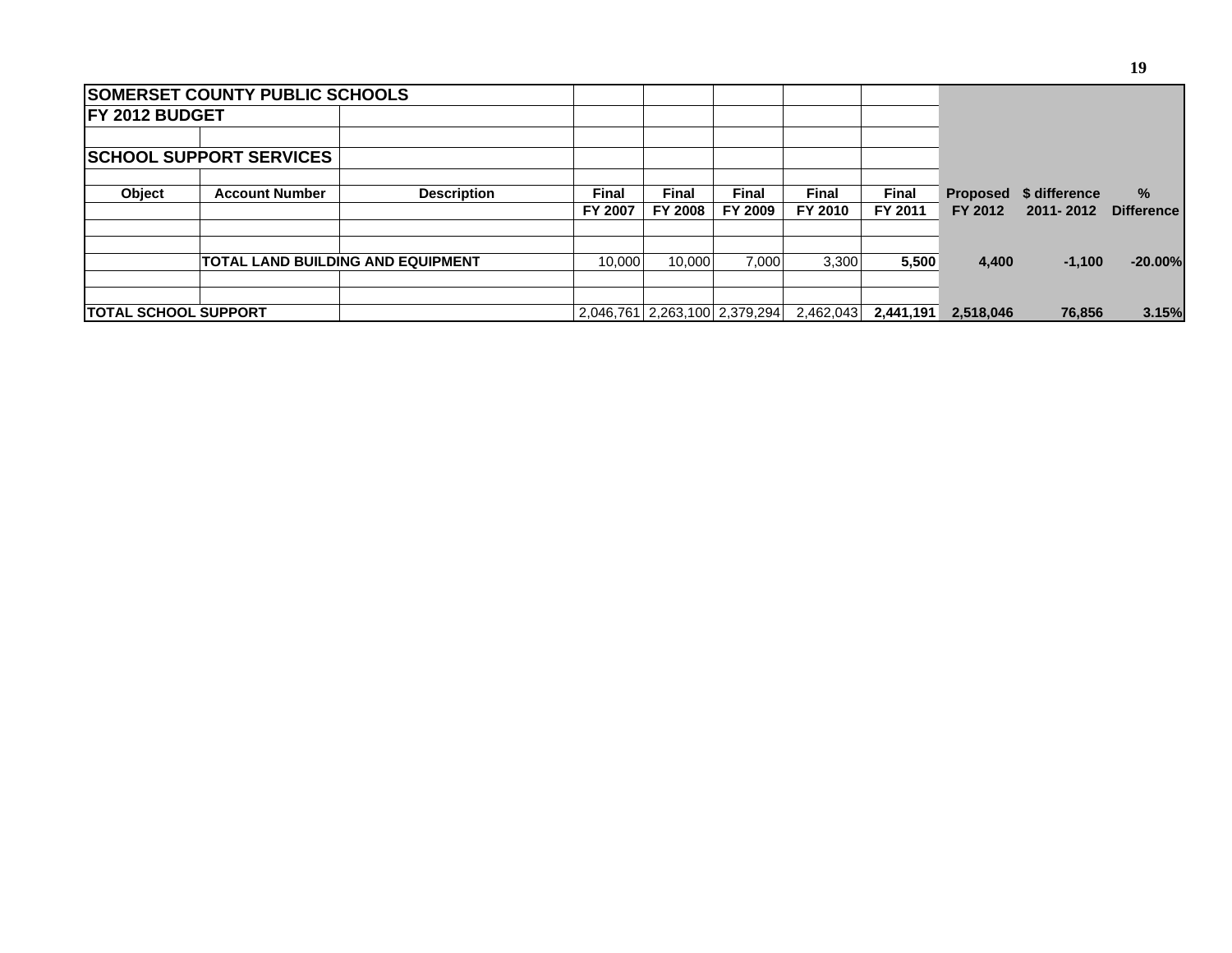|                             | <b>SOMERSET COUNTY PUBLIC SCHOOLS</b> |                                          |                  |                         |                               |                         |                         |                            |                            |                        |
|-----------------------------|---------------------------------------|------------------------------------------|------------------|-------------------------|-------------------------------|-------------------------|-------------------------|----------------------------|----------------------------|------------------------|
| <b>IFY 2012 BUDGET</b>      |                                       |                                          |                  |                         |                               |                         |                         |                            |                            |                        |
|                             | <b>SCHOOL SUPPORT SERVICES</b>        |                                          |                  |                         |                               |                         |                         |                            |                            |                        |
| <b>Object</b>               | <b>Account Number</b>                 | <b>Description</b>                       | Final<br>FY 2007 | Final<br><b>FY 2008</b> | Final<br>FY 2009              | <b>Final</b><br>FY 2010 | <b>Final</b><br>FY 2011 | <b>Proposed</b><br>FY 2012 | \$ difference<br>2011-2012 | %<br><b>Difference</b> |
|                             |                                       |                                          |                  |                         |                               |                         |                         |                            |                            |                        |
|                             |                                       | <b>TOTAL LAND BUILDING AND EQUIPMENT</b> | 10.000           | 10.000                  | 7.000                         | 3.300                   | 5,500                   | 4,400                      | $-1,100$                   | $-20.00%$              |
| <b>TOTAL SCHOOL SUPPORT</b> |                                       |                                          |                  |                         | 2,046,761 2,263,100 2,379,294 | 2,462,043               | 2,441,191               | 2,518,046                  | 76.856                     | 3.15%                  |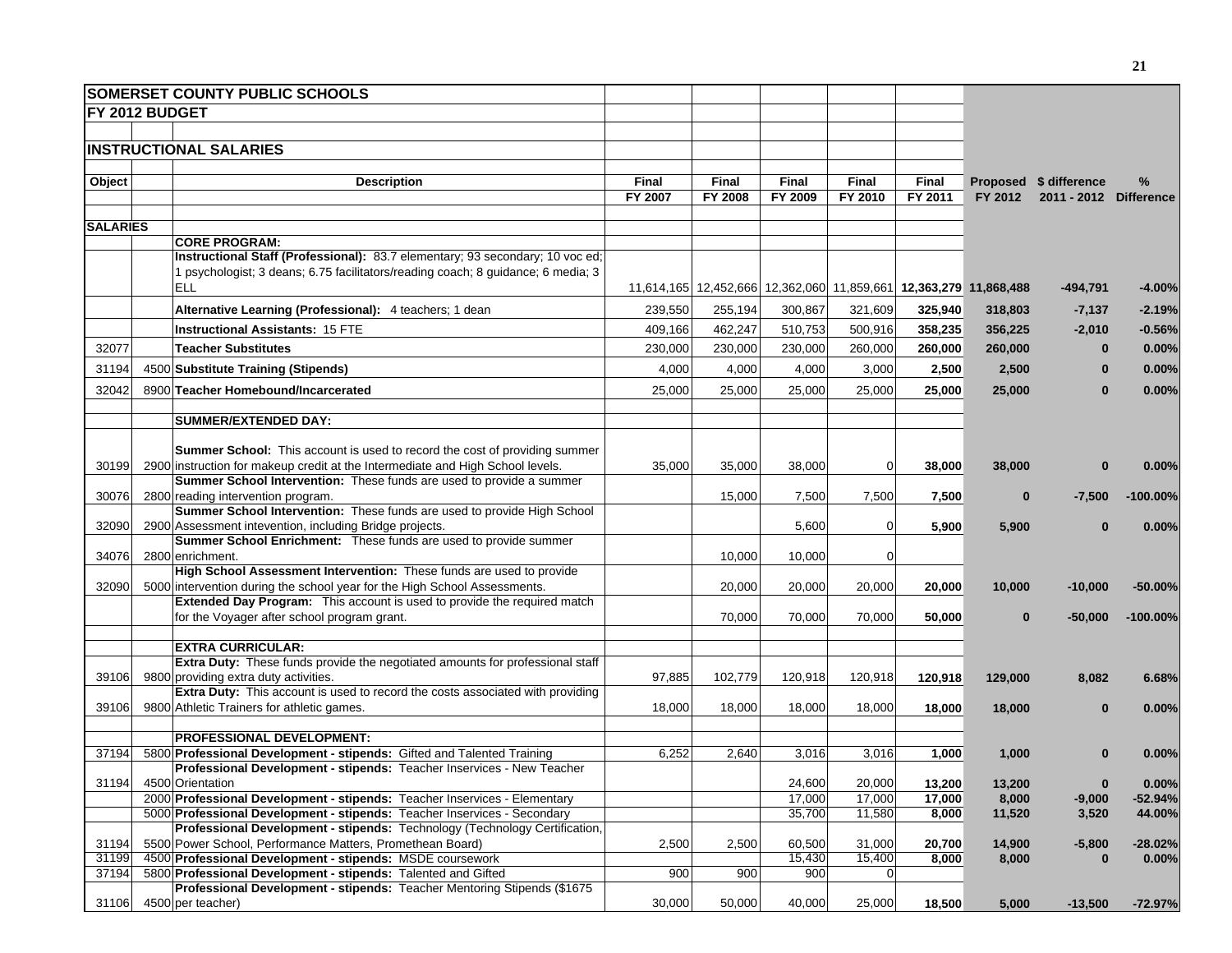|                 | <b>SOMERSET COUNTY PUBLIC SCHOOLS</b>                                                                                                                 |         |              |                                                                   |                |         |          |                        |             |
|-----------------|-------------------------------------------------------------------------------------------------------------------------------------------------------|---------|--------------|-------------------------------------------------------------------|----------------|---------|----------|------------------------|-------------|
| FY 2012 BUDGET  |                                                                                                                                                       |         |              |                                                                   |                |         |          |                        |             |
|                 |                                                                                                                                                       |         |              |                                                                   |                |         |          |                        |             |
|                 | <b>INSTRUCTIONAL SALARIES</b>                                                                                                                         |         |              |                                                                   |                |         |          |                        |             |
|                 |                                                                                                                                                       |         |              |                                                                   |                |         |          |                        |             |
| Object          | <b>Description</b>                                                                                                                                    | Final   | <b>Final</b> | Final                                                             | Final          | Final   |          | Proposed \$ difference | %           |
|                 |                                                                                                                                                       | FY 2007 | FY 2008      | FY 2009                                                           | FY 2010        | FY 2011 | FY 2012  | 2011 - 2012 Difference |             |
| <b>SALARIES</b> |                                                                                                                                                       |         |              |                                                                   |                |         |          |                        |             |
|                 | <b>CORE PROGRAM:</b>                                                                                                                                  |         |              |                                                                   |                |         |          |                        |             |
|                 | Instructional Staff (Professional): 83.7 elementary; 93 secondary; 10 voc ed;                                                                         |         |              |                                                                   |                |         |          |                        |             |
|                 | 1 psychologist; 3 deans; 6.75 facilitators/reading coach; 8 guidance; 6 media; 3                                                                      |         |              |                                                                   |                |         |          |                        |             |
|                 | <b>ELL</b>                                                                                                                                            |         |              | 11,614,165 12,452,666 12,362,060 11,859,661 12,363,279 11,868,488 |                |         |          | $-494,791$             | -4.00%      |
|                 | Alternative Learning (Professional): 4 teachers; 1 dean                                                                                               | 239,550 | 255,194      | 300,867                                                           | 321,609        | 325,940 | 318,803  | $-7,137$               | $-2.19%$    |
|                 |                                                                                                                                                       |         |              |                                                                   |                |         |          |                        |             |
|                 | <b>Instructional Assistants: 15 FTE</b>                                                                                                               | 409,166 | 462,247      | 510,753                                                           | 500,916        | 358,235 | 356,225  | $-2,010$               | $-0.56%$    |
| 32077           | <b>Teacher Substitutes</b>                                                                                                                            | 230,000 | 230,000      | 230,000                                                           | 260,000        | 260,000 | 260,000  | $\Omega$               | 0.00%       |
| 31194           | 4500 Substitute Training (Stipends)                                                                                                                   | 4,000   | 4,000        | 4,000                                                             | 3,000          | 2,500   | 2,500    | $\bf{0}$               | 0.00%       |
| 32042           | 8900 Teacher Homebound/Incarcerated                                                                                                                   | 25,000  | 25,000       | 25,000                                                            | 25,000         | 25,000  | 25,000   | $\Omega$               | 0.00%       |
|                 |                                                                                                                                                       |         |              |                                                                   |                |         |          |                        |             |
|                 | <b>SUMMER/EXTENDED DAY:</b>                                                                                                                           |         |              |                                                                   |                |         |          |                        |             |
|                 | <b>Summer School:</b> This account is used to record the cost of providing summer                                                                     |         |              |                                                                   |                |         |          |                        |             |
| 30199           | 2900 instruction for makeup credit at the Intermediate and High School levels.                                                                        | 35,000  | 35,000       | 38,000                                                            | $\overline{0}$ | 38,000  | 38,000   | $\bf{0}$               | 0.00%       |
|                 | Summer School Intervention: These funds are used to provide a summer                                                                                  |         |              |                                                                   |                |         |          |                        |             |
| 30076           | 2800 reading intervention program.                                                                                                                    |         | 15,000       | 7,500                                                             | 7,500          | 7,500   | $\bf{0}$ | $-7,500$               | $-100.00\%$ |
|                 | Summer School Intervention: These funds are used to provide High School                                                                               |         |              |                                                                   |                |         |          |                        |             |
| 32090           | 2900 Assessment intevention, including Bridge projects.                                                                                               |         |              | 5,600                                                             | $\overline{0}$ | 5,900   | 5,900    | $\Omega$               | 0.00%       |
|                 | Summer School Enrichment: These funds are used to provide summer                                                                                      |         |              |                                                                   |                |         |          |                        |             |
| 34076           | 2800 enrichment.                                                                                                                                      |         | 10,000       | 10,000                                                            | $\overline{0}$ |         |          |                        |             |
|                 | High School Assessment Intervention: These funds are used to provide                                                                                  |         |              |                                                                   |                |         |          |                        |             |
| 32090           | 5000 intervention during the school year for the High School Assessments.<br>Extended Day Program: This account is used to provide the required match |         | 20,000       | 20,000                                                            | 20,000         | 20,000  | 10,000   | $-10,000$              | -50.00%     |
|                 | for the Voyager after school program grant.                                                                                                           |         | 70,000       | 70,000                                                            | 70,000         | 50,000  | $\bf{0}$ | $-50,000$              | $-100.00%$  |
|                 |                                                                                                                                                       |         |              |                                                                   |                |         |          |                        |             |
|                 | <b>EXTRA CURRICULAR:</b>                                                                                                                              |         |              |                                                                   |                |         |          |                        |             |
|                 | Extra Duty: These funds provide the negotiated amounts for professional staff                                                                         |         |              |                                                                   |                |         |          |                        |             |
| 39106           | 9800 providing extra duty activities.                                                                                                                 | 97,885  | 102,779      | 120,918                                                           | 120,918        | 120,918 | 129,000  | 8,082                  | 6.68%       |
|                 | Extra Duty: This account is used to record the costs associated with providing                                                                        |         |              |                                                                   |                |         |          |                        |             |
| 39106           | 9800 Athletic Trainers for athletic games.                                                                                                            | 18,000  | 18,000       | 18,000                                                            | 18,000         | 18,000  | 18,000   | $\Omega$               | 0.00%       |
|                 |                                                                                                                                                       |         |              |                                                                   |                |         |          |                        |             |
| 37194           | <b>PROFESSIONAL DEVELOPMENT:</b>                                                                                                                      | 6,252   | 2,640        | 3,016                                                             | 3,016          | 1,000   |          | $\bf{0}$               |             |
|                 | 5800 Professional Development - stipends: Gifted and Talented Training<br>Professional Development - stipends: Teacher Inservices - New Teacher       |         |              |                                                                   |                |         | 1,000    |                        | 0.00%       |
|                 | 31194 4500 Orientation                                                                                                                                |         |              | 24,600                                                            | 20,000         | 13,200  | 13,200   | υ                      | 0.00%       |
|                 | 2000 Professional Development - stipends: Teacher Inservices - Elementary                                                                             |         |              | 17,000                                                            | 17,000         | 17,000  | 8,000    | $-9,000$               | $-52.94%$   |
|                 | 5000 Professional Development - stipends: Teacher Inservices - Secondary                                                                              |         |              | 35,700                                                            | 11,580         | 8,000   | 11,520   | 3,520                  | 44.00%      |
|                 | Professional Development - stipends: Technology (Technology Certification,                                                                            |         |              |                                                                   |                |         |          |                        |             |
| 31194           | 5500 Power School, Performance Matters, Promethean Board)                                                                                             | 2,500   | 2,500        | 60,500                                                            | 31,000         | 20,700  | 14,900   | $-5,800$               | -28.02%     |
| 31199           | 4500 Professional Development - stipends: MSDE coursework                                                                                             |         |              | 15,430                                                            | 15,400         | 8,000   | 8,000    | $\bf{0}$               | 0.00%       |
| 37194           | 5800 Professional Development - stipends: Talented and Gifted                                                                                         | 900     | 900          | 900                                                               | $\overline{0}$ |         |          |                        |             |
| 31106           | Professional Development - stipends: Teacher Mentoring Stipends (\$1675<br>4500 per teacher)                                                          | 30,000  | 50,000       | 40,000                                                            | 25,000         | 18,500  | 5,000    | $-13,500$              | $-72.97%$   |
|                 |                                                                                                                                                       |         |              |                                                                   |                |         |          |                        |             |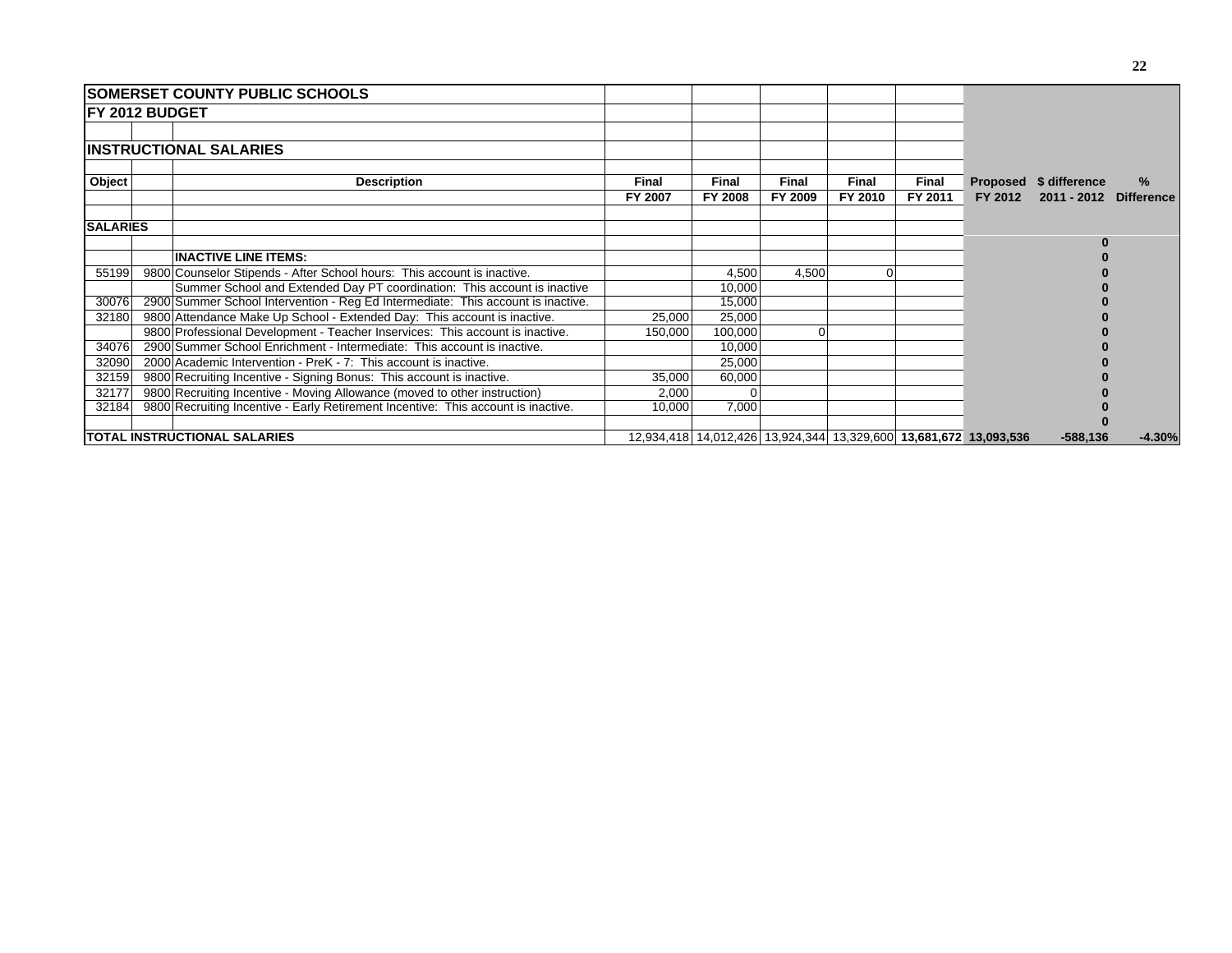|                        | <b>SOMERSET COUNTY PUBLIC SCHOOLS</b> |                                                                                   |              |              |                                                                   |              |         |         |                        |          |
|------------------------|---------------------------------------|-----------------------------------------------------------------------------------|--------------|--------------|-------------------------------------------------------------------|--------------|---------|---------|------------------------|----------|
| <b>IFY 2012 BUDGET</b> |                                       |                                                                                   |              |              |                                                                   |              |         |         |                        |          |
|                        |                                       |                                                                                   |              |              |                                                                   |              |         |         |                        |          |
|                        |                                       | <b>IINSTRUCTIONAL SALARIES</b>                                                    |              |              |                                                                   |              |         |         |                        |          |
| Object                 |                                       | <b>Description</b>                                                                | <b>Final</b> | <b>Final</b> | Final                                                             | <b>Final</b> | Final   |         | Proposed \$ difference | %        |
|                        |                                       |                                                                                   | FY 2007      | FY 2008      | FY 2009                                                           | FY 2010      | FY 2011 | FY 2012 | 2011 - 2012 Difference |          |
| <b>SALARIES</b>        |                                       |                                                                                   |              |              |                                                                   |              |         |         |                        |          |
|                        |                                       |                                                                                   |              |              |                                                                   |              |         |         |                        |          |
|                        |                                       | <b>INACTIVE LINE ITEMS:</b>                                                       |              |              |                                                                   |              |         |         |                        |          |
| 55199                  |                                       | 9800 Counselor Stipends - After School hours: This account is inactive.           |              | 4,500        | 4,500                                                             | $\Omega$     |         |         |                        |          |
|                        |                                       | Summer School and Extended Day PT coordination: This account is inactive          |              | 10,000       |                                                                   |              |         |         |                        |          |
| 30076                  |                                       | 2900 Summer School Intervention - Reg Ed Intermediate: This account is inactive.  |              | 15,000       |                                                                   |              |         |         |                        |          |
| 32180                  |                                       | 9800 Attendance Make Up School - Extended Day: This account is inactive.          | 25,000       | 25,000       |                                                                   |              |         |         |                        |          |
|                        |                                       | 9800 Professional Development - Teacher Inservices: This account is inactive.     | 150,000      | 100,000      |                                                                   |              |         |         |                        |          |
| 34076                  |                                       | 2900 Summer School Enrichment - Intermediate: This account is inactive.           |              | 10,000       |                                                                   |              |         |         |                        |          |
| 32090                  |                                       | 2000 Academic Intervention - PreK - 7: This account is inactive.                  |              | 25,000       |                                                                   |              |         |         |                        |          |
| 32159                  |                                       | 9800 Recruiting Incentive - Signing Bonus: This account is inactive.              | 35,000       | 60,000       |                                                                   |              |         |         |                        |          |
| 32177                  |                                       | 9800 Recruiting Incentive - Moving Allowance (moved to other instruction)         | 2,000        |              |                                                                   |              |         |         |                        |          |
| 32184                  |                                       | 9800 Recruiting Incentive - Early Retirement Incentive: This account is inactive. | 10,000       | 7,000        |                                                                   |              |         |         |                        |          |
|                        |                                       |                                                                                   |              |              |                                                                   |              |         |         |                        |          |
|                        | <b>TOTAL INSTRUCTIONAL SALARIES</b>   |                                                                                   |              |              | 12,934,418 14,012,426 13,924,344 13,329,600 13,681,672 13,093,536 |              |         |         | $-588,136$             | $-4.30%$ |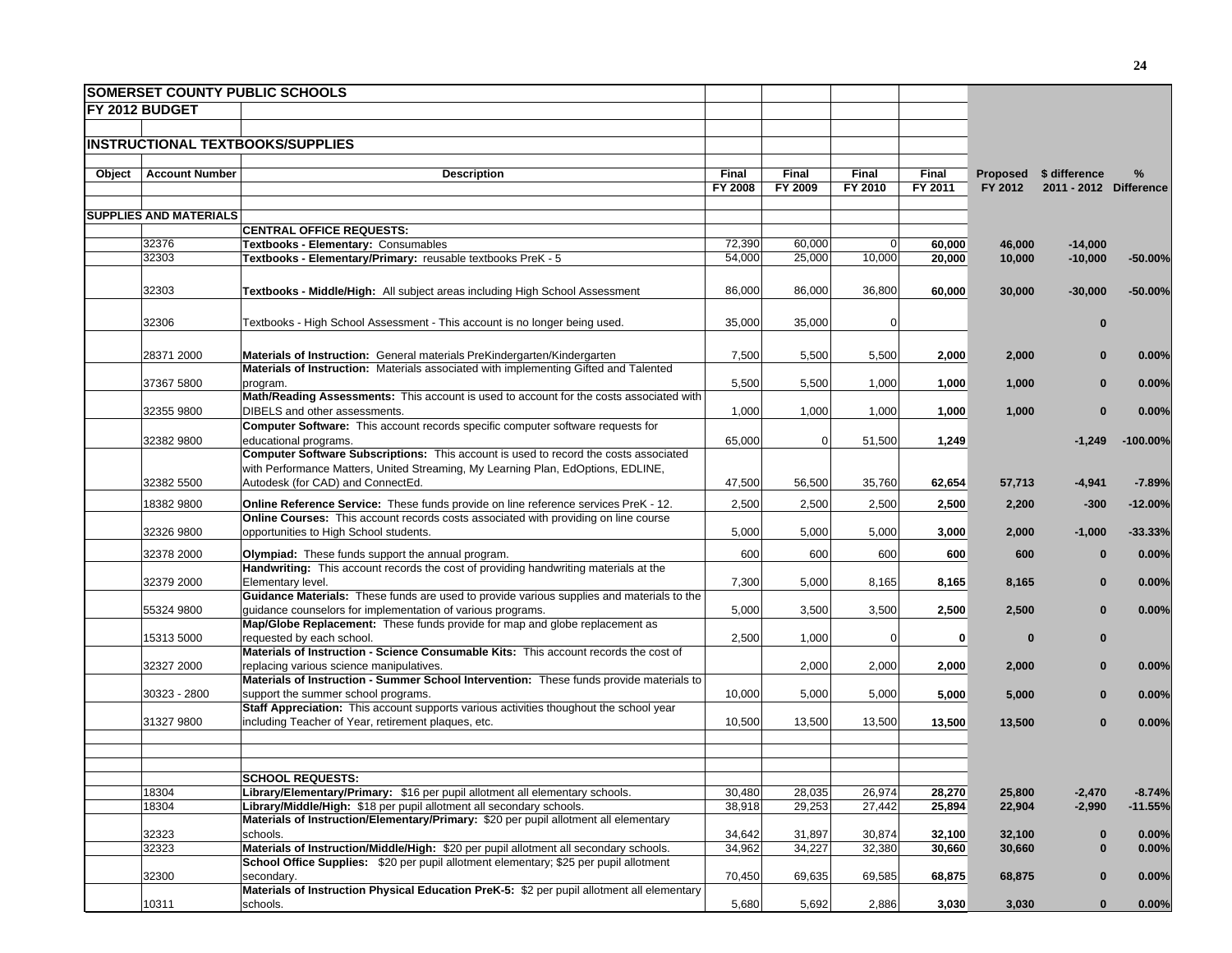|        |                               | <b>SOMERSET COUNTY PUBLIC SCHOOLS</b>                                                                                                                                      |         |                  |                |                  |                  |                        |                |
|--------|-------------------------------|----------------------------------------------------------------------------------------------------------------------------------------------------------------------------|---------|------------------|----------------|------------------|------------------|------------------------|----------------|
|        | <b>FY 2012 BUDGET</b>         |                                                                                                                                                                            |         |                  |                |                  |                  |                        |                |
|        |                               |                                                                                                                                                                            |         |                  |                |                  |                  |                        |                |
|        |                               | <b>INSTRUCTIONAL TEXTBOOKS/SUPPLIES</b>                                                                                                                                    |         |                  |                |                  |                  |                        |                |
|        |                               |                                                                                                                                                                            |         |                  |                |                  |                  |                        |                |
| Object | <b>Account Number</b>         | <b>Description</b>                                                                                                                                                         | Final   | Final            | Final          | Final            |                  | Proposed \$ difference | %              |
|        |                               |                                                                                                                                                                            | FY 2008 | FY 2009          | FY 2010        | FY 2011          | FY 2012          | 2011 - 2012 Difference |                |
|        | <b>SUPPLIES AND MATERIALS</b> |                                                                                                                                                                            |         |                  |                |                  |                  |                        |                |
|        |                               | <b>CENTRAL OFFICE REQUESTS:</b>                                                                                                                                            |         |                  |                |                  |                  |                        |                |
|        | 32376                         | Textbooks - Elementary: Consumables                                                                                                                                        | 72,390  | 60,000           | $\overline{0}$ | 60,000           | 46,000           | $-14,000$              |                |
|        | 32303                         | Textbooks - Elementary/Primary: reusable textbooks PreK - 5                                                                                                                | 54,000  | 25,000           | 10,000         | 20,000           | 10,000           | $-10,000$              | $-50.00%$      |
|        |                               |                                                                                                                                                                            |         |                  |                |                  |                  |                        |                |
|        | 32303                         | Textbooks - Middle/High: All subject areas including High School Assessment                                                                                                | 86,000  | 86,000           | 36,800         | 60,000           | 30,000           | $-30,000$              | $-50.00%$      |
|        |                               |                                                                                                                                                                            |         |                  |                |                  |                  |                        |                |
|        | 32306                         | Textbooks - High School Assessment - This account is no longer being used.                                                                                                 | 35,000  | 35,000           | 0              |                  |                  | $\mathbf 0$            |                |
|        |                               |                                                                                                                                                                            |         |                  |                |                  |                  |                        |                |
|        | 28371 2000                    | Materials of Instruction: General materials PreKindergarten/Kindergarten<br>Materials of Instruction: Materials associated with implementing Gifted and Talented           | 7,500   | 5,500            | 5,500          | 2,000            | 2,000            | $\bf{0}$               | 0.00%          |
|        | 37367 5800                    | program.                                                                                                                                                                   | 5,500   | 5,500            | 1,000          | 1,000            | 1,000            | $\bf{0}$               | 0.00%          |
|        |                               | Math/Reading Assessments: This account is used to account for the costs associated with                                                                                    |         |                  |                |                  |                  |                        |                |
|        | 32355 9800                    | DIBELS and other assessments.                                                                                                                                              | 1,000   | 1,000            | 1,000          | 1,000            | 1,000            | $\mathbf 0$            | 0.00%          |
|        |                               | Computer Software: This account records specific computer software requests for                                                                                            |         |                  |                |                  |                  |                        |                |
|        | 32382 9800                    | educational programs.                                                                                                                                                      | 65,000  | $\mathbf 0$      | 51,500         | 1,249            |                  | $-1,249$               | $-100.00\%$    |
|        |                               | Computer Software Subscriptions: This account is used to record the costs associated                                                                                       |         |                  |                |                  |                  |                        |                |
|        | 32382 5500                    | with Performance Matters, United Streaming, My Learning Plan, EdOptions, EDLINE,<br>Autodesk (for CAD) and ConnectEd.                                                      | 47,500  | 56,500           | 35,760         | 62,654           | 57,713           | $-4,941$               | $-7.89%$       |
|        |                               |                                                                                                                                                                            |         |                  |                |                  |                  |                        |                |
|        | 18382 9800                    | Online Reference Service: These funds provide on line reference services PreK - 12.<br>Online Courses: This account records costs associated with providing on line course | 2,500   | 2,500            | 2,500          | 2,500            | 2,200            | $-300$                 | $-12.00%$      |
|        | 32326 9800                    | opportunities to High School students.                                                                                                                                     | 5,000   | 5,000            | 5,000          | 3,000            | 2,000            | $-1,000$               | $-33.33%$      |
|        |                               |                                                                                                                                                                            |         |                  |                |                  |                  |                        |                |
|        | 32378 2000                    | Olympiad: These funds support the annual program.                                                                                                                          | 600     | 600              | 600            | 600              | 600              | $\bf{0}$               | 0.00%          |
|        | 32379 2000                    | Handwriting: This account records the cost of providing handwriting materials at the<br>Elementary level.                                                                  | 7,300   | 5,000            | 8,165          | 8,165            | 8,165            | $\bf{0}$               | 0.00%          |
|        |                               | Guidance Materials: These funds are used to provide various supplies and materials to the                                                                                  |         |                  |                |                  |                  |                        |                |
|        | 55324 9800                    | guidance counselors for implementation of various programs.                                                                                                                | 5,000   | 3,500            | 3,500          | 2,500            | 2,500            | $\mathbf{0}$           | 0.00%          |
|        |                               | Map/Globe Replacement: These funds provide for map and globe replacement as                                                                                                |         |                  |                |                  |                  |                        |                |
|        | 15313 5000                    | requested by each school.<br>Materials of Instruction - Science Consumable Kits: This account records the cost of                                                          | 2,500   | 1,000            | $\overline{0}$ | $\mathbf{0}$     | $\bf{0}$         | $\mathbf 0$            |                |
|        | 32327 2000                    | replacing various science manipulatives.                                                                                                                                   |         | 2,000            | 2,000          | 2,000            | 2,000            | $\mathbf 0$            | 0.00%          |
|        |                               | Materials of Instruction - Summer School Intervention: These funds provide materials to                                                                                    |         |                  |                |                  |                  |                        |                |
|        | 30323 - 2800                  | support the summer school programs.                                                                                                                                        | 10,000  | 5,000            | 5,000          | 5,000            | 5,000            | $\mathbf{0}$           | 0.00%          |
|        |                               | Staff Appreciation: This account supports various activities thoughout the school year                                                                                     |         |                  |                |                  |                  |                        |                |
|        | 31327 9800                    | including Teacher of Year, retirement plaques, etc.                                                                                                                        | 10,500  | 13,500           | 13,500         | 13,500           | 13,500           | $\mathbf{0}$           | 0.00%          |
|        |                               |                                                                                                                                                                            |         |                  |                |                  |                  |                        |                |
|        |                               |                                                                                                                                                                            |         |                  |                |                  |                  |                        |                |
|        |                               | <b>SCHOOL REQUESTS:</b>                                                                                                                                                    |         |                  |                |                  |                  |                        |                |
|        | 18304                         | Library/Elementary/Primary: \$16 per pupil allotment all elementary schools.                                                                                               | 30,480  | 28,035           | 26,974         | 28,270           | 25,800           | $-2,470$               | $-8.74%$       |
|        | 18304                         | Library/Middle/High: \$18 per pupil allotment all secondary schools.                                                                                                       | 38,918  | 29,253           | 27,442         | 25,894           | 22,904           | $-2,990$               | $-11.55%$      |
|        | 32323                         | Materials of Instruction/Elementary/Primary: \$20 per pupil allotment all elementary<br>schools.                                                                           | 34,642  |                  | 30,874         |                  |                  |                        |                |
|        | 32323                         | Materials of Instruction/Middle/High: \$20 per pupil allotment all secondary schools.                                                                                      | 34,962  | 31,897<br>34,227 | 32,380         | 32,100<br>30,660 | 32,100<br>30,660 | $\bf{0}$<br>$\bf{0}$   | 0.00%<br>0.00% |
|        |                               | School Office Supplies: \$20 per pupil allotment elementary; \$25 per pupil allotment                                                                                      |         |                  |                |                  |                  |                        |                |
|        | 32300                         | secondary.                                                                                                                                                                 | 70,450  | 69,635           | 69,585         | 68,875           | 68,875           | $\mathbf 0$            | 0.00%          |
|        |                               | Materials of Instruction Physical Education PreK-5: \$2 per pupil allotment all elementary                                                                                 |         |                  |                |                  |                  |                        |                |
|        | 10311                         | schools.                                                                                                                                                                   | 5,680   | 5,692            | 2,886          | 3,030            | 3,030            | $\mathbf{0}$           | 0.00%          |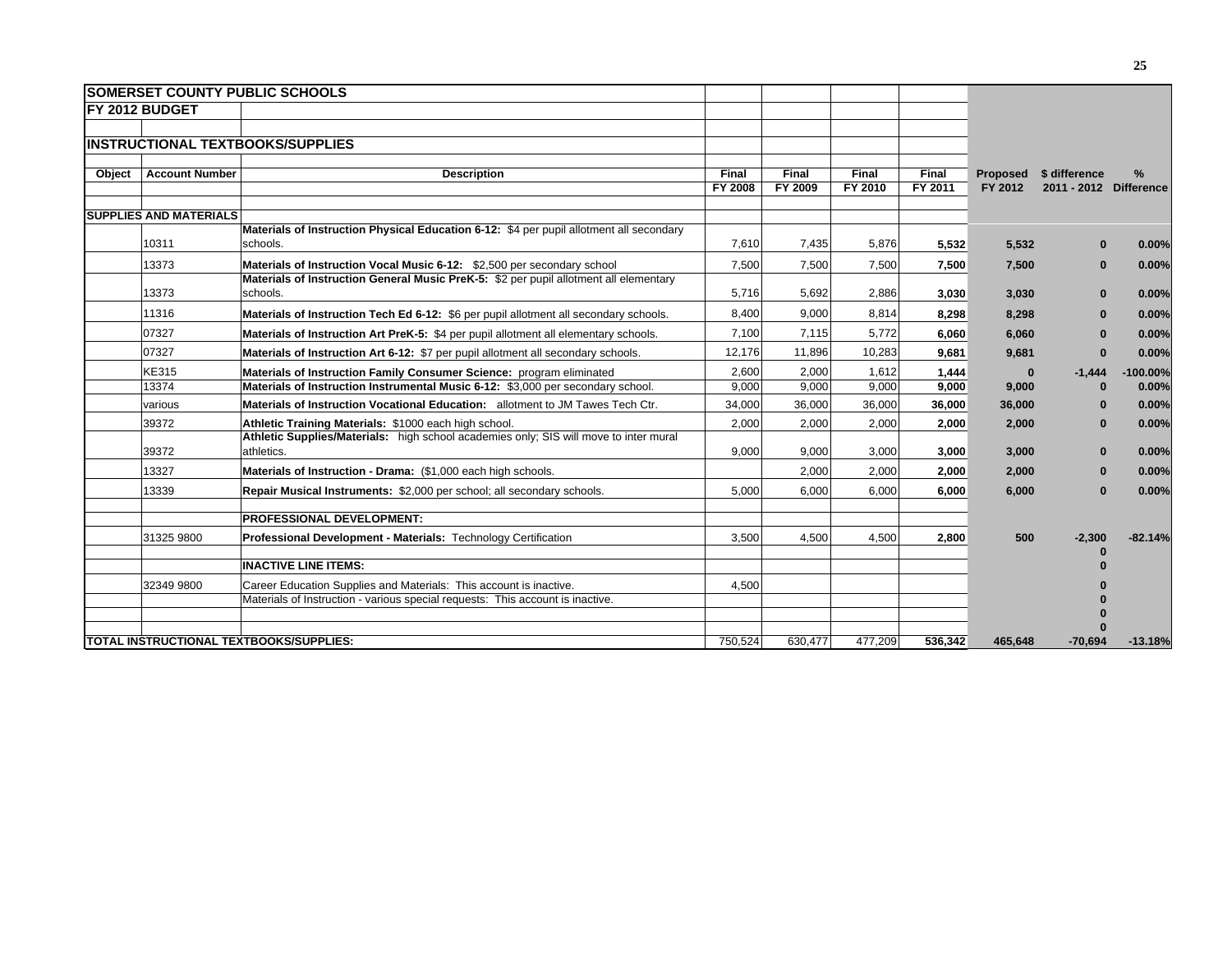|        |                               | <b>SOMERSET COUNTY PUBLIC SCHOOLS</b>                                                       |                  |                  |                  |                  |                     |                                         |            |
|--------|-------------------------------|---------------------------------------------------------------------------------------------|------------------|------------------|------------------|------------------|---------------------|-----------------------------------------|------------|
|        | <b>IFY 2012 BUDGET</b>        |                                                                                             |                  |                  |                  |                  |                     |                                         |            |
|        |                               |                                                                                             |                  |                  |                  |                  |                     |                                         |            |
|        |                               | <b>INSTRUCTIONAL TEXTBOOKS/SUPPLIES</b>                                                     |                  |                  |                  |                  |                     |                                         |            |
|        |                               |                                                                                             |                  |                  |                  |                  |                     |                                         |            |
| Object | <b>Account Number</b>         | <b>Description</b>                                                                          | Final<br>FY 2008 | Final<br>FY 2009 | Final<br>FY 2010 | Final<br>FY 2011 | Proposed<br>FY 2012 | \$ difference<br>2011 - 2012 Difference | $\%$       |
|        |                               |                                                                                             |                  |                  |                  |                  |                     |                                         |            |
|        | <b>SUPPLIES AND MATERIALS</b> |                                                                                             |                  |                  |                  |                  |                     |                                         |            |
|        |                               | Materials of Instruction Physical Education 6-12: \$4 per pupil allotment all secondary     |                  |                  |                  |                  |                     |                                         |            |
|        | 10311                         | schools.                                                                                    | 7,610            | 7,435            | 5,876            | 5,532            | 5,532               | $\Omega$                                | 0.00%      |
|        | 13373                         | Materials of Instruction Vocal Music 6-12: \$2,500 per secondary school                     | 7,500            | 7,500            | 7,500            | 7,500            | 7,500               | $\bf{0}$                                | 0.00%      |
|        |                               | Materials of Instruction General Music PreK-5: \$2 per pupil allotment all elementary       |                  |                  |                  |                  |                     |                                         |            |
|        | 13373                         | schools.                                                                                    | 5,716            | 5,692            | 2,886            | 3,030            | 3,030               | $\Omega$                                | 0.00%      |
|        | 11316                         | Materials of Instruction Tech Ed 6-12: \$6 per pupil allotment all secondary schools.       | 8.400            | 9.000            | 8.814            | 8,298            | 8,298               | $\bf{0}$                                | 0.00%      |
|        | 07327                         | <b>Materials of Instruction Art PreK-5: \$4 per pupil allotment all elementary schools.</b> | 7,100            | 7,115            | 5,772            | 6.060            | 6,060               | $\bf{0}$                                | 0.00%      |
|        | 07327                         | Materials of Instruction Art 6-12: \$7 per pupil allotment all secondary schools.           | 12.176           | 11.896           | 10,283           | 9.681            | 9,681               | $\bf{0}$                                | 0.00%      |
|        | <b>KE315</b>                  | Materials of Instruction Family Consumer Science: program eliminated                        | 2,600            | 2,000            | 1,612            | 1,444            | $\bf{0}$            | $-1,444$                                | $-100.00%$ |
|        | 13374                         | Materials of Instruction Instrumental Music 6-12: \$3,000 per secondary school.             | 9,000            | 9,000            | 9,000            | 9,000            | 9,000               | O                                       | 0.00%      |
|        | various                       | Materials of Instruction Vocational Education: allotment to JM Tawes Tech Ctr.              | 34,000           | 36,000           | 36,000           | 36,000           | 36,000              | $\Omega$                                | 0.00%      |
|        | 39372                         | Athletic Training Materials: \$1000 each high school.                                       | 2,000            | 2.000            | 2.000            | 2.000            | 2,000               | $\Omega$                                | 0.00%      |
|        |                               | Athletic Supplies/Materials: high school academies only; SIS will move to inter mural       |                  |                  |                  |                  |                     |                                         |            |
|        | 39372                         | athletics.                                                                                  | 9,000            | 9,000            | 3,000            | 3,000            | 3,000               | $\Omega$                                | 0.00%      |
|        | 13327                         | Materials of Instruction - Drama: (\$1,000 each high schools.                               |                  | 2,000            | 2,000            | 2,000            | 2,000               | $\Omega$                                | 0.00%      |
|        | 13339                         | Repair Musical Instruments: \$2,000 per school; all secondary schools.                      | 5,000            | 6,000            | 6,000            | 6,000            | 6,000               | $\Omega$                                | 0.00%      |
|        |                               | <b>PROFESSIONAL DEVELOPMENT:</b>                                                            |                  |                  |                  |                  |                     |                                         |            |
|        |                               |                                                                                             |                  |                  |                  |                  |                     |                                         |            |
|        | 31325 9800                    | Professional Development - Materials: Technology Certification                              | 3,500            | 4,500            | 4.500            | 2,800            | 500                 | $-2,300$                                | $-82.14%$  |
|        |                               | <b>INACTIVE LINE ITEMS:</b>                                                                 |                  |                  |                  |                  |                     |                                         |            |
|        | 32349 9800                    | Career Education Supplies and Materials: This account is inactive.                          | 4.500            |                  |                  |                  |                     |                                         |            |
|        |                               | Materials of Instruction - various special requests: This account is inactive.              |                  |                  |                  |                  |                     |                                         |            |
|        |                               |                                                                                             |                  |                  |                  |                  |                     |                                         |            |
|        |                               |                                                                                             |                  |                  |                  |                  |                     |                                         |            |
|        |                               | <b>TOTAL INSTRUCTIONAL TEXTBOOKS/SUPPLIES:</b>                                              | 750.524          | 630.477          | 477.209          | 536.342          | 465.648             | $-70.694$                               | $-13.18%$  |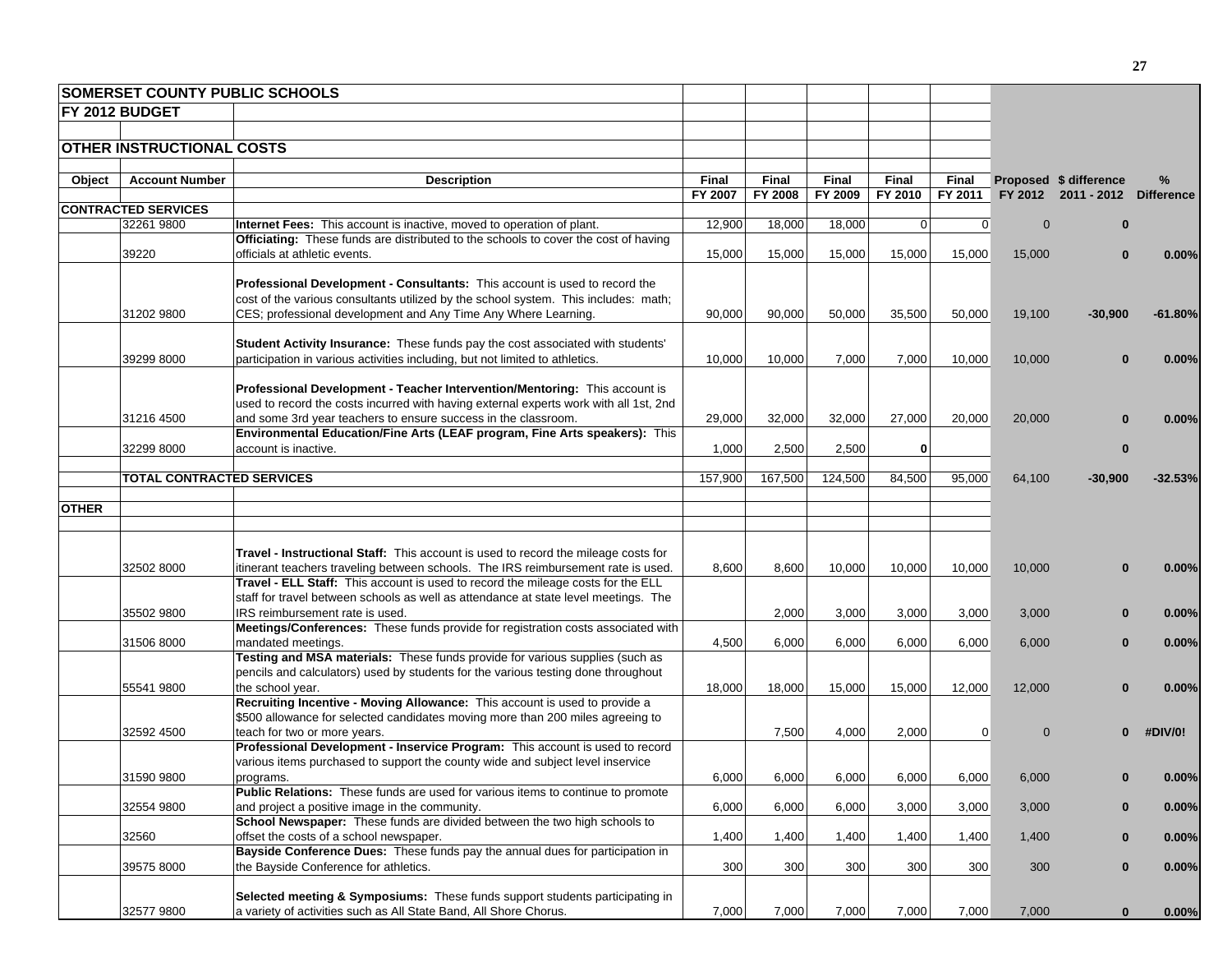|              | <b>SOMERSET COUNTY PUBLIC SCHOOLS</b> |                                                                                                        |         |         |         |             |                |                |                                |            |
|--------------|---------------------------------------|--------------------------------------------------------------------------------------------------------|---------|---------|---------|-------------|----------------|----------------|--------------------------------|------------|
|              | FY 2012 BUDGET                        |                                                                                                        |         |         |         |             |                |                |                                |            |
|              |                                       |                                                                                                        |         |         |         |             |                |                |                                |            |
|              | OTHER INSTRUCTIONAL COSTS             |                                                                                                        |         |         |         |             |                |                |                                |            |
|              |                                       |                                                                                                        |         |         |         |             |                |                |                                |            |
| Object       | <b>Account Number</b>                 | <b>Description</b>                                                                                     | Final   | Final   | Final   | Final       | <b>Final</b>   |                | Proposed \$ difference         | %          |
|              |                                       |                                                                                                        | FY 2007 | FY 2008 | FY 2009 | FY 2010     | FY 2011        |                | FY 2012 2011 - 2012 Difference |            |
|              | <b>CONTRACTED SERVICES</b>            |                                                                                                        |         |         |         |             |                |                |                                |            |
|              | 32261 9800                            | <b>Internet Fees:</b> This account is inactive, moved to operation of plant.                           | 12,900  | 18,000  | 18,000  | $\mathbf 0$ | $\overline{0}$ | $\Omega$       | $\bf{0}$                       |            |
|              |                                       | <b>Officiating:</b> These funds are distributed to the schools to cover the cost of having             |         |         |         |             |                |                |                                |            |
|              | 39220                                 | officials at athletic events.                                                                          | 15,000  | 15,000  | 15,000  | 15,000      | 15,000         | 15,000         | $\bf{0}$                       | 0.00%      |
|              |                                       |                                                                                                        |         |         |         |             |                |                |                                |            |
|              |                                       | <b>Professional Development - Consultants:</b> This account is used to record the                      |         |         |         |             |                |                |                                |            |
|              |                                       | cost of the various consultants utilized by the school system. This includes: math;                    |         |         |         |             |                |                |                                |            |
|              | 31202 9800                            | CES; professional development and Any Time Any Where Learning.                                         | 90,000  | 90,000  | 50,000  | 35,500      | 50,000         | 19,100         | $-30,900$                      | $-61.80\%$ |
|              |                                       | Student Activity Insurance: These funds pay the cost associated with students'                         |         |         |         |             |                |                |                                |            |
|              |                                       |                                                                                                        | 10,000  | 10,000  |         |             |                |                |                                |            |
|              | 39299 8000                            | participation in various activities including, but not limited to athletics.                           |         |         | 7,000   | 7,000       | 10,000         | 10,000         |                                | 0.00%      |
|              |                                       | Professional Development - Teacher Intervention/Mentoring: This account is                             |         |         |         |             |                |                |                                |            |
|              |                                       | used to record the costs incurred with having external experts work with all 1st, 2nd                  |         |         |         |             |                |                |                                |            |
|              | 31216 4500                            | and some 3rd year teachers to ensure success in the classroom.                                         | 29,000  | 32,000  | 32,000  | 27,000      | 20,000         | 20,000         |                                | 0.00%      |
|              |                                       | Environmental Education/Fine Arts (LEAF program, Fine Arts speakers): This                             |         |         |         |             |                |                |                                |            |
|              | 32299 8000                            | account is inactive.                                                                                   | 1,000   | 2,500   | 2,500   | 0           |                |                | $\bf{0}$                       |            |
|              |                                       |                                                                                                        |         |         |         |             |                |                |                                |            |
|              | <b>TOTAL CONTRACTED SERVICES</b>      |                                                                                                        | 157,900 | 167,500 | 124,500 | 84,500      | 95,000         | 64,100         | $-30,900$                      | $-32.53%$  |
|              |                                       |                                                                                                        |         |         |         |             |                |                |                                |            |
| <b>OTHER</b> |                                       |                                                                                                        |         |         |         |             |                |                |                                |            |
|              |                                       |                                                                                                        |         |         |         |             |                |                |                                |            |
|              |                                       |                                                                                                        |         |         |         |             |                |                |                                |            |
|              |                                       | Travel - Instructional Staff: This account is used to record the mileage costs for                     |         |         |         |             |                |                |                                |            |
|              | 32502 8000                            | itinerant teachers traveling between schools. The IRS reimbursement rate is used.                      | 8,600   | 8,600   | 10,000  | 10,000      | 10,000         | 10,000         |                                | 0.00%      |
|              |                                       | Travel - ELL Staff: This account is used to record the mileage costs for the ELL                       |         |         |         |             |                |                |                                |            |
|              |                                       | staff for travel between schools as well as attendance at state level meetings. The                    |         |         |         |             |                |                |                                |            |
|              | 35502 9800                            | IRS reimbursement rate is used.                                                                        |         | 2,000   | 3,000   | 3,000       | 3,000          | 3,000          | $\bf{0}$                       | 0.00%      |
|              | 31506 8000                            | Meetings/Conferences: These funds provide for registration costs associated with<br>mandated meetings. | 4,500   | 6,000   | 6,000   | 6,000       | 6,000          |                | $\bf{0}$                       |            |
|              |                                       | Testing and MSA materials: These funds provide for various supplies (such as                           |         |         |         |             |                | 6,000          |                                | 0.00%      |
|              |                                       | pencils and calculators) used by students for the various testing done throughout                      |         |         |         |             |                |                |                                |            |
|              | 55541 9800                            | the school year.                                                                                       | 18,000  | 18,000  | 15,000  | 15,000      | 12,000         | 12,000         | $\Omega$                       | 0.00%      |
|              |                                       | Recruiting Incentive - Moving Allowance: This account is used to provide a                             |         |         |         |             |                |                |                                |            |
|              |                                       | \$500 allowance for selected candidates moving more than 200 miles agreeing to                         |         |         |         |             |                |                |                                |            |
|              | 32592 4500                            | teach for two or more years.                                                                           |         | 7,500   | 4,000   | 2,000       | 0              | $\overline{0}$ | $\mathbf{0}$                   | #DIV/0!    |
|              |                                       | Professional Development - Inservice Program: This account is used to record                           |         |         |         |             |                |                |                                |            |
|              |                                       | various items purchased to support the county wide and subject level inservice                         |         |         |         |             |                |                |                                |            |
|              | 31590 9800                            | programs.                                                                                              | 6,000   | 6,000   | 6,000   | 6,000       | 6,000          | 6,000          |                                | 0.00%      |
|              |                                       | <b>Public Relations:</b> These funds are used for various items to continue to promote                 |         |         |         |             |                |                |                                |            |
|              | 32554 9800                            | and project a positive image in the community.                                                         | 6,000   | 6,000   | 6,000   | 3,000       | 3,000          | 3,000          | $\bf{0}$                       | 0.00%      |
|              |                                       | School Newspaper: These funds are divided between the two high schools to                              |         |         |         |             |                |                |                                |            |
|              | 32560                                 | offset the costs of a school newspaper.                                                                | 1,400   | 1,400   | 1,400   | 1,400       | 1,400          | 1,400          | $\bf{0}$                       | 0.00%      |
|              |                                       | Bayside Conference Dues: These funds pay the annual dues for participation in                          |         |         |         |             |                |                |                                |            |
|              | 39575 8000                            | the Bayside Conference for athletics.                                                                  | 300     | 300     | 300     | 300         | 300            | 300            | $\mathbf 0$                    | 0.00%      |
|              |                                       |                                                                                                        |         |         |         |             |                |                |                                |            |
|              |                                       | <b>Selected meeting &amp; Symposiums:</b> These funds support students participating in                |         |         |         |             |                |                |                                |            |
|              | 32577 9800                            | a variety of activities such as All State Band, All Shore Chorus.                                      | 7,000   | 7,000   | 7,000   | 7,000       | 7,000          | 7,000          | $\mathbf{0}$                   | $0.00\%$   |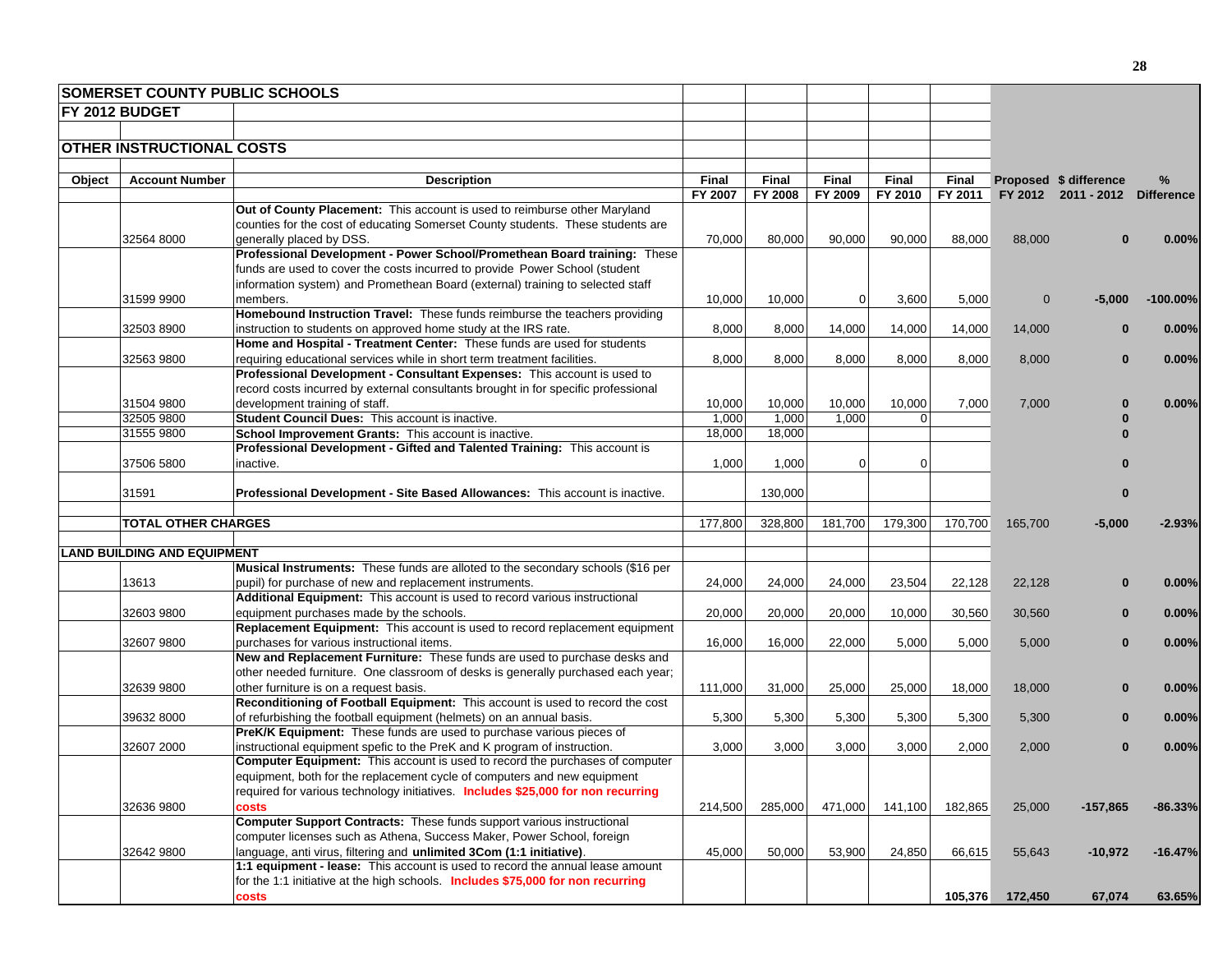|        | <b>SOMERSET COUNTY PUBLIC SCHOOLS</b> |                                                                                                                         |         |              |             |          |         |              |                                |            |
|--------|---------------------------------------|-------------------------------------------------------------------------------------------------------------------------|---------|--------------|-------------|----------|---------|--------------|--------------------------------|------------|
|        | <b>FY 2012 BUDGET</b>                 |                                                                                                                         |         |              |             |          |         |              |                                |            |
|        |                                       |                                                                                                                         |         |              |             |          |         |              |                                |            |
|        | <b>OTHER INSTRUCTIONAL COSTS</b>      |                                                                                                                         |         |              |             |          |         |              |                                |            |
|        |                                       |                                                                                                                         |         |              |             |          |         |              |                                |            |
| Object | <b>Account Number</b>                 | <b>Description</b>                                                                                                      | Final   | <b>Final</b> | Final       | Final    | Final   |              | Proposed \$ difference         | ℅          |
|        |                                       |                                                                                                                         | FY 2007 | FY 2008      | FY 2009     | FY 2010  | FY 2011 |              | FY 2012 2011 - 2012 Difference |            |
|        |                                       | Out of County Placement: This account is used to reimburse other Maryland                                               |         |              |             |          |         |              |                                |            |
|        |                                       | counties for the cost of educating Somerset County students. These students are                                         |         |              |             |          |         |              |                                |            |
|        | 32564 8000                            | generally placed by DSS.                                                                                                | 70,000  | 80,000       | 90,000      | 90,000   | 88,000  | 88,000       |                                | 0.00%      |
|        |                                       | Professional Development - Power School/Promethean Board training: These                                                |         |              |             |          |         |              |                                |            |
|        |                                       | funds are used to cover the costs incurred to provide Power School (student                                             |         |              |             |          |         |              |                                |            |
|        |                                       | information system) and Promethean Board (external) training to selected staff                                          |         |              |             |          |         |              |                                |            |
|        | 31599 9900                            | members.                                                                                                                | 10,000  | 10,000       | $\mathbf 0$ | 3,600    | 5,000   | $\mathbf{0}$ | $-5,000$                       | $-100.00%$ |
|        |                                       | Homebound Instruction Travel: These funds reimburse the teachers providing                                              |         |              |             |          |         |              |                                |            |
|        | 32503 8900                            | instruction to students on approved home study at the IRS rate.                                                         | 8,000   | 8,000        | 14,000      | 14,000   | 14,000  | 14,000       |                                | 0.00%      |
|        |                                       | Home and Hospital - Treatment Center: These funds are used for students                                                 |         |              |             |          |         |              |                                |            |
|        | 32563 9800                            | requiring educational services while in short term treatment facilities.                                                | 8,000   | 8,000        | 8,000       | 8,000    | 8,000   | 8,000        | $\bf{0}$                       | 0.00%      |
|        |                                       | Professional Development - Consultant Expenses: This account is used to                                                 |         |              |             |          |         |              |                                |            |
|        |                                       | record costs incurred by external consultants brought in for specific professional<br>development training of staff.    | 10,000  | 10,000       | 10,000      | 10,000   | 7,000   | 7,000        |                                |            |
|        | 31504 9800<br>32505 9800              | Student Council Dues: This account is inactive.                                                                         | 1,000   | 1,000        | 1,000       | $\Omega$ |         |              |                                | 0.00%      |
|        | 31555 9800                            | School Improvement Grants: This account is inactive.                                                                    | 18,000  | 18,000       |             |          |         |              |                                |            |
|        |                                       | Professional Development - Gifted and Talented Training: This account is                                                |         |              |             |          |         |              |                                |            |
|        | 37506 5800                            | inactive.                                                                                                               | 1,000   | 1,000        | $\mathbf 0$ | $\Omega$ |         |              |                                |            |
|        |                                       |                                                                                                                         |         |              |             |          |         |              |                                |            |
|        | 31591                                 | Professional Development - Site Based Allowances: This account is inactive.                                             |         | 130,000      |             |          |         |              | $\bf{0}$                       |            |
|        |                                       |                                                                                                                         |         |              |             |          |         |              |                                |            |
|        | <b>TOTAL OTHER CHARGES</b>            |                                                                                                                         | 177,800 | 328,800      | 181,700     | 179,300  | 170,700 | 165,700      | $-5,000$                       | $-2.93%$   |
|        |                                       |                                                                                                                         |         |              |             |          |         |              |                                |            |
|        | <b>LAND BUILDING AND EQUIPMENT</b>    |                                                                                                                         |         |              |             |          |         |              |                                |            |
|        |                                       | Musical Instruments: These funds are alloted to the secondary schools (\$16 per                                         |         |              |             |          |         |              |                                |            |
|        | 13613                                 | pupil) for purchase of new and replacement instruments.                                                                 | 24,000  | 24,000       | 24,000      | 23,504   | 22,128  | 22,128       |                                | 0.00%      |
|        |                                       | Additional Equipment: This account is used to record various instructional                                              |         |              |             |          |         |              |                                |            |
|        | 32603 9800                            | equipment purchases made by the schools.                                                                                | 20,000  | 20,000       | 20,000      | 10,000   | 30,560  | 30,560       | $\bf{0}$                       | 0.00%      |
|        |                                       | Replacement Equipment: This account is used to record replacement equipment                                             |         |              |             |          |         |              |                                |            |
|        | 32607 9800                            | purchases for various instructional items.<br>New and Replacement Furniture: These funds are used to purchase desks and | 16,000  | 16,000       | 22,000      | 5,000    | 5,000   | 5,000        | $\bf{0}$                       | 0.00%      |
|        |                                       | other needed furniture. One classroom of desks is generally purchased each year;                                        |         |              |             |          |         |              |                                |            |
|        | 32639 9800                            | other furniture is on a request basis.                                                                                  | 111,000 | 31,000       | 25,000      | 25,000   | 18,000  | 18,000       | $\bf{0}$                       | 0.00%      |
|        |                                       | Reconditioning of Football Equipment: This account is used to record the cost                                           |         |              |             |          |         |              |                                |            |
|        | 39632 8000                            | of refurbishing the football equipment (helmets) on an annual basis.                                                    | 5,300   | 5,300        | 5,300       | 5,300    | 5,300   | 5,300        |                                | 0.00%      |
|        |                                       | PreK/K Equipment: These funds are used to purchase various pieces of                                                    |         |              |             |          |         |              |                                |            |
|        | 32607 2000                            | instructional equipment spefic to the PreK and K program of instruction.                                                | 3,000   | 3,000        | 3,000       | 3,000    | 2,000   | 2,000        | $\mathbf{0}$                   | 0.00%      |
|        |                                       | Computer Equipment: This account is used to record the purchases of computer                                            |         |              |             |          |         |              |                                |            |
|        |                                       | equipment, both for the replacement cycle of computers and new equipment                                                |         |              |             |          |         |              |                                |            |
|        |                                       | required for various technology initiatives. Includes \$25,000 for non recurring                                        |         |              |             |          |         |              |                                |            |
|        | 32636 9800                            | costs                                                                                                                   | 214.500 | 285,000      | 471.000     | 141,100  | 182,865 | 25,000       | $-157,865$                     | $-86.33%$  |
|        |                                       | <b>Computer Support Contracts:</b> These funds support various instructional                                            |         |              |             |          |         |              |                                |            |
|        |                                       | computer licenses such as Athena, Success Maker, Power School, foreign                                                  |         |              |             |          |         |              |                                |            |
|        | 32642 9800                            | language, anti virus, filtering and unlimited 3Com (1:1 initiative).                                                    | 45,000  | 50,000       | 53,900      | 24,850   | 66,615  | 55,643       | $-10,972$                      | $-16.47%$  |
|        |                                       | 1:1 equipment - lease: This account is used to record the annual lease amount                                           |         |              |             |          |         |              |                                |            |
|        |                                       | for the 1:1 initiative at the high schools. Includes \$75,000 for non recurring                                         |         |              |             |          |         |              |                                |            |
|        |                                       | costs                                                                                                                   |         |              |             |          | 105,376 | 172,450      | 67,074                         | 63.65%     |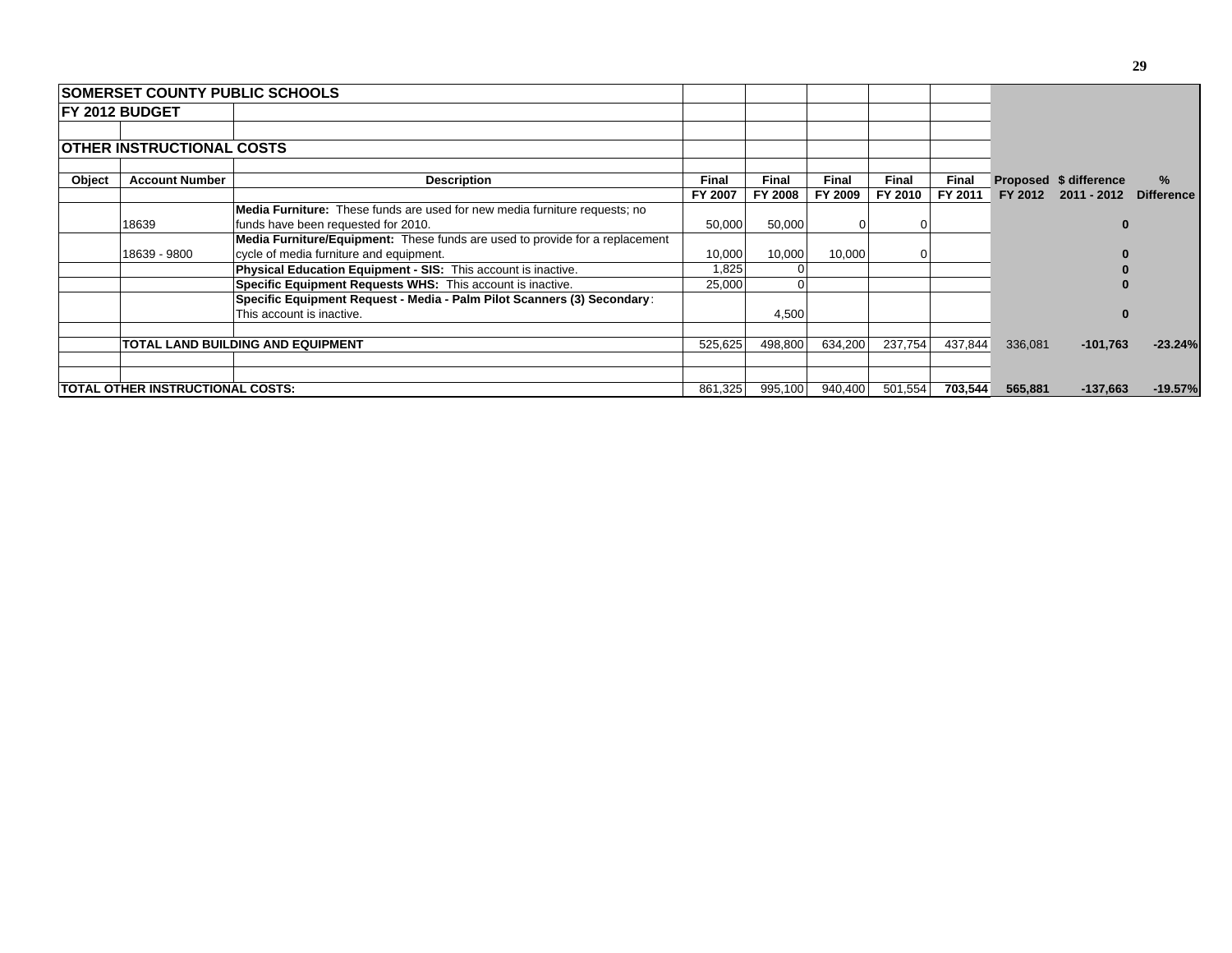|        | <b>ISOMERSET COUNTY PUBLIC SCHOOLS</b>                                              |                                                                                   |              |                |         |         |              |         |                        |                   |
|--------|-------------------------------------------------------------------------------------|-----------------------------------------------------------------------------------|--------------|----------------|---------|---------|--------------|---------|------------------------|-------------------|
|        | <b>IFY 2012 BUDGET</b>                                                              |                                                                                   |              |                |         |         |              |         |                        |                   |
|        |                                                                                     |                                                                                   |              |                |         |         |              |         |                        |                   |
|        | <b>OTHER INSTRUCTIONAL COSTS</b>                                                    |                                                                                   |              |                |         |         |              |         |                        |                   |
| Object | <b>Account Number</b>                                                               | <b>Description</b>                                                                | <b>Final</b> | <b>Final</b>   | Final   | Final   | <b>Final</b> |         | Proposed \$ difference | $\%$              |
|        |                                                                                     |                                                                                   | FY 2007      | <b>FY 2008</b> | FY 2009 | FY 2010 | FY 2011      | FY 2012 | 2011 - 2012            | <b>Difference</b> |
|        |                                                                                     | <b>Media Furniture:</b> These funds are used for new media furniture requests; no |              |                |         |         |              |         |                        |                   |
|        | 18639                                                                               | funds have been requested for 2010.                                               | 50,000       | 50,000         |         |         |              |         |                        |                   |
|        | <b>Media Furniture/Equipment:</b> These funds are used to provide for a replacement |                                                                                   |              |                |         |         |              |         |                        |                   |
|        | 18639 - 9800                                                                        | cycle of media furniture and equipment.                                           | 10,000       | 10,000         | 10,000  |         |              |         |                        |                   |
|        |                                                                                     | <b>Physical Education Equipment - SIS: This account is inactive.</b>              | 1,825        |                |         |         |              |         |                        |                   |
|        |                                                                                     | Specific Equipment Requests WHS: This account is inactive.                        | 25.000       |                |         |         |              |         |                        |                   |
|        |                                                                                     | Specific Equipment Request - Media - Palm Pilot Scanners (3) Secondary:           |              |                |         |         |              |         |                        |                   |
|        |                                                                                     | This account is inactive.                                                         |              | 4,500          |         |         |              |         |                        |                   |
|        |                                                                                     | TOTAL LAND BUILDING AND EQUIPMENT                                                 | 525.625      | 498,800        | 634,200 | 237.754 | 437,844      | 336,081 | $-101,763$             | $-23.24%$         |
|        |                                                                                     |                                                                                   |              |                |         |         |              |         |                        |                   |
|        | <b> TOTAL OTHER INSTRUCTIONAL COSTS:</b>                                            |                                                                                   | 861,325      | 995,100        | 940,400 | 501,554 | 703,544      | 565,881 | $-137,663$             | $-19.57%$         |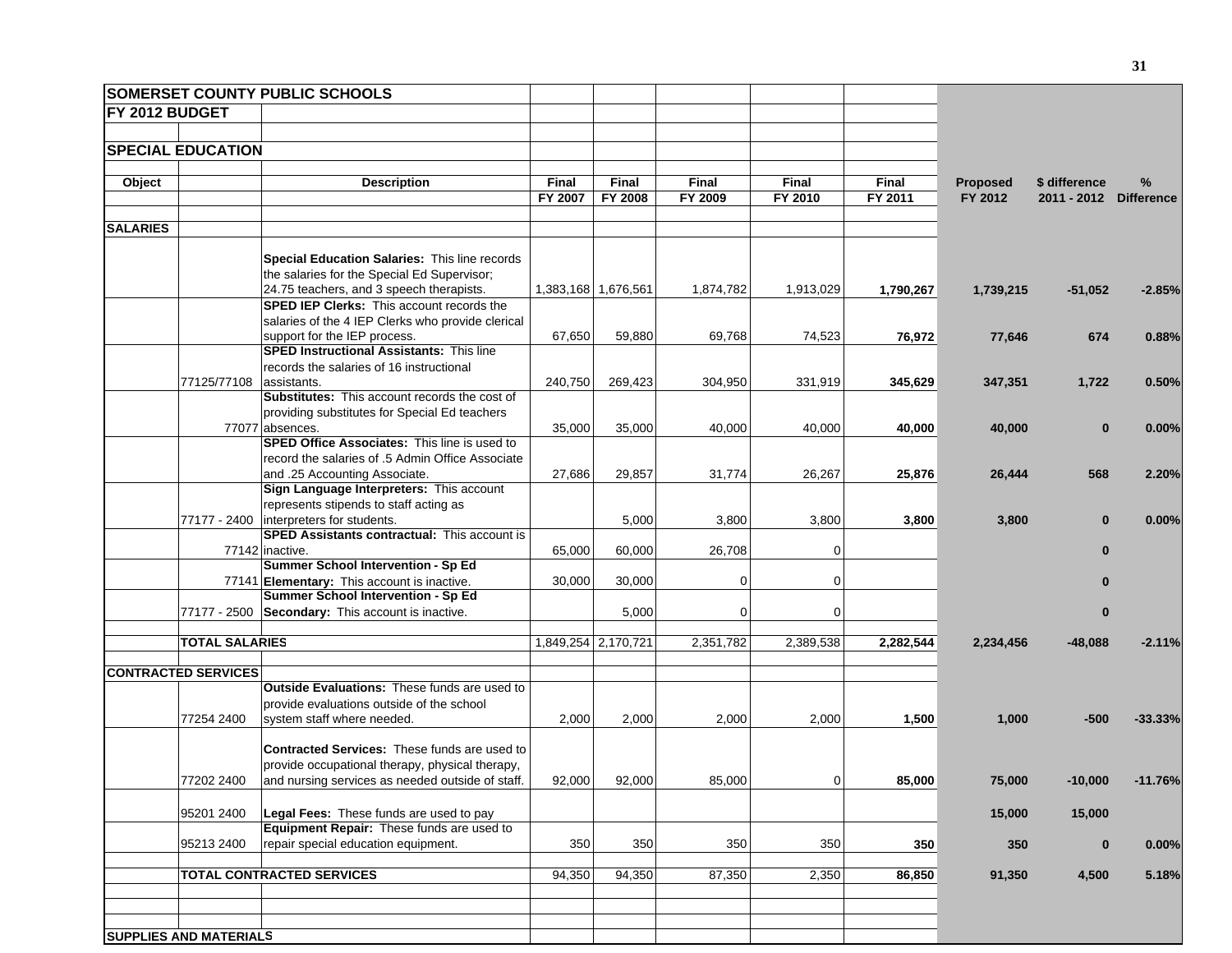|                       |                               | <b>SOMERSET COUNTY PUBLIC SCHOOLS</b>                                             |         |                     |                |                |           |                 |               |                   |
|-----------------------|-------------------------------|-----------------------------------------------------------------------------------|---------|---------------------|----------------|----------------|-----------|-----------------|---------------|-------------------|
| <b>FY 2012 BUDGET</b> |                               |                                                                                   |         |                     |                |                |           |                 |               |                   |
|                       |                               |                                                                                   |         |                     |                |                |           |                 |               |                   |
|                       | <b>SPECIAL EDUCATION</b>      |                                                                                   |         |                     |                |                |           |                 |               |                   |
|                       |                               |                                                                                   |         |                     |                |                |           |                 |               |                   |
| Object                |                               | <b>Description</b>                                                                | Final   | Final               | Final          | Final          | Final     | <b>Proposed</b> | \$ difference | $\%$              |
|                       |                               |                                                                                   | FY 2007 | FY 2008             | FY 2009        | FY 2010        | FY 2011   | FY 2012         | 2011 - 2012   | <b>Difference</b> |
| <b>SALARIES</b>       |                               |                                                                                   |         |                     |                |                |           |                 |               |                   |
|                       |                               |                                                                                   |         |                     |                |                |           |                 |               |                   |
|                       |                               | Special Education Salaries: This line records                                     |         |                     |                |                |           |                 |               |                   |
|                       |                               | the salaries for the Special Ed Supervisor;                                       |         |                     |                |                |           |                 |               |                   |
|                       |                               | 24.75 teachers, and 3 speech therapists.                                          |         | 1,383,168 1,676,561 | 1,874,782      | 1,913,029      | 1,790,267 | 1,739,215       | $-51,052$     | $-2.85%$          |
|                       |                               | <b>SPED IEP Clerks:</b> This account records the                                  |         |                     |                |                |           |                 |               |                   |
|                       |                               | salaries of the 4 IEP Clerks who provide clerical                                 |         |                     |                |                |           |                 |               |                   |
|                       |                               | support for the IEP process.                                                      | 67,650  | 59,880              | 69,768         | 74,523         | 76,972    | 77,646          | 674           | 0.88%             |
|                       |                               | <b>SPED Instructional Assistants: This line</b>                                   |         |                     |                |                |           |                 |               |                   |
|                       |                               | records the salaries of 16 instructional                                          |         |                     |                |                |           |                 |               |                   |
|                       | 77125/77108                   | assistants.<br><b>Substitutes:</b> This account records the cost of               | 240,750 | 269,423             | 304,950        | 331,919        | 345,629   | 347,351         | 1,722         | 0.50%             |
|                       |                               |                                                                                   |         |                     |                |                |           |                 |               |                   |
|                       |                               | providing substitutes for Special Ed teachers<br>77077 absences.                  | 35,000  | 35,000              | 40,000         | 40,000         | 40,000    | 40,000          | $\bf{0}$      | 0.00%             |
|                       |                               | <b>SPED Office Associates: This line is used to</b>                               |         |                     |                |                |           |                 |               |                   |
|                       |                               | record the salaries of .5 Admin Office Associate                                  |         |                     |                |                |           |                 |               |                   |
|                       |                               | and .25 Accounting Associate.                                                     | 27,686  | 29,857              | 31,774         | 26,267         | 25,876    | 26,444          | 568           | 2.20%             |
|                       |                               | Sign Language Interpreters: This account                                          |         |                     |                |                |           |                 |               |                   |
|                       |                               | represents stipends to staff acting as                                            |         |                     |                |                |           |                 |               |                   |
|                       |                               | 77177 - 2400 interpreters for students.                                           |         | 5,000               | 3,800          | 3,800          | 3,800     | 3,800           | $\bf{0}$      | 0.00%             |
|                       |                               | <b>SPED Assistants contractual: This account is</b>                               |         |                     |                |                |           |                 |               |                   |
|                       |                               | 77142 inactive.                                                                   | 65,000  | 60,000              | 26,708         | $\mathbf 0$    |           |                 | $\bf{0}$      |                   |
|                       |                               | Summer School Intervention - Sp Ed                                                |         |                     |                |                |           |                 |               |                   |
|                       |                               | 77141 Elementary: This account is inactive.<br>Summer School Intervention - Sp Ed | 30,000  | 30,000              | $\mathbf 0$    | $\mathbf 0$    |           |                 |               |                   |
|                       |                               | 77177 - 2500 Secondary: This account is inactive.                                 |         | 5,000               | $\overline{0}$ | $\mathbf 0$    |           |                 | 0             |                   |
|                       |                               |                                                                                   |         |                     |                |                |           |                 |               |                   |
|                       | <b>TOTAL SALARIES</b>         |                                                                                   |         | 1,849,254 2,170,721 | 2,351,782      | 2,389,538      | 2,282,544 | 2,234,456       | $-48,088$     | $-2.11%$          |
|                       |                               |                                                                                   |         |                     |                |                |           |                 |               |                   |
|                       | <b>CONTRACTED SERVICES</b>    |                                                                                   |         |                     |                |                |           |                 |               |                   |
|                       |                               | Outside Evaluations: These funds are used to                                      |         |                     |                |                |           |                 |               |                   |
|                       |                               | provide evaluations outside of the school                                         |         |                     |                |                |           |                 |               |                   |
|                       | 77254 2400                    | system staff where needed.                                                        | 2,000   | 2,000               | 2,000          | 2,000          | 1,500     | 1,000           | $-500$        | $-33.33%$         |
|                       |                               | <b>Contracted Services: These funds are used to</b>                               |         |                     |                |                |           |                 |               |                   |
|                       |                               | provide occupational therapy, physical therapy,                                   |         |                     |                |                |           |                 |               |                   |
|                       | 77202 2400                    | and nursing services as needed outside of staff.                                  | 92,000  | 92,000              | 85,000         | $\overline{0}$ | 85,000    | 75,000          | -10,000       | $-11.76%$         |
|                       |                               |                                                                                   |         |                     |                |                |           |                 |               |                   |
|                       | 95201 2400                    | Legal Fees: These funds are used to pay                                           |         |                     |                |                |           | 15,000          | 15,000        |                   |
|                       |                               | Equipment Repair: These funds are used to                                         |         |                     |                |                |           |                 |               |                   |
|                       | 95213 2400                    | repair special education equipment.                                               | 350     | 350                 | 350            | 350            | 350       | 350             | $\bf{0}$      | 0.00%             |
|                       |                               |                                                                                   |         |                     |                |                |           |                 |               |                   |
|                       |                               | TOTAL CONTRACTED SERVICES                                                         | 94,350  | 94,350              | 87,350         | 2,350          | 86,850    | 91,350          | 4,500         | 5.18%             |
|                       |                               |                                                                                   |         |                     |                |                |           |                 |               |                   |
|                       |                               |                                                                                   |         |                     |                |                |           |                 |               |                   |
|                       | <b>SUPPLIES AND MATERIALS</b> |                                                                                   |         |                     |                |                |           |                 |               |                   |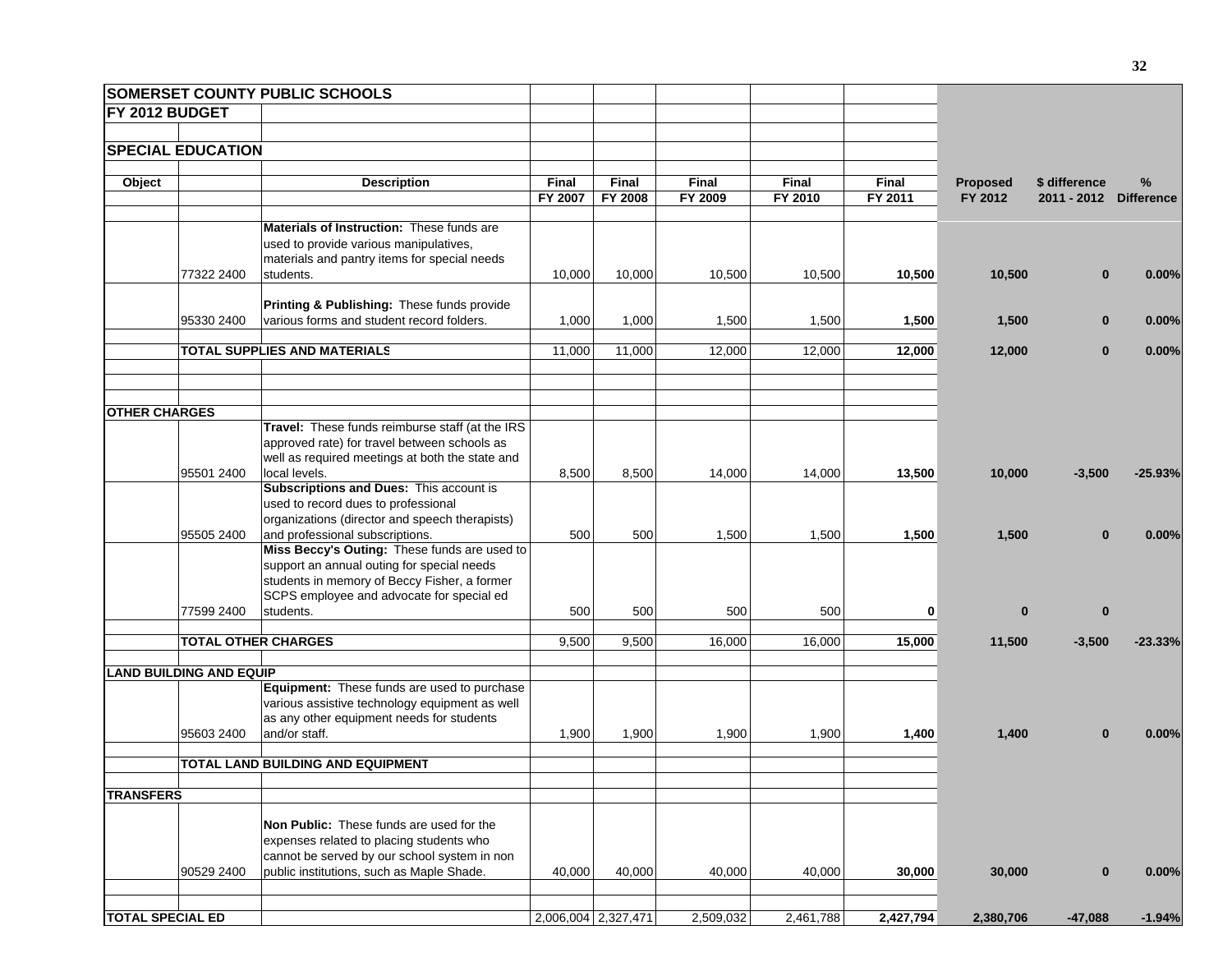| SOMERSET COUNTY PUBLIC SCHOOLS |                                                 |              |                     |              |           |           |                 |                        |           |
|--------------------------------|-------------------------------------------------|--------------|---------------------|--------------|-----------|-----------|-----------------|------------------------|-----------|
| FY 2012 BUDGET                 |                                                 |              |                     |              |           |           |                 |                        |           |
|                                |                                                 |              |                     |              |           |           |                 |                        |           |
| <b>SPECIAL EDUCATION</b>       |                                                 |              |                     |              |           |           |                 |                        |           |
|                                |                                                 |              |                     |              |           |           |                 |                        |           |
| Object                         | <b>Description</b>                              | <b>Final</b> | <b>Final</b>        | <b>Final</b> | Final     | Final     | <b>Proposed</b> | \$ difference          | $\%$      |
|                                |                                                 | FY 2007      | FY 2008             | FY 2009      | FY 2010   | FY 2011   | FY 2012         | 2011 - 2012 Difference |           |
|                                | Materials of Instruction: These funds are       |              |                     |              |           |           |                 |                        |           |
|                                | used to provide various manipulatives,          |              |                     |              |           |           |                 |                        |           |
|                                | materials and pantry items for special needs    |              |                     |              |           |           |                 |                        |           |
| 77322 2400                     | students.                                       | 10,000       | 10,000              | 10,500       | 10,500    | 10,500    | 10,500          | $\bf{0}$               | 0.00%     |
|                                |                                                 |              |                     |              |           |           |                 |                        |           |
|                                | Printing & Publishing: These funds provide      |              |                     |              |           |           |                 |                        |           |
| 95330 2400                     | various forms and student record folders.       | 1,000        | 1,000               | 1,500        | 1,500     | 1,500     | 1,500           | $\bf{0}$               | 0.00%     |
|                                |                                                 |              |                     |              |           |           |                 |                        |           |
|                                | TOTAL SUPPLIES AND MATERIALS                    | 11,000       | 11,000              | 12,000       | 12,000    | 12,000    | 12,000          | $\bf{0}$               | 0.00%     |
|                                |                                                 |              |                     |              |           |           |                 |                        |           |
|                                |                                                 |              |                     |              |           |           |                 |                        |           |
| <b>OTHER CHARGES</b>           |                                                 |              |                     |              |           |           |                 |                        |           |
|                                | Travel: These funds reimburse staff (at the IRS |              |                     |              |           |           |                 |                        |           |
|                                | approved rate) for travel between schools as    |              |                     |              |           |           |                 |                        |           |
|                                | well as required meetings at both the state and |              |                     |              |           |           |                 |                        |           |
| 95501 2400                     | local levels.                                   | 8,500        | 8,500               | 14,000       | 14,000    | 13,500    | 10,000          | $-3,500$               | $-25.93%$ |
|                                | Subscriptions and Dues: This account is         |              |                     |              |           |           |                 |                        |           |
|                                | used to record dues to professional             |              |                     |              |           |           |                 |                        |           |
|                                | organizations (director and speech therapists)  |              |                     |              |           |           |                 |                        |           |
| 95505 2400                     | and professional subscriptions.                 | 500          | 500                 | 1,500        | 1,500     | 1,500     | 1,500           | $\Omega$               | 0.00%     |
|                                | Miss Beccy's Outing: These funds are used to    |              |                     |              |           |           |                 |                        |           |
|                                | support an annual outing for special needs      |              |                     |              |           |           |                 |                        |           |
|                                | students in memory of Beccy Fisher, a former    |              |                     |              |           |           |                 |                        |           |
|                                | SCPS employee and advocate for special ed       |              |                     |              |           |           |                 |                        |           |
| 77599 2400                     | students.                                       | 500          | 500                 | 500          | 500       | 0         | $\bf{0}$        | $\bf{0}$               |           |
| <b>TOTAL OTHER CHARGES</b>     |                                                 | 9,500        | 9,500               | 16,000       | 16,000    | 15,000    | 11,500          | $-3,500$               | $-23.33%$ |
|                                |                                                 |              |                     |              |           |           |                 |                        |           |
| <b>LAND BUILDING AND EQUIP</b> |                                                 |              |                     |              |           |           |                 |                        |           |
|                                | Equipment: These funds are used to purchase     |              |                     |              |           |           |                 |                        |           |
|                                | various assistive technology equipment as well  |              |                     |              |           |           |                 |                        |           |
|                                | as any other equipment needs for students       |              |                     |              |           |           |                 |                        |           |
| 95603 2400                     | and/or staff.                                   | 1,900        | 1,900               | 1,900        | 1,900     | 1,400     | 1,400           | $\bf{0}$               | 0.00%     |
|                                |                                                 |              |                     |              |           |           |                 |                        |           |
|                                | TOTAL LAND BUILDING AND EQUIPMENT               |              |                     |              |           |           |                 |                        |           |
|                                |                                                 |              |                     |              |           |           |                 |                        |           |
| <b>TRANSFERS</b>               |                                                 |              |                     |              |           |           |                 |                        |           |
|                                | Non Public: These funds are used for the        |              |                     |              |           |           |                 |                        |           |
|                                | expenses related to placing students who        |              |                     |              |           |           |                 |                        |           |
|                                | cannot be served by our school system in non    |              |                     |              |           |           |                 |                        |           |
| 90529 2400                     | public institutions, such as Maple Shade.       | 40,000       | 40,000              | 40,000       | 40,000    | 30,000    | 30,000          | $\bf{0}$               | 0.00%     |
|                                |                                                 |              |                     |              |           |           |                 |                        |           |
|                                |                                                 |              |                     |              |           |           |                 |                        |           |
| <b>TOTAL SPECIAL ED</b>        |                                                 |              | 2,006,004 2,327,471 | 2,509,032    | 2,461,788 | 2,427,794 | 2,380,706       | $-47,088$              | $-1.94%$  |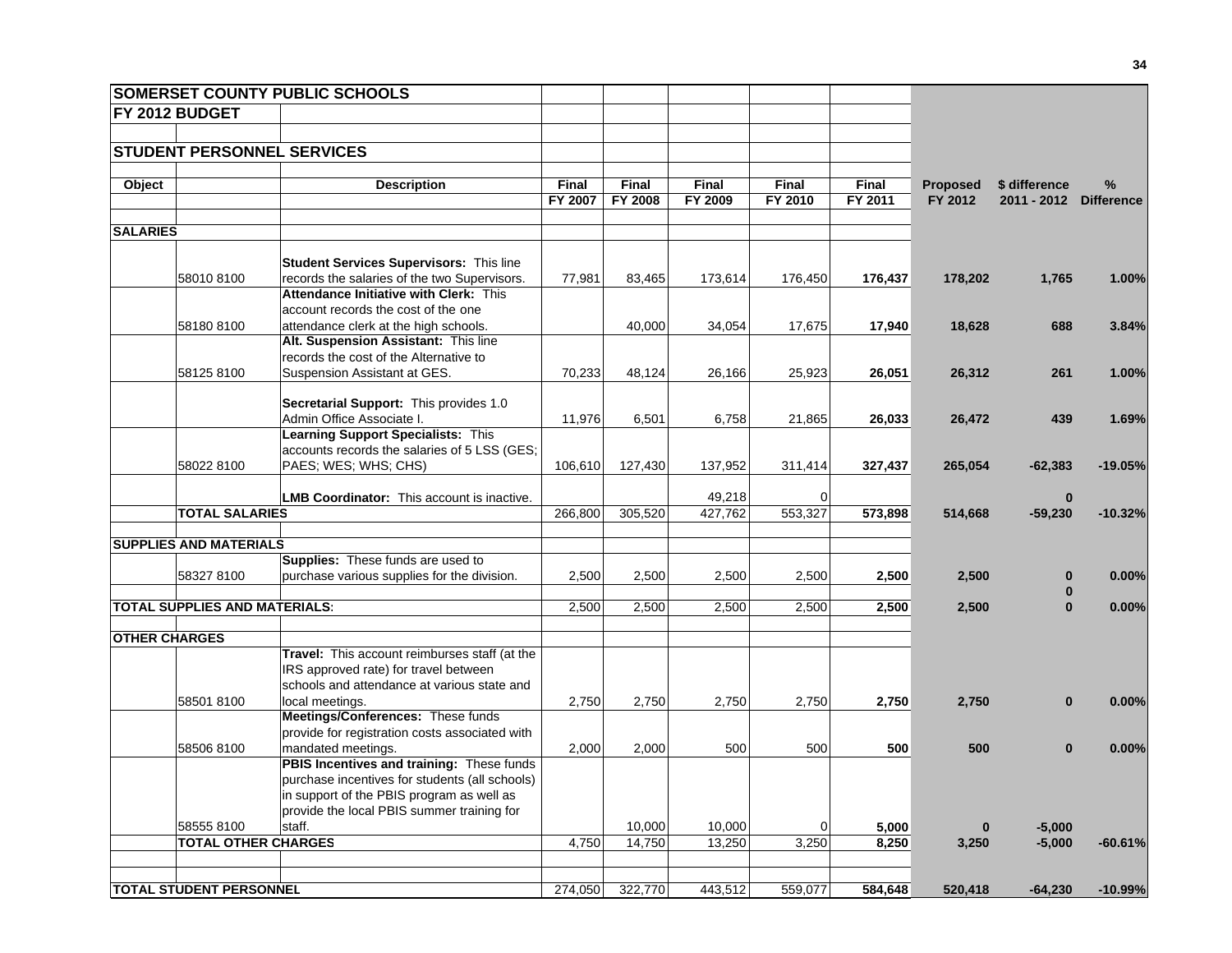|                      |                                      | <b>SOMERSET COUNTY PUBLIC SCHOOLS</b>                                                |              |         |         |                |              |                 |               |                   |
|----------------------|--------------------------------------|--------------------------------------------------------------------------------------|--------------|---------|---------|----------------|--------------|-----------------|---------------|-------------------|
|                      | FY 2012 BUDGET                       |                                                                                      |              |         |         |                |              |                 |               |                   |
|                      |                                      |                                                                                      |              |         |         |                |              |                 |               |                   |
|                      |                                      | <b>STUDENT PERSONNEL SERVICES</b>                                                    |              |         |         |                |              |                 |               |                   |
|                      |                                      |                                                                                      |              |         |         |                |              |                 |               |                   |
| Object               |                                      | <b>Description</b>                                                                   | <b>Final</b> | Final   | Final   | Final          | <b>Final</b> | <b>Proposed</b> | \$ difference | %                 |
|                      |                                      |                                                                                      | FY 2007      | FY 2008 | FY 2009 | FY 2010        | FY 2011      | FY 2012         | 2011 - 2012   | <b>Difference</b> |
| <b>SALARIES</b>      |                                      |                                                                                      |              |         |         |                |              |                 |               |                   |
|                      |                                      |                                                                                      |              |         |         |                |              |                 |               |                   |
|                      |                                      | <b>Student Services Supervisors: This line</b>                                       |              |         |         |                |              |                 |               |                   |
|                      | 580108100                            | records the salaries of the two Supervisors.                                         | 77,981       | 83,465  | 173,614 | 176,450        | 176,437      | 178,202         | 1,765         | 1.00%             |
|                      |                                      | Attendance Initiative with Clerk: This                                               |              |         |         |                |              |                 |               |                   |
|                      |                                      | account records the cost of the one                                                  |              |         |         |                |              |                 |               |                   |
|                      | 581808100                            | attendance clerk at the high schools.                                                |              | 40,000  | 34,054  | 17,675         | 17,940       | 18,628          | 688           | 3.84%             |
|                      |                                      | Alt. Suspension Assistant: This line                                                 |              |         |         |                |              |                 |               |                   |
|                      |                                      | records the cost of the Alternative to                                               |              |         |         |                |              |                 |               |                   |
|                      | 58125 8100                           | Suspension Assistant at GES.                                                         | 70,233       | 48,124  | 26,166  | 25,923         | 26,051       | 26,312          | 261           | 1.00%             |
|                      |                                      |                                                                                      |              |         |         |                |              |                 |               |                   |
|                      |                                      | Secretarial Support: This provides 1.0                                               |              |         |         |                |              |                 |               |                   |
|                      |                                      | Admin Office Associate I.                                                            | 11,976       | 6,501   | 6,758   | 21,865         | 26,033       | 26,472          | 439           | 1.69%             |
|                      |                                      | Learning Support Specialists: This                                                   |              |         |         |                |              |                 |               |                   |
|                      |                                      | accounts records the salaries of 5 LSS (GES;                                         |              |         |         |                |              |                 |               |                   |
|                      | 58022 8100                           | PAES; WES; WHS; CHS)                                                                 | 106,610      | 127,430 | 137,952 | 311,414        | 327,437      | 265,054         | $-62,383$     | $-19.05%$         |
|                      |                                      | <b>LMB Coordinator:</b> This account is inactive.                                    |              |         | 49,218  | $\Omega$       |              |                 | $\bf{0}$      |                   |
|                      | <b>TOTAL SALARIES</b>                |                                                                                      | 266,800      | 305,520 | 427,762 | 553,327        | 573,898      | 514,668         | $-59,230$     | $-10.32%$         |
|                      |                                      |                                                                                      |              |         |         |                |              |                 |               |                   |
|                      | <b>SUPPLIES AND MATERIALS</b>        |                                                                                      |              |         |         |                |              |                 |               |                   |
|                      |                                      | Supplies: These funds are used to                                                    |              |         |         |                |              |                 |               |                   |
|                      | 583278100                            | purchase various supplies for the division.                                          | 2,500        | 2,500   | 2,500   | 2,500          | 2,500        | 2,500           | $\bf{0}$      | 0.00%             |
|                      |                                      |                                                                                      |              |         |         |                |              |                 | $\bf{0}$      |                   |
|                      | <b>TOTAL SUPPLIES AND MATERIALS:</b> |                                                                                      | 2,500        | 2,500   | 2,500   | 2,500          | 2,500        | 2,500           | $\bf{0}$      | $0.00\%$          |
|                      |                                      |                                                                                      |              |         |         |                |              |                 |               |                   |
| <b>OTHER CHARGES</b> |                                      |                                                                                      |              |         |         |                |              |                 |               |                   |
|                      |                                      | Travel: This account reimburses staff (at the                                        |              |         |         |                |              |                 |               |                   |
|                      |                                      | IRS approved rate) for travel between<br>schools and attendance at various state and |              |         |         |                |              |                 |               |                   |
|                      | 585018100                            | local meetings.                                                                      |              | 2,750   |         | 2,750          | 2,750        | 2,750           | $\bf{0}$      | 0.00%             |
|                      |                                      | Meetings/Conferences: These funds                                                    | 2,750        |         | 2,750   |                |              |                 |               |                   |
|                      |                                      | provide for registration costs associated with                                       |              |         |         |                |              |                 |               |                   |
|                      | 58506 8100                           | mandated meetings.                                                                   | 2,000        | 2,000   | 500     | 500            | 500          | 500             | $\bf{0}$      | $0.00\%$          |
|                      |                                      | PBIS Incentives and training: These funds                                            |              |         |         |                |              |                 |               |                   |
|                      |                                      | purchase incentives for students (all schools)                                       |              |         |         |                |              |                 |               |                   |
|                      |                                      | in support of the PBIS program as well as                                            |              |         |         |                |              |                 |               |                   |
|                      |                                      | provide the local PBIS summer training for                                           |              |         |         |                |              |                 |               |                   |
|                      | 585558100                            | staff.                                                                               |              | 10,000  | 10,000  | $\overline{0}$ | 5,000        | $\bf{0}$        | $-5,000$      |                   |
|                      | <b>TOTAL OTHER CHARGES</b>           |                                                                                      | 4,750        | 14,750  | 13,250  | 3,250          | 8,250        | 3,250           | $-5,000$      | $-60.61%$         |
|                      |                                      |                                                                                      |              |         |         |                |              |                 |               |                   |
|                      |                                      |                                                                                      |              |         |         |                |              |                 |               |                   |
|                      | <b>TOTAL STUDENT PERSONNEL</b>       |                                                                                      | 274,050      | 322,770 | 443,512 | 559,077        | 584,648      | 520,418         | $-64,230$     | $-10.99%$         |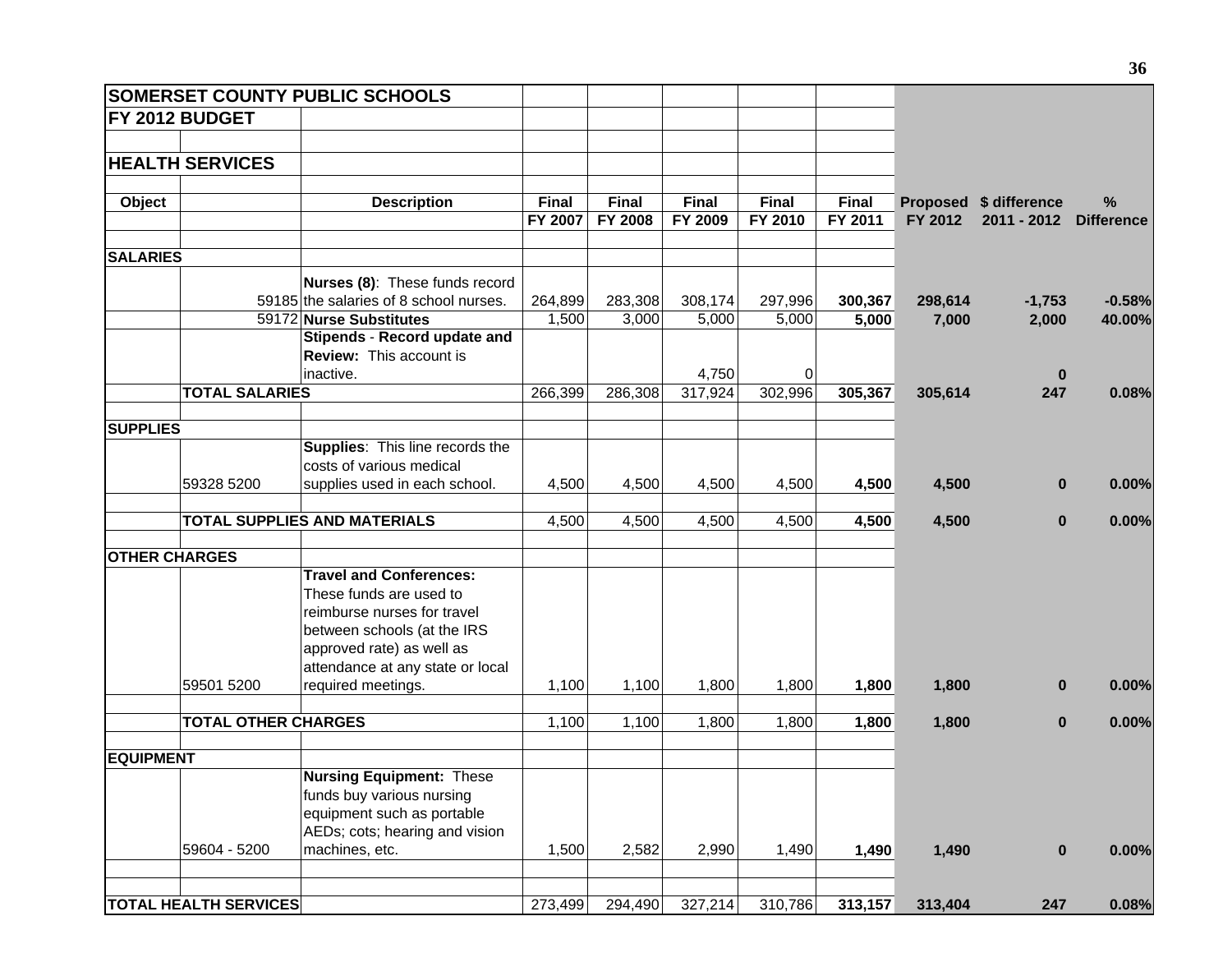| <b>SOMERSET COUNTY PUBLIC SCHOOLS</b> |                                        |              |              |              |         |              |         |                        |                   |
|---------------------------------------|----------------------------------------|--------------|--------------|--------------|---------|--------------|---------|------------------------|-------------------|
| <b>FY 2012 BUDGET</b>                 |                                        |              |              |              |         |              |         |                        |                   |
|                                       |                                        |              |              |              |         |              |         |                        |                   |
| <b>HEALTH SERVICES</b>                |                                        |              |              |              |         |              |         |                        |                   |
|                                       |                                        |              |              |              |         |              |         |                        |                   |
| Object                                | <b>Description</b>                     | <b>Final</b> | <b>Final</b> | <b>Final</b> | Final   | <b>Final</b> |         | Proposed \$ difference | $\%$              |
|                                       |                                        | FY 2007      | FY 2008      | FY 2009      | FY 2010 | FY 2011      | FY 2012 | 2011 - 2012            | <b>Difference</b> |
|                                       |                                        |              |              |              |         |              |         |                        |                   |
| <b>SALARIES</b>                       |                                        |              |              |              |         |              |         |                        |                   |
|                                       | Nurses (8): These funds record         |              |              |              |         |              |         |                        |                   |
|                                       | 59185 the salaries of 8 school nurses. | 264,899      | 283,308      | 308,174      | 297,996 | 300,367      | 298,614 | $-1,753$               | $-0.58%$          |
|                                       | 59172 Nurse Substitutes                | 1,500        | 3,000        | 5,000        | 5,000   | 5,000        | 7,000   | 2,000                  | 40.00%            |
|                                       | Stipends - Record update and           |              |              |              |         |              |         |                        |                   |
|                                       | <b>Review: This account is</b>         |              |              |              |         |              |         |                        |                   |
|                                       | inactive.                              |              |              | 4,750        | 0       |              |         | $\bf{0}$               |                   |
| <b>TOTAL SALARIES</b>                 |                                        | 266,399      | 286,308      | 317,924      | 302,996 | 305,367      | 305,614 | 247                    | 0.08%             |
|                                       |                                        |              |              |              |         |              |         |                        |                   |
| <b>SUPPLIES</b>                       |                                        |              |              |              |         |              |         |                        |                   |
|                                       | Supplies: This line records the        |              |              |              |         |              |         |                        |                   |
|                                       | costs of various medical               |              |              |              |         |              |         |                        |                   |
| 59328 5200                            | supplies used in each school.          | 4,500        | 4,500        | 4,500        | 4,500   | 4,500        | 4,500   | $\bf{0}$               | 0.00%             |
|                                       | <b>TOTAL SUPPLIES AND MATERIALS</b>    | 4,500        | 4,500        | 4,500        | 4,500   | 4,500        | 4,500   | $\bf{0}$               | 0.00%             |
| <b>OTHER CHARGES</b>                  |                                        |              |              |              |         |              |         |                        |                   |
|                                       | <b>Travel and Conferences:</b>         |              |              |              |         |              |         |                        |                   |
|                                       | These funds are used to                |              |              |              |         |              |         |                        |                   |
|                                       | reimburse nurses for travel            |              |              |              |         |              |         |                        |                   |
|                                       | between schools (at the IRS            |              |              |              |         |              |         |                        |                   |
|                                       | approved rate) as well as              |              |              |              |         |              |         |                        |                   |
|                                       | attendance at any state or local       |              |              |              |         |              |         |                        |                   |
| 59501 5200                            | required meetings.                     | 1,100        | 1,100        | 1,800        | 1,800   | 1,800        | 1,800   | $\bf{0}$               | 0.00%             |
|                                       |                                        |              |              |              |         |              |         |                        |                   |
| <b>TOTAL OTHER CHARGES</b>            |                                        | 1,100        | 1,100        | 1,800        | 1,800   | 1,800        | 1,800   | $\bf{0}$               | 0.00%             |
| <b>EQUIPMENT</b>                      |                                        |              |              |              |         |              |         |                        |                   |
|                                       | <b>Nursing Equipment: These</b>        |              |              |              |         |              |         |                        |                   |
|                                       | funds buy various nursing              |              |              |              |         |              |         |                        |                   |
|                                       | equipment such as portable             |              |              |              |         |              |         |                        |                   |
|                                       | AEDs; cots; hearing and vision         |              |              |              |         |              |         |                        |                   |
| 59604 - 5200                          | machines, etc.                         | 1,500        | 2,582        | 2,990        | 1,490   | 1,490        | 1,490   | $\bf{0}$               | 0.00%             |
|                                       |                                        |              |              |              |         |              |         |                        |                   |
| <b>TOTAL HEALTH SERVICES</b>          |                                        | 273,499      | 294,490      | 327,214      | 310,786 | 313,157      | 313,404 | 247                    | 0.08%             |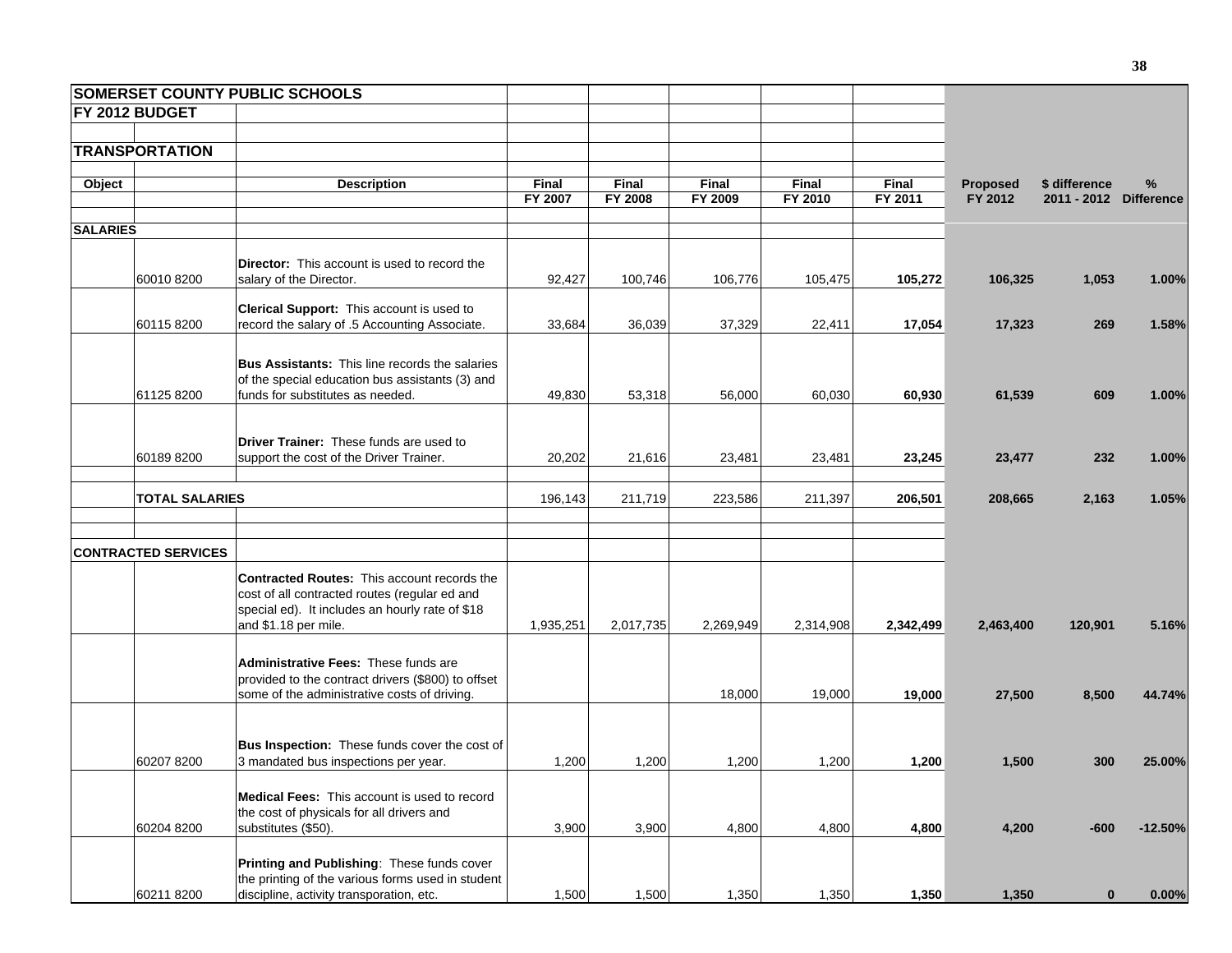|                 |                            | <b>SOMERSET COUNTY PUBLIC SCHOOLS</b>                                                                                                                                   |                  |                  |                  |                  |                         |                            |                                         |           |
|-----------------|----------------------------|-------------------------------------------------------------------------------------------------------------------------------------------------------------------------|------------------|------------------|------------------|------------------|-------------------------|----------------------------|-----------------------------------------|-----------|
|                 | FY 2012 BUDGET             |                                                                                                                                                                         |                  |                  |                  |                  |                         |                            |                                         |           |
|                 | <b>TRANSPORTATION</b>      |                                                                                                                                                                         |                  |                  |                  |                  |                         |                            |                                         |           |
| Object          |                            | <b>Description</b>                                                                                                                                                      | Final<br>FY 2007 | Final<br>FY 2008 | Final<br>FY 2009 | Final<br>FY 2010 | <b>Final</b><br>FY 2011 | <b>Proposed</b><br>FY 2012 | \$ difference<br>2011 - 2012 Difference | %         |
| <b>SALARIES</b> |                            |                                                                                                                                                                         |                  |                  |                  |                  |                         |                            |                                         |           |
|                 | 60010 8200                 | <b>Director:</b> This account is used to record the<br>salary of the Director.                                                                                          | 92,427           | 100,746          | 106,776          | 105,475          | 105,272                 | 106,325                    | 1,053                                   | 1.00%     |
|                 | 60115 8200                 | Clerical Support: This account is used to<br>record the salary of .5 Accounting Associate.                                                                              | 33,684           | 36,039           | 37,329           | 22,411           | 17,054                  | 17,323                     | 269                                     | 1.58%     |
|                 | 61125 8200                 | <b>Bus Assistants:</b> This line records the salaries<br>of the special education bus assistants (3) and<br>funds for substitutes as needed.                            | 49,830           | 53,318           | 56,000           | 60,030           | 60,930                  | 61,539                     | 609                                     | 1.00%     |
|                 | 60189 8200                 | <b>Driver Trainer:</b> These funds are used to<br>support the cost of the Driver Trainer.                                                                               | 20,202           | 21,616           | 23,481           | 23,481           | 23,245                  | 23,477                     | 232                                     | 1.00%     |
|                 | <b>TOTAL SALARIES</b>      |                                                                                                                                                                         | 196,143          | 211,719          | 223,586          | 211,397          | 206,501                 | 208,665                    | 2,163                                   | 1.05%     |
|                 | <b>CONTRACTED SERVICES</b> |                                                                                                                                                                         |                  |                  |                  |                  |                         |                            |                                         |           |
|                 |                            | Contracted Routes: This account records the<br>cost of all contracted routes (regular ed and<br>special ed). It includes an hourly rate of \$18<br>and \$1.18 per mile. | 1,935,251        | 2,017,735        | 2,269,949        | 2,314,908        | 2,342,499               | 2,463,400                  | 120,901                                 | 5.16%     |
|                 |                            | Administrative Fees: These funds are<br>provided to the contract drivers (\$800) to offset<br>some of the administrative costs of driving.                              |                  |                  | 18,000           | 19,000           | 19,000                  | 27,500                     | 8,500                                   | 44.74%    |
|                 | 60207 8200                 | Bus Inspection: These funds cover the cost of<br>3 mandated bus inspections per year.                                                                                   | 1,200            | 1,200            | 1,200            | 1,200            | 1,200                   | 1,500                      | 300                                     | 25.00%    |
|                 | 60204 8200                 | <b>Medical Fees:</b> This account is used to record<br>the cost of physicals for all drivers and<br>substitutes (\$50).                                                 | 3,900            | 3,900            | 4,800            | 4,800            | 4,800                   | 4,200                      | $-600$                                  | $-12.50%$ |
|                 | 60211 8200                 | Printing and Publishing: These funds cover<br>the printing of the various forms used in student<br>discipline, activity transporation, etc.                             | 1,500            | 1,500            | 1,350            | 1,350            | 1,350                   | 1,350                      | $\bf{0}$                                | 0.00%     |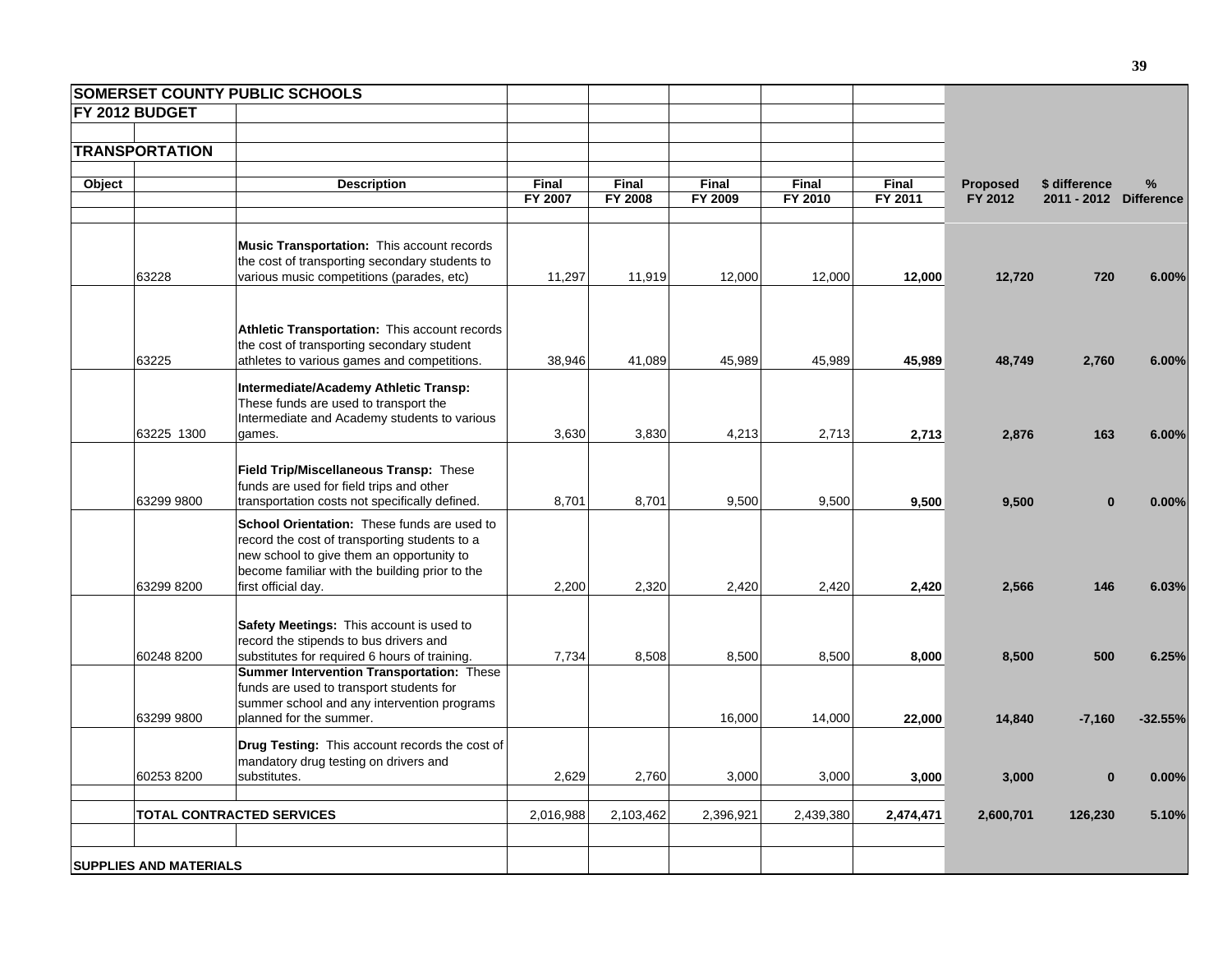|        |                               | <b>SOMERSET COUNTY PUBLIC SCHOOLS</b>                                                                                                                                                                              |                         |                  |                  |                  |                         |                     |                                         |           |
|--------|-------------------------------|--------------------------------------------------------------------------------------------------------------------------------------------------------------------------------------------------------------------|-------------------------|------------------|------------------|------------------|-------------------------|---------------------|-----------------------------------------|-----------|
|        | FY 2012 BUDGET                |                                                                                                                                                                                                                    |                         |                  |                  |                  |                         |                     |                                         |           |
|        |                               |                                                                                                                                                                                                                    |                         |                  |                  |                  |                         |                     |                                         |           |
|        | <b>TRANSPORTATION</b>         |                                                                                                                                                                                                                    |                         |                  |                  |                  |                         |                     |                                         |           |
|        |                               |                                                                                                                                                                                                                    |                         |                  |                  |                  |                         |                     |                                         |           |
| Object |                               | <b>Description</b>                                                                                                                                                                                                 | <b>Final</b><br>FY 2007 | Final<br>FY 2008 | Final<br>FY 2009 | Final<br>FY 2010 | <b>Final</b><br>FY 2011 | Proposed<br>FY 2012 | \$ difference<br>2011 - 2012 Difference | %         |
|        |                               |                                                                                                                                                                                                                    |                         |                  |                  |                  |                         |                     |                                         |           |
|        | 63228                         | Music Transportation: This account records<br>the cost of transporting secondary students to<br>various music competitions (parades, etc)                                                                          | 11,297                  | 11,919           | 12,000           | 12,000           | 12,000                  | 12,720              | 720                                     | 6.00%     |
|        | 63225                         | Athletic Transportation: This account records<br>the cost of transporting secondary student<br>athletes to various games and competitions.                                                                         | 38,946                  | 41,089           | 45,989           | 45,989           | 45,989                  | 48,749              | 2,760                                   | 6.00%     |
|        | 63225 1300                    | Intermediate/Academy Athletic Transp:<br>These funds are used to transport the<br>Intermediate and Academy students to various<br>games.                                                                           | 3,630                   | 3,830            | 4,213            | 2,713            | 2,713                   | 2,876               | 163                                     | 6.00%     |
|        |                               |                                                                                                                                                                                                                    |                         |                  |                  |                  |                         |                     |                                         |           |
|        | 63299 9800                    | Field Trip/Miscellaneous Transp: These<br>funds are used for field trips and other<br>transportation costs not specifically defined.                                                                               | 8,701                   | 8,701            | 9,500            | 9,500            | 9,500                   | 9,500               | $\bf{0}$                                | 0.00%     |
|        | 63299 8200                    | School Orientation: These funds are used to<br>record the cost of transporting students to a<br>new school to give them an opportunity to<br>become familiar with the building prior to the<br>first official day. | 2,200                   | 2,320            | 2,420            | 2,420            | 2,420                   | 2,566               | 146                                     | 6.03%     |
|        |                               | Safety Meetings: This account is used to<br>record the stipends to bus drivers and                                                                                                                                 |                         |                  |                  |                  |                         |                     |                                         |           |
|        | 60248 8200                    | substitutes for required 6 hours of training.<br>Summer Intervention Transportation: These<br>funds are used to transport students for<br>summer school and any intervention programs                              | 7,734                   | 8,508            | 8,500            | 8,500            | 8,000                   | 8,500               | 500                                     | 6.25%     |
|        | 63299 9800                    | planned for the summer.                                                                                                                                                                                            |                         |                  | 16,000           | 14,000           | 22,000                  | 14,840              | $-7,160$                                | $-32.55%$ |
|        | 60253 8200                    | <b>Drug Testing:</b> This account records the cost of<br>mandatory drug testing on drivers and<br>substitutes.                                                                                                     | 2,629                   | 2,760            | 3,000            | 3,000            | 3,000                   | 3,000               | $\bf{0}$                                | 0.00%     |
|        |                               | <b>TOTAL CONTRACTED SERVICES</b>                                                                                                                                                                                   | 2,016,988               | 2,103,462        | 2,396,921        | 2,439,380        | 2,474,471               | 2,600,701           | 126,230                                 | 5.10%     |
|        | <b>SUPPLIES AND MATERIALS</b> |                                                                                                                                                                                                                    |                         |                  |                  |                  |                         |                     |                                         |           |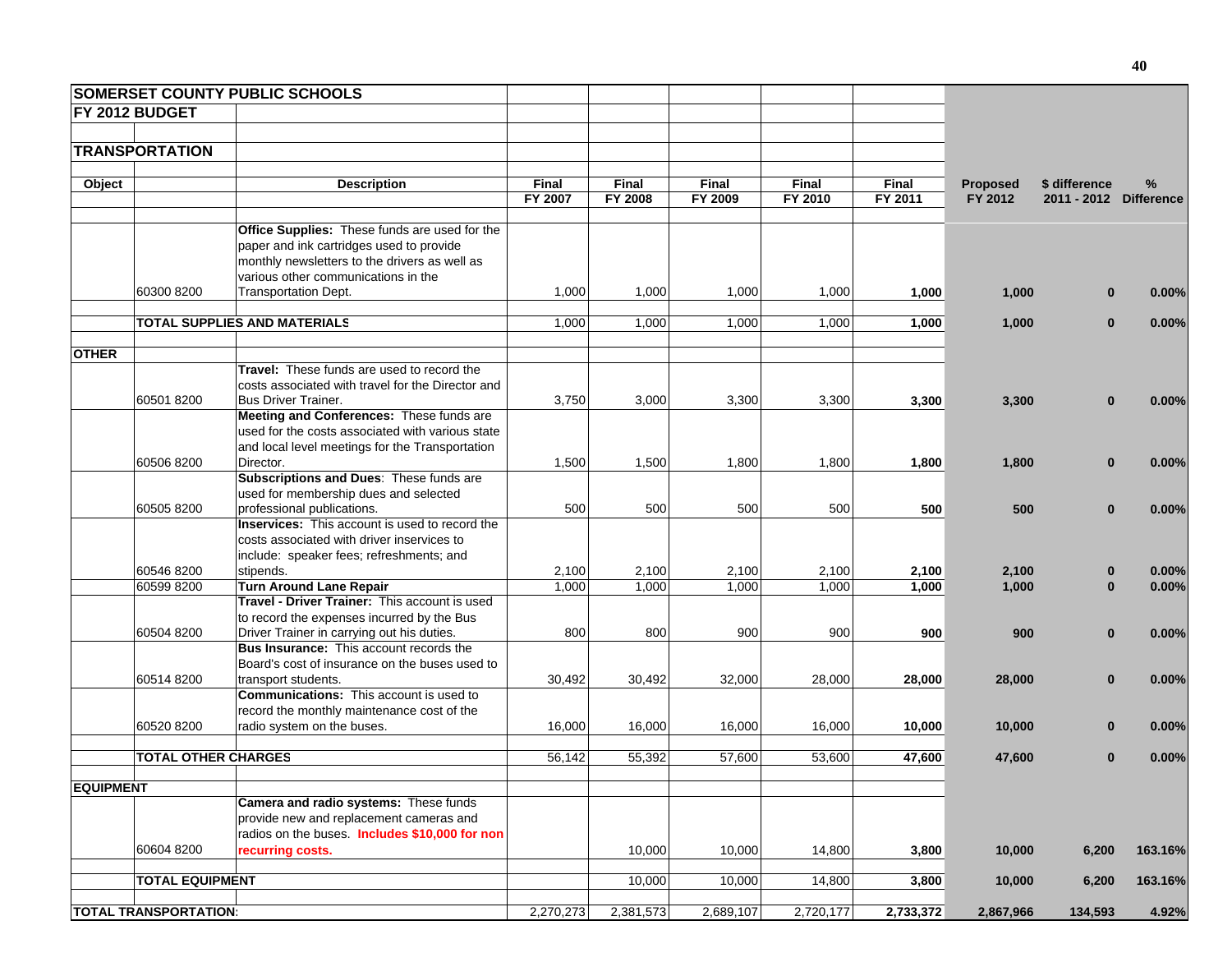|                  |                              | <b>SOMERSET COUNTY PUBLIC SCHOOLS</b>                                 |              |           |           |              |              |                 |                        |         |
|------------------|------------------------------|-----------------------------------------------------------------------|--------------|-----------|-----------|--------------|--------------|-----------------|------------------------|---------|
|                  | FY 2012 BUDGET               |                                                                       |              |           |           |              |              |                 |                        |         |
|                  | <b>TRANSPORTATION</b>        |                                                                       |              |           |           |              |              |                 |                        |         |
|                  |                              |                                                                       |              |           |           |              |              |                 |                        |         |
| Object           |                              | <b>Description</b>                                                    | <b>Final</b> | Final     | Final     | <b>Final</b> | <b>Final</b> | <b>Proposed</b> | \$ difference          | %       |
|                  |                              |                                                                       | FY 2007      | FY 2008   | FY 2009   | FY 2010      | FY 2011      | FY 2012         | 2011 - 2012 Difference |         |
|                  |                              | Office Supplies: These funds are used for the                         |              |           |           |              |              |                 |                        |         |
|                  |                              | paper and ink cartridges used to provide                              |              |           |           |              |              |                 |                        |         |
|                  |                              | monthly newsletters to the drivers as well as                         |              |           |           |              |              |                 |                        |         |
|                  |                              | various other communications in the                                   |              |           |           |              |              |                 |                        |         |
|                  | 60300 8200                   | Transportation Dept.                                                  | 1,000        | 1,000     | 1,000     | 1,000        | 1,000        | 1,000           | $\bf{0}$               | 0.00%   |
|                  |                              |                                                                       |              |           |           |              |              |                 |                        |         |
|                  |                              | TOTAL SUPPLIES AND MATERIALS                                          | 1,000        | 1,000     | 1,000     | 1,000        | 1,000        | 1,000           | $\bf{0}$               | 0.00%   |
|                  |                              |                                                                       |              |           |           |              |              |                 |                        |         |
| <b>OTHER</b>     |                              | <b>Travel:</b> These funds are used to record the                     |              |           |           |              |              |                 |                        |         |
|                  |                              | costs associated with travel for the Director and                     |              |           |           |              |              |                 |                        |         |
|                  | 60501 8200                   | <b>Bus Driver Trainer.</b>                                            | 3,750        | 3,000     | 3,300     | 3,300        | 3,300        | 3,300           | $\bf{0}$               | 0.00%   |
|                  |                              | Meeting and Conferences: These funds are                              |              |           |           |              |              |                 |                        |         |
|                  |                              | used for the costs associated with various state                      |              |           |           |              |              |                 |                        |         |
|                  |                              | and local level meetings for the Transportation                       |              |           |           |              |              |                 |                        |         |
|                  | 60506 8200                   | Director.                                                             | 1,500        | 1,500     | 1,800     | 1,800        | 1,800        | 1,800           | $\mathbf{0}$           | 0.00%   |
|                  |                              | Subscriptions and Dues: These funds are                               |              |           |           |              |              |                 |                        |         |
|                  |                              | used for membership dues and selected                                 |              |           |           |              |              |                 |                        |         |
|                  | 60505 8200                   | professional publications.                                            | 500          | 500       | 500       | 500          | 500          | 500             | $\mathbf{0}$           | 0.00%   |
|                  |                              | <b>Inservices:</b> This account is used to record the                 |              |           |           |              |              |                 |                        |         |
|                  |                              | costs associated with driver inservices to                            |              |           |           |              |              |                 |                        |         |
|                  |                              | include: speaker fees; refreshments; and                              |              |           |           |              |              |                 |                        |         |
|                  | 60546 8200                   | stipends.                                                             | 2,100        | 2,100     | 2,100     | 2,100        | 2,100        | 2,100           | $\bf{0}$               | 0.00%   |
|                  | 60599 8200                   | <b>Turn Around Lane Repair</b>                                        | 1,000        | 1,000     | 1,000     | 1,000        | 1,000        | 1,000           | $\bf{0}$               | 0.00%   |
|                  |                              | Travel - Driver Trainer: This account is used                         |              |           |           |              |              |                 |                        |         |
|                  |                              | to record the expenses incurred by the Bus                            |              |           |           |              |              |                 |                        |         |
|                  | 60504 8200                   | Driver Trainer in carrying out his duties.                            | 800          | 800       | 900       | 900          | 900          | 900             | $\bf{0}$               | 0.00%   |
|                  |                              | Bus Insurance: This account records the                               |              |           |           |              |              |                 |                        |         |
|                  |                              | Board's cost of insurance on the buses used to                        |              |           |           |              |              |                 |                        |         |
|                  | 60514 8200                   | transport students.<br><b>Communications:</b> This account is used to | 30,492       | 30,492    | 32,000    | 28,000       | 28,000       | 28,000          | $\mathbf{0}$           | 0.00%   |
|                  |                              | record the monthly maintenance cost of the                            |              |           |           |              |              |                 |                        |         |
|                  | 60520 8200                   | radio system on the buses.                                            | 16,000       | 16,000    | 16,000    | 16,000       | 10,000       | 10,000          | $\bf{0}$               | 0.00%   |
|                  |                              |                                                                       |              |           |           |              |              |                 |                        |         |
|                  | <b>TOTAL OTHER CHARGES</b>   |                                                                       | 56,142       | 55,392    | 57,600    | 53,600       | 47,600       | 47,600          | $\bf{0}$               | 0.00%   |
|                  |                              |                                                                       |              |           |           |              |              |                 |                        |         |
| <b>EQUIPMENT</b> |                              |                                                                       |              |           |           |              |              |                 |                        |         |
|                  |                              | Camera and radio systems: These funds                                 |              |           |           |              |              |                 |                        |         |
|                  |                              | provide new and replacement cameras and                               |              |           |           |              |              |                 |                        |         |
|                  |                              | radios on the buses. Includes \$10,000 for non                        |              |           |           |              |              |                 |                        |         |
|                  | 60604 8200                   | recurring costs.                                                      |              | 10,000    | 10,000    | 14,800       | 3,800        | 10,000          | 6,200                  | 163.16% |
|                  | <b>TOTAL EQUIPMENT</b>       |                                                                       |              | 10,000    | 10,000    | 14,800       | 3,800        | 10,000          | 6,200                  | 163.16% |
|                  |                              |                                                                       |              |           |           |              |              |                 |                        |         |
|                  | <b>TOTAL TRANSPORTATION:</b> |                                                                       | 2,270,273    | 2,381,573 | 2,689,107 | 2,720,177    | 2,733,372    | 2,867,966       | 134,593                | 4.92%   |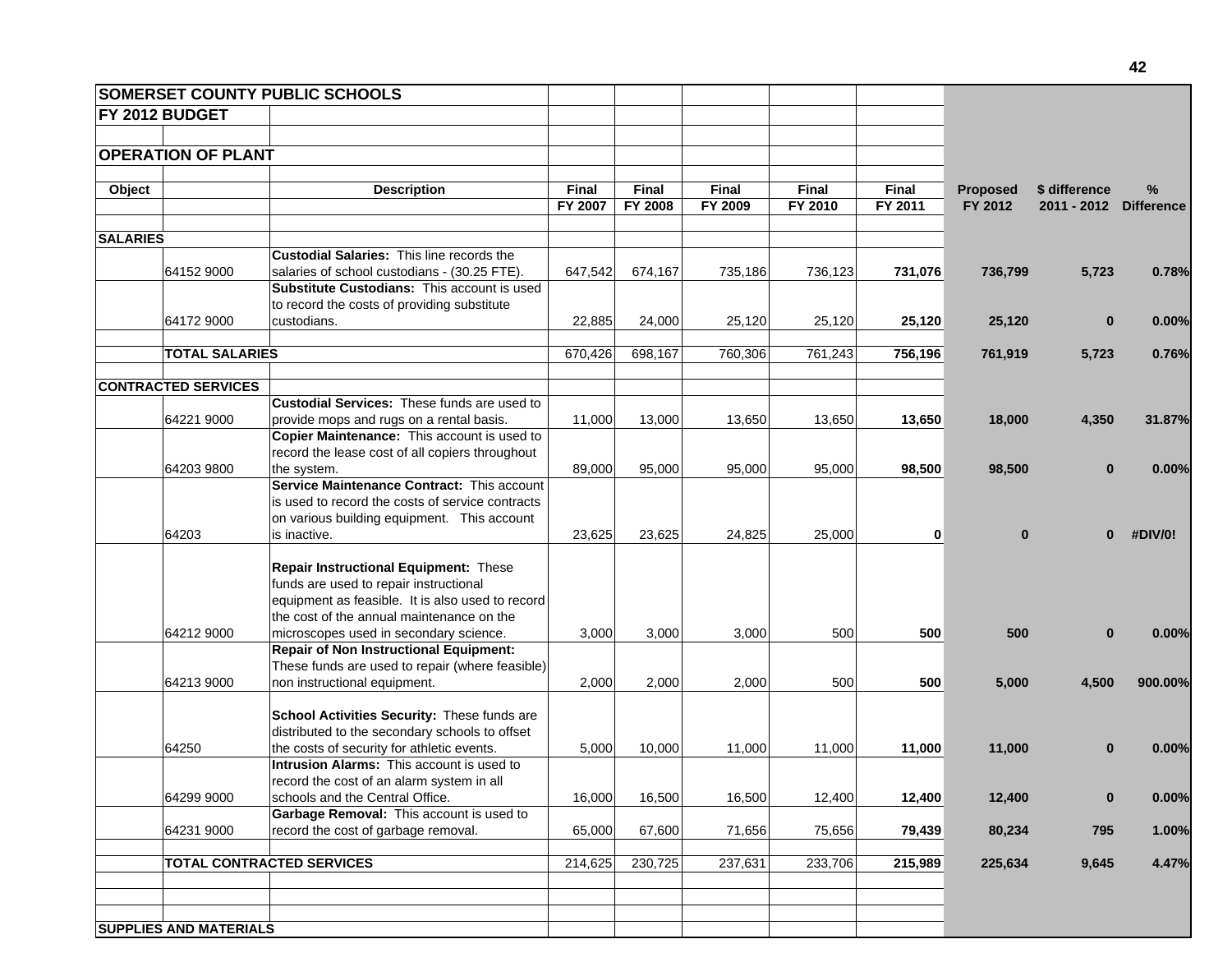| <b>SOMERSET COUNTY PUBLIC SCHOOLS</b> |                                                  |                         |                         |                         |                         |                         |                            |                                         |         |
|---------------------------------------|--------------------------------------------------|-------------------------|-------------------------|-------------------------|-------------------------|-------------------------|----------------------------|-----------------------------------------|---------|
| <b>FY 2012 BUDGET</b>                 |                                                  |                         |                         |                         |                         |                         |                            |                                         |         |
|                                       |                                                  |                         |                         |                         |                         |                         |                            |                                         |         |
| <b>OPERATION OF PLANT</b>             |                                                  |                         |                         |                         |                         |                         |                            |                                         |         |
|                                       |                                                  |                         |                         |                         |                         |                         |                            |                                         |         |
| Object                                | <b>Description</b>                               | <b>Final</b><br>FY 2007 | <b>Final</b><br>FY 2008 | <b>Final</b><br>FY 2009 | <b>Final</b><br>FY 2010 | <b>Final</b><br>FY 2011 | <b>Proposed</b><br>FY 2012 | \$ difference<br>2011 - 2012 Difference | %       |
|                                       |                                                  |                         |                         |                         |                         |                         |                            |                                         |         |
| <b>SALARIES</b>                       |                                                  |                         |                         |                         |                         |                         |                            |                                         |         |
|                                       | <b>Custodial Salaries: This line records the</b> |                         |                         |                         |                         |                         |                            |                                         |         |
| 64152 9000                            | salaries of school custodians - (30.25 FTE).     | 647,542                 | 674,167                 | 735,186                 | 736,123                 | 731,076                 | 736,799                    | 5,723                                   | 0.78%   |
|                                       | Substitute Custodians: This account is used      |                         |                         |                         |                         |                         |                            |                                         |         |
|                                       | to record the costs of providing substitute      |                         |                         |                         |                         |                         |                            |                                         |         |
| 64172 9000                            | custodians.                                      | 22,885                  | 24,000                  | 25,120                  | 25,120                  | 25,120                  | 25,120                     | $\bf{0}$                                | 0.00%   |
| <b>TOTAL SALARIES</b>                 |                                                  | 670,426                 | 698,167                 | 760,306                 | 761,243                 | 756,196                 | 761,919                    | 5,723                                   | 0.76%   |
|                                       |                                                  |                         |                         |                         |                         |                         |                            |                                         |         |
| <b>CONTRACTED SERVICES</b>            |                                                  |                         |                         |                         |                         |                         |                            |                                         |         |
|                                       | Custodial Services: These funds are used to      |                         |                         |                         |                         |                         |                            |                                         |         |
| 64221 9000                            | provide mops and rugs on a rental basis.         | 11,000                  | 13,000                  | 13,650                  | 13,650                  | 13,650                  | 18,000                     | 4,350                                   | 31.87%  |
|                                       | Copier Maintenance: This account is used to      |                         |                         |                         |                         |                         |                            |                                         |         |
|                                       | record the lease cost of all copiers throughout  |                         |                         |                         |                         |                         |                            |                                         |         |
| 64203 9800                            | the system.                                      | 89,000                  | 95,000                  | 95,000                  | 95,000                  | 98,500                  | 98,500                     | $\bf{0}$                                | 0.00%   |
|                                       | Service Maintenance Contract: This account       |                         |                         |                         |                         |                         |                            |                                         |         |
|                                       | is used to record the costs of service contracts |                         |                         |                         |                         |                         |                            |                                         |         |
|                                       | on various building equipment. This account      |                         |                         |                         |                         |                         |                            |                                         |         |
| 64203                                 | is inactive.                                     | 23,625                  | 23,625                  | 24,825                  | 25,000                  | $\mathbf{0}$            | $\bf{0}$                   | $\bf{0}$                                | #DIV/0! |
|                                       | Repair Instructional Equipment: These            |                         |                         |                         |                         |                         |                            |                                         |         |
|                                       | funds are used to repair instructional           |                         |                         |                         |                         |                         |                            |                                         |         |
|                                       | equipment as feasible. It is also used to record |                         |                         |                         |                         |                         |                            |                                         |         |
|                                       | the cost of the annual maintenance on the        |                         |                         |                         |                         |                         |                            |                                         |         |
| 64212 9000                            | microscopes used in secondary science.           | 3,000                   | 3,000                   | 3,000                   | 500                     | 500                     | 500                        | $\bf{0}$                                | 0.00%   |
|                                       | <b>Repair of Non Instructional Equipment:</b>    |                         |                         |                         |                         |                         |                            |                                         |         |
|                                       | These funds are used to repair (where feasible)  |                         |                         |                         |                         |                         |                            |                                         |         |
| 64213 9000                            | non instructional equipment.                     | 2,000                   | 2,000                   | 2,000                   | 500                     | 500                     | 5,000                      | 4,500                                   | 900.00% |
|                                       |                                                  |                         |                         |                         |                         |                         |                            |                                         |         |
|                                       | School Activities Security: These funds are      |                         |                         |                         |                         |                         |                            |                                         |         |
|                                       | distributed to the secondary schools to offset   |                         |                         |                         |                         |                         |                            |                                         |         |
| 64250                                 | the costs of security for athletic events.       | 5,000                   | 10,000                  | 11,000                  | 11,000                  | 11,000                  | 11,000                     | $\bf{0}$                                | 0.00%   |
|                                       | <b>Intrusion Alarms: This account is used to</b> |                         |                         |                         |                         |                         |                            |                                         |         |
|                                       | record the cost of an alarm system in all        |                         |                         |                         |                         |                         |                            |                                         |         |
| 64299 9000                            | schools and the Central Office.                  | 16,000                  | 16,500                  | 16,500                  | 12,400                  | 12,400                  | 12,400                     | $\bf{0}$                                | 0.00%   |
|                                       | Garbage Removal: This account is used to         |                         |                         |                         |                         |                         |                            |                                         |         |
| 64231 9000                            | record the cost of garbage removal.              | 65,000                  | 67,600                  | 71,656                  | 75,656                  | 79,439                  | 80,234                     | 795                                     | 1.00%   |
|                                       | <b>TOTAL CONTRACTED SERVICES</b>                 | 214,625                 | 230,725                 | 237,631                 | 233,706                 | 215,989                 | 225,634                    | 9,645                                   | 4.47%   |
|                                       |                                                  |                         |                         |                         |                         |                         |                            |                                         |         |
|                                       |                                                  |                         |                         |                         |                         |                         |                            |                                         |         |
|                                       |                                                  |                         |                         |                         |                         |                         |                            |                                         |         |
| <b>SUPPLIES AND MATERIALS</b>         |                                                  |                         |                         |                         |                         |                         |                            |                                         |         |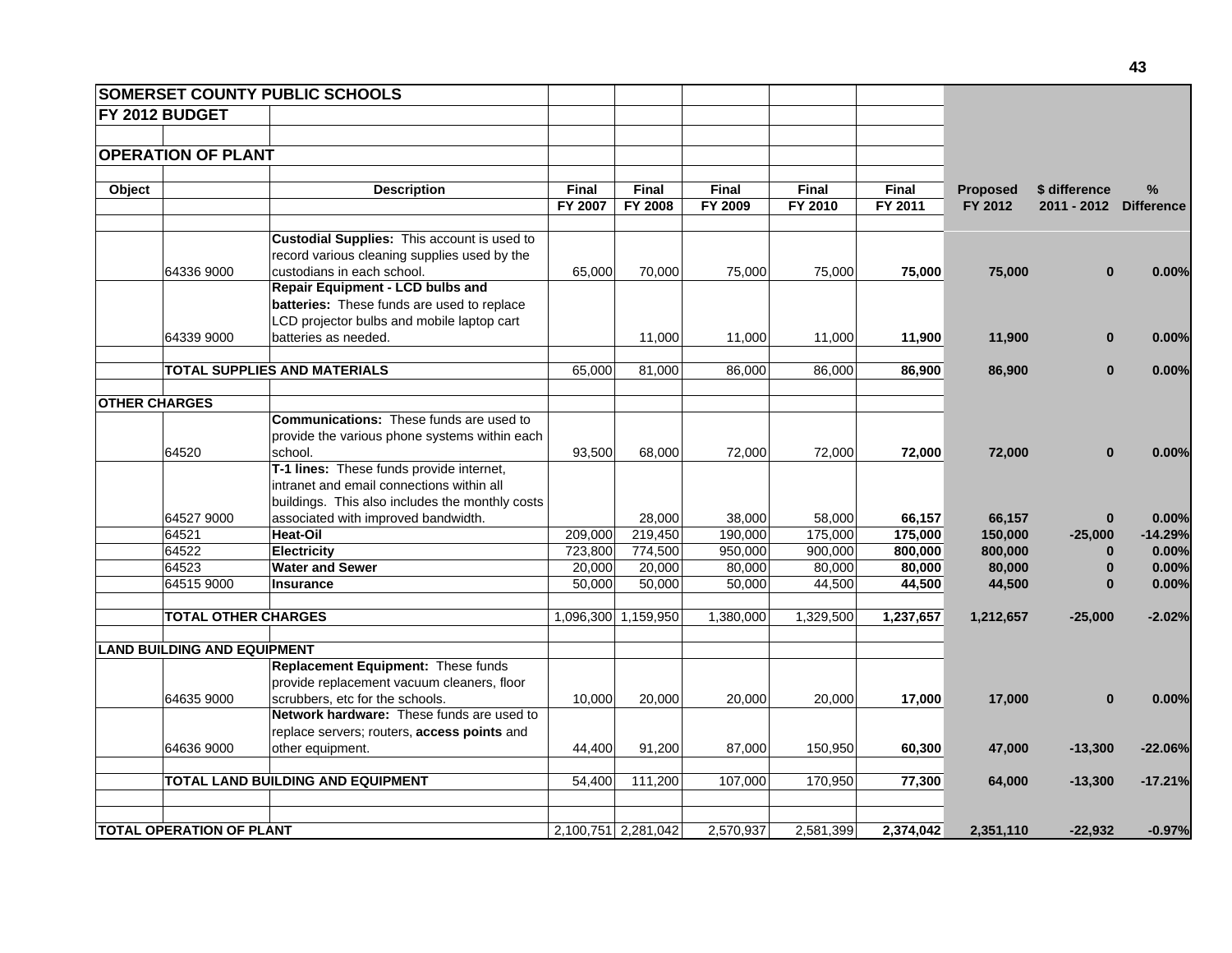|                      |                                    | <b>SOMERSET COUNTY PUBLIC SCHOOLS</b>                                                       |              |                     |              |              |              |                 |                        |           |
|----------------------|------------------------------------|---------------------------------------------------------------------------------------------|--------------|---------------------|--------------|--------------|--------------|-----------------|------------------------|-----------|
|                      | FY 2012 BUDGET                     |                                                                                             |              |                     |              |              |              |                 |                        |           |
|                      |                                    |                                                                                             |              |                     |              |              |              |                 |                        |           |
|                      | <b>OPERATION OF PLANT</b>          |                                                                                             |              |                     |              |              |              |                 |                        |           |
|                      |                                    |                                                                                             |              |                     |              |              |              |                 |                        |           |
| Object               |                                    | <b>Description</b>                                                                          | <b>Final</b> | Final               | <b>Final</b> | <b>Final</b> | <b>Final</b> | <b>Proposed</b> | \$ difference          | %         |
|                      |                                    |                                                                                             | FY 2007      | FY 2008             | FY 2009      | FY 2010      | FY 2011      | FY 2012         | 2011 - 2012 Difference |           |
|                      |                                    |                                                                                             |              |                     |              |              |              |                 |                        |           |
|                      |                                    | Custodial Supplies: This account is used to<br>record various cleaning supplies used by the |              |                     |              |              |              |                 |                        |           |
|                      | 64336 9000                         | custodians in each school.                                                                  | 65,000       | 70,000              | 75,000       | 75,000       | 75,000       | 75,000          | $\bf{0}$               | 0.00%     |
|                      |                                    | <b>Repair Equipment - LCD bulbs and</b>                                                     |              |                     |              |              |              |                 |                        |           |
|                      |                                    | batteries: These funds are used to replace                                                  |              |                     |              |              |              |                 |                        |           |
|                      |                                    | LCD projector bulbs and mobile laptop cart                                                  |              |                     |              |              |              |                 |                        |           |
|                      | 64339 9000                         | batteries as needed.                                                                        |              | 11,000              | 11,000       | 11,000       | 11,900       | 11,900          | $\bf{0}$               | 0.00%     |
|                      |                                    |                                                                                             |              |                     |              |              |              |                 |                        |           |
|                      |                                    | <b>TOTAL SUPPLIES AND MATERIALS</b>                                                         | 65,000       | 81,000              | 86,000       | 86,000       | 86,900       | 86,900          | $\mathbf{0}$           | 0.00%     |
|                      |                                    |                                                                                             |              |                     |              |              |              |                 |                        |           |
| <b>OTHER CHARGES</b> |                                    |                                                                                             |              |                     |              |              |              |                 |                        |           |
|                      |                                    | <b>Communications:</b> These funds are used to                                              |              |                     |              |              |              |                 |                        |           |
|                      |                                    | provide the various phone systems within each                                               |              |                     |              |              |              |                 |                        |           |
|                      | 64520                              | school.                                                                                     | 93,500       | 68,000              | 72,000       | 72,000       | 72,000       | 72,000          | $\bf{0}$               | 0.00%     |
|                      |                                    | T-1 lines: These funds provide internet,                                                    |              |                     |              |              |              |                 |                        |           |
|                      |                                    | intranet and email connections within all                                                   |              |                     |              |              |              |                 |                        |           |
|                      |                                    | buildings. This also includes the monthly costs                                             |              |                     |              |              |              |                 |                        |           |
|                      | 64527 9000                         | associated with improved bandwidth.                                                         |              | 28.000              | 38.000       | 58,000       | 66,157       | 66,157          | $\bf{0}$               | 0.00%     |
|                      | 64521                              | Heat-Oil                                                                                    | 209,000      | 219,450             | 190,000      | 175,000      | 175,000      | 150,000         | $-25,000$              | $-14.29%$ |
|                      | 64522                              | <b>Electricity</b>                                                                          | 723,800      | 774,500             | 950,000      | 900,000      | 800,000      | 800,000         | $\bf{0}$               | 0.00%     |
|                      | 64523                              | <b>Water and Sewer</b>                                                                      | 20,000       | 20,000              | 80,000       | 80,000       | 80,000       | 80,000          | $\bf{0}$               | 0.00%     |
|                      | 64515 9000                         | <b>Insurance</b>                                                                            | 50,000       | 50,000              | 50,000       | 44,500       | 44,500       | 44,500          | $\bf{0}$               | 0.00%     |
|                      |                                    |                                                                                             |              |                     |              |              |              |                 |                        |           |
|                      | <b>TOTAL OTHER CHARGES</b>         |                                                                                             |              | 1,096,300 1,159,950 | 1,380,000    | 1,329,500    | 1,237,657    | 1,212,657       | $-25,000$              | $-2.02%$  |
|                      | <b>LAND BUILDING AND EQUIPMENT</b> |                                                                                             |              |                     |              |              |              |                 |                        |           |
|                      |                                    | Replacement Equipment: These funds                                                          |              |                     |              |              |              |                 |                        |           |
|                      |                                    | provide replacement vacuum cleaners, floor                                                  |              |                     |              |              |              |                 |                        |           |
|                      | 64635 9000                         | scrubbers, etc for the schools.                                                             | 10,000       | 20,000              | 20,000       | 20,000       | 17,000       | 17,000          | $\bf{0}$               | 0.00%     |
|                      |                                    | Network hardware: These funds are used to                                                   |              |                     |              |              |              |                 |                        |           |
|                      |                                    | replace servers; routers, access points and                                                 |              |                     |              |              |              |                 |                        |           |
|                      | 64636 9000                         | other equipment.                                                                            | 44,400       | 91,200              | 87,000       | 150,950      | 60,300       | 47,000          | $-13,300$              | $-22.06%$ |
|                      |                                    |                                                                                             |              |                     |              |              |              |                 |                        |           |
|                      |                                    | TOTAL LAND BUILDING AND EQUIPMENT                                                           | 54,400       | 111,200             | 107,000      | 170,950      | 77,300       | 64,000          | $-13,300$              | $-17.21%$ |
|                      |                                    |                                                                                             |              |                     |              |              |              |                 |                        |           |
|                      | <b>TOTAL OPERATION OF PLANT</b>    |                                                                                             |              | 2,100,751 2,281,042 | 2,570,937    | 2,581,399    | 2,374,042    | 2,351,110       | $-22,932$              | $-0.97%$  |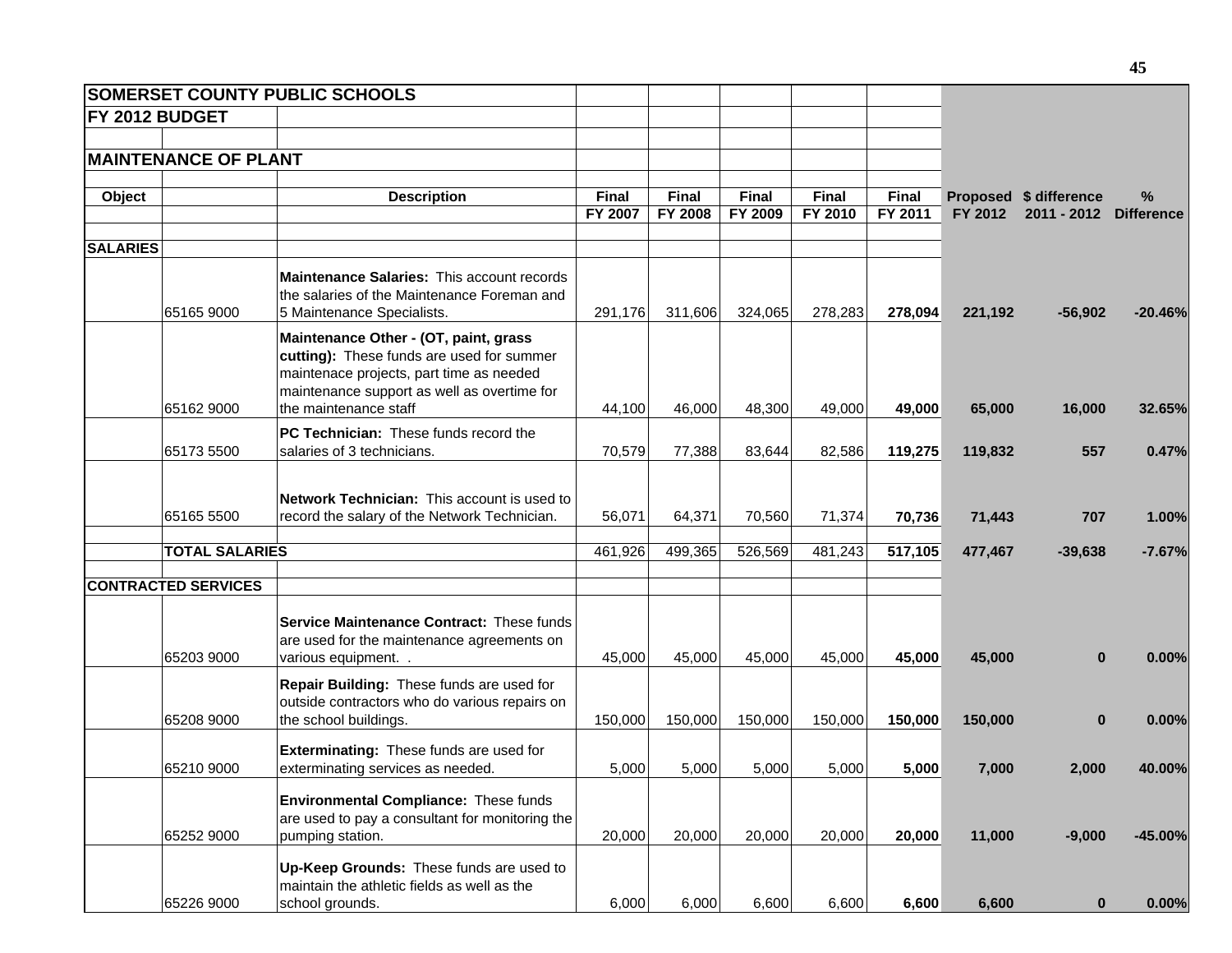| <b>SOMERSET COUNTY PUBLIC SCHOOLS</b> |                                                                                                                                                                                                        |                  |                         |                  |                  |                         |         |                                       |                           |
|---------------------------------------|--------------------------------------------------------------------------------------------------------------------------------------------------------------------------------------------------------|------------------|-------------------------|------------------|------------------|-------------------------|---------|---------------------------------------|---------------------------|
| FY 2012 BUDGET                        |                                                                                                                                                                                                        |                  |                         |                  |                  |                         |         |                                       |                           |
| <b>MAINTENANCE OF PLANT</b>           |                                                                                                                                                                                                        |                  |                         |                  |                  |                         |         |                                       |                           |
| Object                                | <b>Description</b>                                                                                                                                                                                     | Final<br>FY 2007 | Final<br><b>FY 2008</b> | Final<br>FY 2009 | Final<br>FY 2010 | <b>Final</b><br>FY 2011 | FY 2012 | Proposed \$ difference<br>2011 - 2012 | $\%$<br><b>Difference</b> |
| <b>SALARIES</b>                       |                                                                                                                                                                                                        |                  |                         |                  |                  |                         |         |                                       |                           |
| 65165 9000                            | Maintenance Salaries: This account records<br>the salaries of the Maintenance Foreman and<br>5 Maintenance Specialists.                                                                                | 291,176          | 311,606                 | 324,065          | 278,283          | 278,094                 | 221,192 | $-56,902$                             | $-20.46%$                 |
| 65162 9000                            | Maintenance Other - (OT, paint, grass<br>cutting): These funds are used for summer<br>maintenace projects, part time as needed<br>maintenance support as well as overtime for<br>the maintenance staff | 44,100           | 46,000                  | 48,300           | 49,000           | 49,000                  | 65,000  | 16,000                                | 32.65%                    |
|                                       | PC Technician: These funds record the                                                                                                                                                                  |                  |                         |                  |                  |                         |         |                                       |                           |
| 65173 5500                            | salaries of 3 technicians.                                                                                                                                                                             | 70,579           | 77,388                  | 83,644           | 82,586           | 119,275                 | 119,832 | 557                                   | 0.47%                     |
| 65165 5500                            | Network Technician: This account is used to<br>record the salary of the Network Technician.                                                                                                            | 56,071           | 64,371                  | 70,560           | 71,374           | 70,736                  | 71,443  | 707                                   | 1.00%                     |
| <b>TOTAL SALARIES</b>                 |                                                                                                                                                                                                        | 461,926          | 499,365                 | 526,569          | 481,243          | 517,105                 | 477,467 | $-39,638$                             | $-7.67%$                  |
| <b>CONTRACTED SERVICES</b>            |                                                                                                                                                                                                        |                  |                         |                  |                  |                         |         |                                       |                           |
| 65203 9000                            | Service Maintenance Contract: These funds<br>are used for the maintenance agreements on<br>various equipment. .                                                                                        | 45,000           | 45,000                  | 45,000           | 45,000           | 45,000                  | 45,000  | $\bf{0}$                              | 0.00%                     |
| 65208 9000                            | Repair Building: These funds are used for<br>outside contractors who do various repairs on<br>the school buildings.                                                                                    | 150,000          | 150,000                 | 150,000          | 150,000          | 150,000                 | 150,000 | $\bf{0}$                              | 0.00%                     |
| 65210 9000                            | Exterminating: These funds are used for<br>exterminating services as needed.                                                                                                                           | 5,000            | 5,000                   | 5,000            | 5,000            | 5,000                   | 7,000   | 2,000                                 | 40.00%                    |
| 65252 9000                            | Environmental Compliance: These funds<br>are used to pay a consultant for monitoring the<br>pumping station.                                                                                           | 20,000           | 20,000                  | 20,000           | 20,000           | 20,000                  | 11,000  | $-9,000$                              | $-45.00%$                 |
| 65226 9000                            | Up-Keep Grounds: These funds are used to<br>maintain the athletic fields as well as the<br>school grounds.                                                                                             | 6,000            | 6,000                   | 6,600            | 6,600            | 6,600                   | 6,600   | $\bf{0}$                              | 0.00%                     |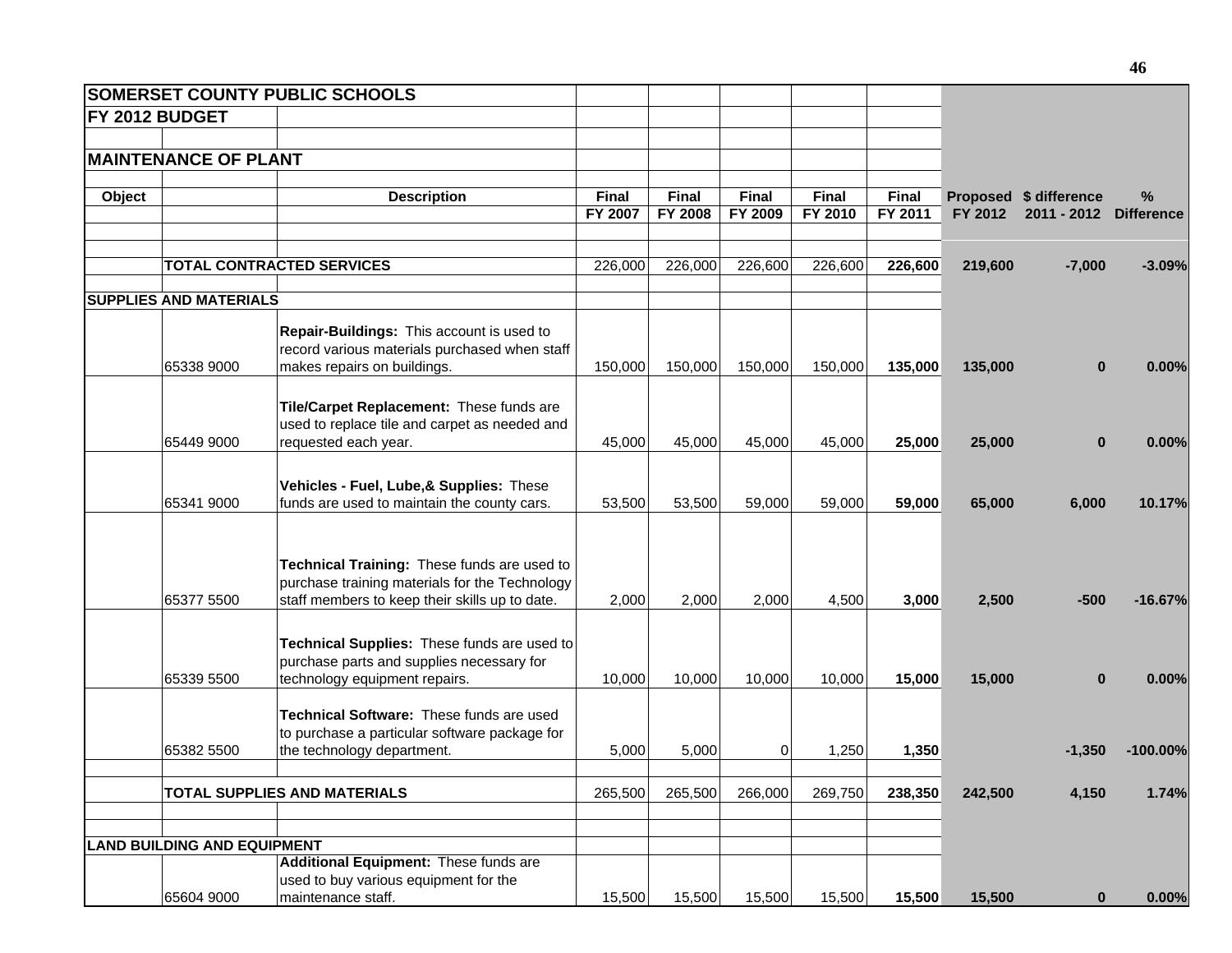|        |                                     | <b>SOMERSET COUNTY PUBLIC SCHOOLS</b>                                                                                                           |         |                |          |         |              |         |                        |                   |
|--------|-------------------------------------|-------------------------------------------------------------------------------------------------------------------------------------------------|---------|----------------|----------|---------|--------------|---------|------------------------|-------------------|
|        | <b>FY 2012 BUDGET</b>               |                                                                                                                                                 |         |                |          |         |              |         |                        |                   |
|        |                                     |                                                                                                                                                 |         |                |          |         |              |         |                        |                   |
|        | <b>MAINTENANCE OF PLANT</b>         |                                                                                                                                                 |         |                |          |         |              |         |                        |                   |
| Object |                                     | <b>Description</b>                                                                                                                              | Final   | Final          | Final    | Final   | <b>Final</b> |         | Proposed \$ difference | $\%$              |
|        |                                     |                                                                                                                                                 | FY 2007 | <b>FY 2008</b> | FY 2009  | FY 2010 | FY 2011      | FY 2012 | 2011 - 2012            | <b>Difference</b> |
|        |                                     |                                                                                                                                                 |         |                |          |         |              |         |                        |                   |
|        |                                     | <b>TOTAL CONTRACTED SERVICES</b>                                                                                                                | 226,000 | 226,000        | 226,600  | 226,600 | 226,600      | 219,600 | $-7,000$               | $-3.09%$          |
|        | <b>SUPPLIES AND MATERIALS</b>       |                                                                                                                                                 |         |                |          |         |              |         |                        |                   |
|        |                                     | Repair-Buildings: This account is used to<br>record various materials purchased when staff                                                      |         |                |          |         |              |         |                        |                   |
|        | 65338 9000                          | makes repairs on buildings.                                                                                                                     | 150,000 | 150,000        | 150,000  | 150,000 | 135,000      | 135,000 | $\bf{0}$               | 0.00%             |
|        |                                     | Tile/Carpet Replacement: These funds are<br>used to replace tile and carpet as needed and                                                       |         |                |          |         |              |         |                        |                   |
|        | 65449 9000                          | requested each year.                                                                                                                            | 45,000  | 45,000         | 45,000   | 45,000  | 25,000       | 25,000  | $\bf{0}$               | 0.00%             |
|        | 65341 9000                          | Vehicles - Fuel, Lube, & Supplies: These<br>funds are used to maintain the county cars.                                                         | 53,500  | 53,500         | 59,000   | 59,000  | 59,000       | 65,000  | 6,000                  | 10.17%            |
|        |                                     |                                                                                                                                                 |         |                |          |         |              |         |                        |                   |
|        | 65377 5500                          | Technical Training: These funds are used to<br>purchase training materials for the Technology<br>staff members to keep their skills up to date. | 2,000   | 2,000          | 2,000    | 4,500   | 3,000        | 2,500   | $-500$                 | $-16.67%$         |
|        | 65339 5500                          | Technical Supplies: These funds are used to<br>purchase parts and supplies necessary for<br>technology equipment repairs.                       | 10,000  | 10,000         | 10,000   | 10,000  | 15,000       | 15,000  | $\bf{0}$               | 0.00%             |
|        |                                     |                                                                                                                                                 |         |                |          |         |              |         |                        |                   |
|        | 65382 5500                          | Technical Software: These funds are used<br>to purchase a particular software package for<br>the technology department.                         | 5,000   | 5,000          | $\Omega$ | 1,250   | 1,350        |         | $-1,350$               | $-100.00\%$       |
|        |                                     |                                                                                                                                                 |         |                |          |         |              |         |                        |                   |
|        | <b>TOTAL SUPPLIES AND MATERIALS</b> |                                                                                                                                                 | 265,500 | 265,500        | 266,000  | 269,750 | 238,350      | 242,500 | 4,150                  | 1.74%             |
|        | <b>LAND BUILDING AND EQUIPMENT</b>  |                                                                                                                                                 |         |                |          |         |              |         |                        |                   |
|        |                                     | Additional Equipment: These funds are                                                                                                           |         |                |          |         |              |         |                        |                   |
|        |                                     | used to buy various equipment for the                                                                                                           |         |                |          |         |              |         |                        |                   |
|        | 65604 9000                          | maintenance staff.                                                                                                                              | 15,500  | 15,500         | 15,500   | 15,500  | 15,500       | 15,500  | $\bf{0}$               | 0.00%             |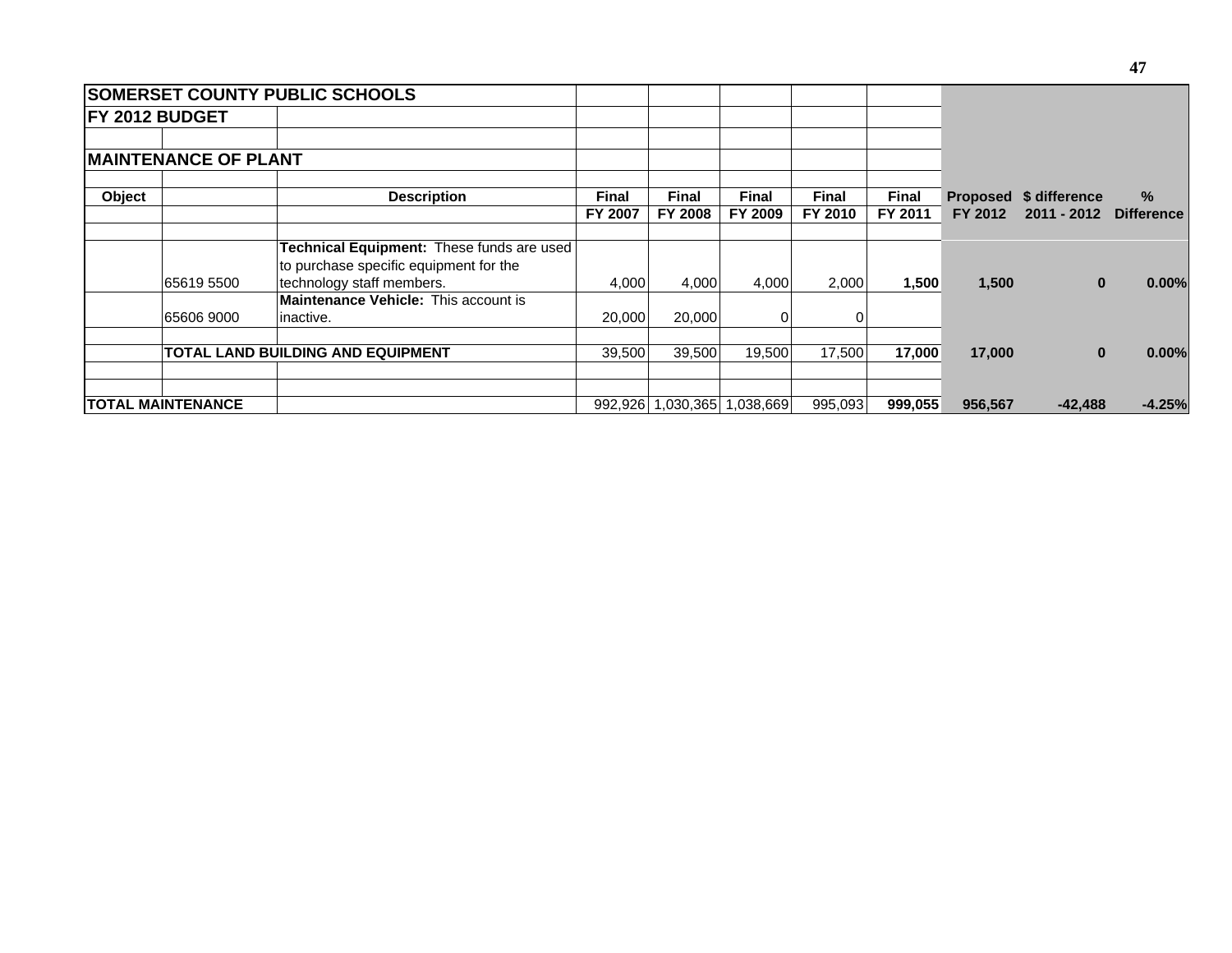|        |                             | <b>SOMERSET COUNTY PUBLIC SCHOOLS</b>       |              |                |                             |              |         |         |                        |                   |
|--------|-----------------------------|---------------------------------------------|--------------|----------------|-----------------------------|--------------|---------|---------|------------------------|-------------------|
|        | <b>FY 2012 BUDGET</b>       |                                             |              |                |                             |              |         |         |                        |                   |
|        |                             |                                             |              |                |                             |              |         |         |                        |                   |
|        | <b>MAINTENANCE OF PLANT</b> |                                             |              |                |                             |              |         |         |                        |                   |
| Object |                             | <b>Description</b>                          | <b>Final</b> | <b>Final</b>   | <b>Final</b>                | <b>Final</b> | Final   |         | Proposed \$ difference | $\%$              |
|        |                             |                                             | FY 2007      | <b>FY 2008</b> | FY 2009                     | FY 2010      | FY 2011 | FY 2012 | 2011 - 2012            | <b>Difference</b> |
|        |                             | Technical Equipment: These funds are used   |              |                |                             |              |         |         |                        |                   |
|        |                             | to purchase specific equipment for the      |              |                |                             |              |         |         |                        |                   |
|        | 65619 5500                  | technology staff members.                   | 4,000        | 4,000          | 4,000                       | 2,000        | 1,500   | 1,500   | $\bf{0}$               | 0.00%             |
|        |                             | <b>Maintenance Vehicle: This account is</b> |              |                |                             |              |         |         |                        |                   |
|        | 65606 9000                  | inactive.                                   | 20,000       | 20,000         | 0                           |              |         |         |                        |                   |
|        |                             | <b>TOTAL LAND BUILDING AND EQUIPMENT</b>    | 39,500       | 39,500         | 19,500                      | 17,500       | 17,000  | 17,000  | $\bf{0}$               | 0.00%             |
|        |                             |                                             |              |                |                             |              |         |         |                        |                   |
|        | <b>ITOTAL MAINTENANCE</b>   |                                             |              |                | 992,926 1,030,365 1,038,669 | 995,093      | 999,055 | 956,567 | $-42,488$              | $-4.25%$          |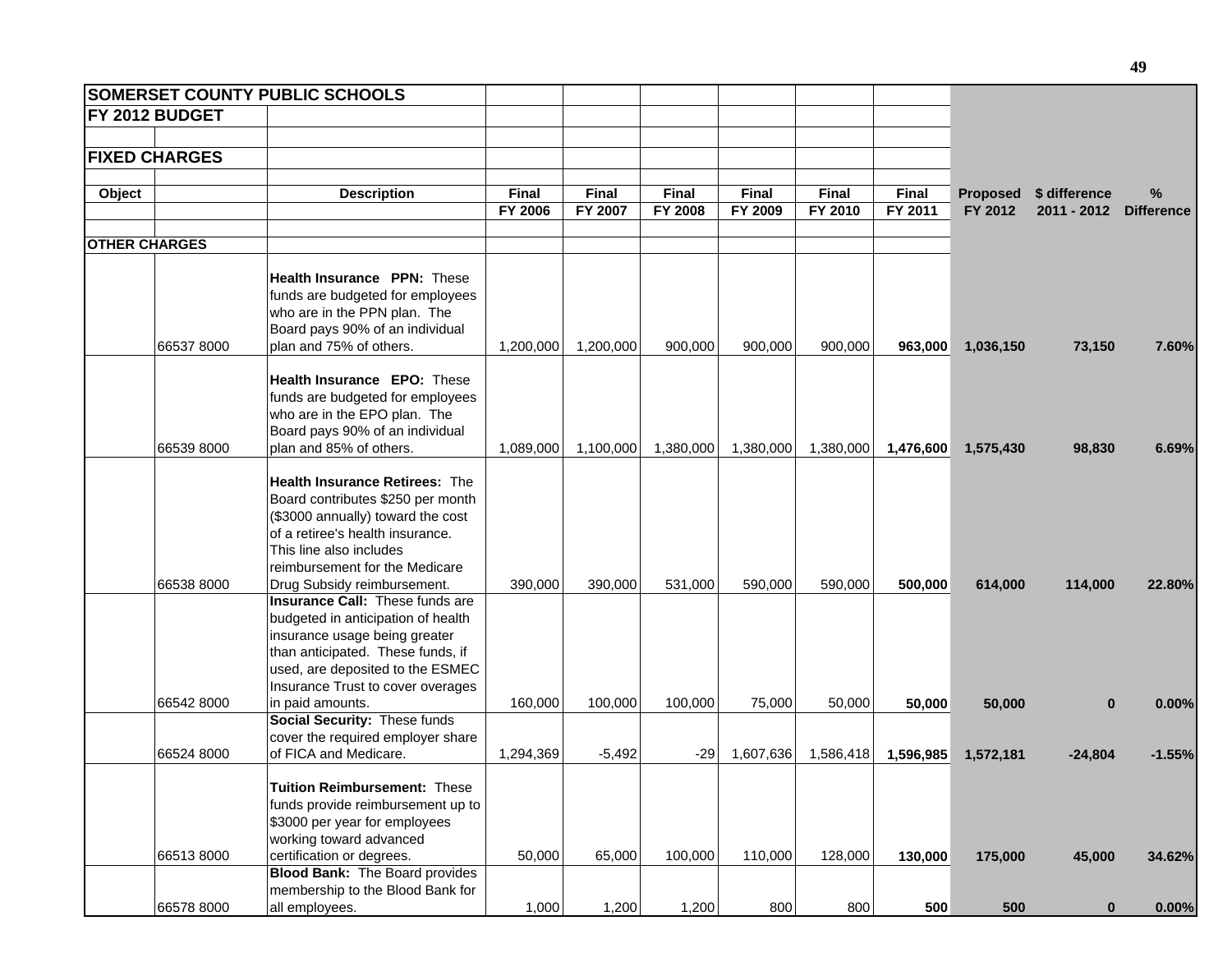|                      |                       | <b>SOMERSET COUNTY PUBLIC SCHOOLS</b>                      |              |              |              |              |           |              |                 |               |                   |
|----------------------|-----------------------|------------------------------------------------------------|--------------|--------------|--------------|--------------|-----------|--------------|-----------------|---------------|-------------------|
|                      | <b>FY 2012 BUDGET</b> |                                                            |              |              |              |              |           |              |                 |               |                   |
|                      |                       |                                                            |              |              |              |              |           |              |                 |               |                   |
|                      | <b>FIXED CHARGES</b>  |                                                            |              |              |              |              |           |              |                 |               |                   |
|                      |                       |                                                            |              |              |              |              |           |              |                 |               |                   |
| Object               |                       | <b>Description</b>                                         | <b>Final</b> | <b>Final</b> | <b>Final</b> | <b>Final</b> | Final     | <b>Final</b> | <b>Proposed</b> | \$ difference | %                 |
|                      |                       |                                                            | FY 2006      | FY 2007      | FY 2008      | FY 2009      | FY 2010   | FY 2011      | FY 2012         | $2011 - 2012$ | <b>Difference</b> |
| <b>OTHER CHARGES</b> |                       |                                                            |              |              |              |              |           |              |                 |               |                   |
|                      |                       |                                                            |              |              |              |              |           |              |                 |               |                   |
|                      |                       | <b>Health Insurance PPN: These</b>                         |              |              |              |              |           |              |                 |               |                   |
|                      |                       | funds are budgeted for employees                           |              |              |              |              |           |              |                 |               |                   |
|                      |                       | who are in the PPN plan. The                               |              |              |              |              |           |              |                 |               |                   |
|                      |                       | Board pays 90% of an individual                            |              |              |              |              |           |              |                 |               |                   |
|                      | 66537 8000            | plan and 75% of others.                                    | 1,200,000    | 1,200,000    | 900,000      | 900,000      | 900,000   | 963,000      | 1,036,150       | 73,150        | 7.60%             |
|                      |                       |                                                            |              |              |              |              |           |              |                 |               |                   |
|                      |                       | <b>Health Insurance EPO: These</b>                         |              |              |              |              |           |              |                 |               |                   |
|                      |                       | funds are budgeted for employees                           |              |              |              |              |           |              |                 |               |                   |
|                      |                       | who are in the EPO plan. The                               |              |              |              |              |           |              |                 |               |                   |
|                      | 66539 8000            | Board pays 90% of an individual<br>plan and 85% of others. |              |              |              |              |           | 1,476,600    |                 |               |                   |
|                      |                       |                                                            | 1,089,000    | 1,100,000    | 1,380,000    | 1,380,000    | 1,380,000 |              | 1,575,430       | 98,830        | 6.69%             |
|                      |                       | <b>Health Insurance Retirees: The</b>                      |              |              |              |              |           |              |                 |               |                   |
|                      |                       | Board contributes \$250 per month                          |              |              |              |              |           |              |                 |               |                   |
|                      |                       | (\$3000 annually) toward the cost                          |              |              |              |              |           |              |                 |               |                   |
|                      |                       | of a retiree's health insurance.                           |              |              |              |              |           |              |                 |               |                   |
|                      |                       | This line also includes                                    |              |              |              |              |           |              |                 |               |                   |
|                      |                       | reimbursement for the Medicare                             |              |              |              |              |           |              |                 |               |                   |
|                      | 66538 8000            | Drug Subsidy reimbursement.                                | 390,000      | 390,000      | 531,000      | 590,000      | 590,000   | 500,000      | 614,000         | 114,000       | 22.80%            |
|                      |                       | Insurance Call: These funds are                            |              |              |              |              |           |              |                 |               |                   |
|                      |                       | budgeted in anticipation of health                         |              |              |              |              |           |              |                 |               |                   |
|                      |                       | insurance usage being greater                              |              |              |              |              |           |              |                 |               |                   |
|                      |                       | than anticipated. These funds, if                          |              |              |              |              |           |              |                 |               |                   |
|                      |                       | used, are deposited to the ESMEC                           |              |              |              |              |           |              |                 |               |                   |
|                      |                       | Insurance Trust to cover overages                          |              |              |              |              |           |              |                 |               |                   |
|                      | 66542 8000            | in paid amounts.                                           | 160,000      | 100,000      | 100,000      | 75,000       | 50,000    | 50,000       | 50,000          | $\bf{0}$      | 0.00%             |
|                      |                       | Social Security: These funds                               |              |              |              |              |           |              |                 |               |                   |
|                      |                       | cover the required employer share                          |              |              |              |              |           |              |                 |               |                   |
|                      | 66524 8000            | of FICA and Medicare.                                      | 1,294,369    | $-5,492$     | $-29$        | 1,607,636    | 1,586,418 | 1,596,985    | 1,572,181       | $-24,804$     | $-1.55%$          |
|                      |                       | Tuition Reimbursement: These                               |              |              |              |              |           |              |                 |               |                   |
|                      |                       | funds provide reimbursement up to                          |              |              |              |              |           |              |                 |               |                   |
|                      |                       | \$3000 per year for employees                              |              |              |              |              |           |              |                 |               |                   |
|                      |                       | working toward advanced                                    |              |              |              |              |           |              |                 |               |                   |
|                      | 665138000             | certification or degrees.                                  | 50,000       | 65,000       | 100,000      | 110,000      | 128,000   | 130,000      | 175,000         | 45,000        | 34.62%            |
|                      |                       | <b>Blood Bank:</b> The Board provides                      |              |              |              |              |           |              |                 |               |                   |
|                      |                       | membership to the Blood Bank for                           |              |              |              |              |           |              |                 |               |                   |
|                      | 66578 8000            | all employees.                                             | 1,000        | 1,200        | 1,200        | 800          | 800       | 500          | 500             | $\mathbf{0}$  | $0.00\%$          |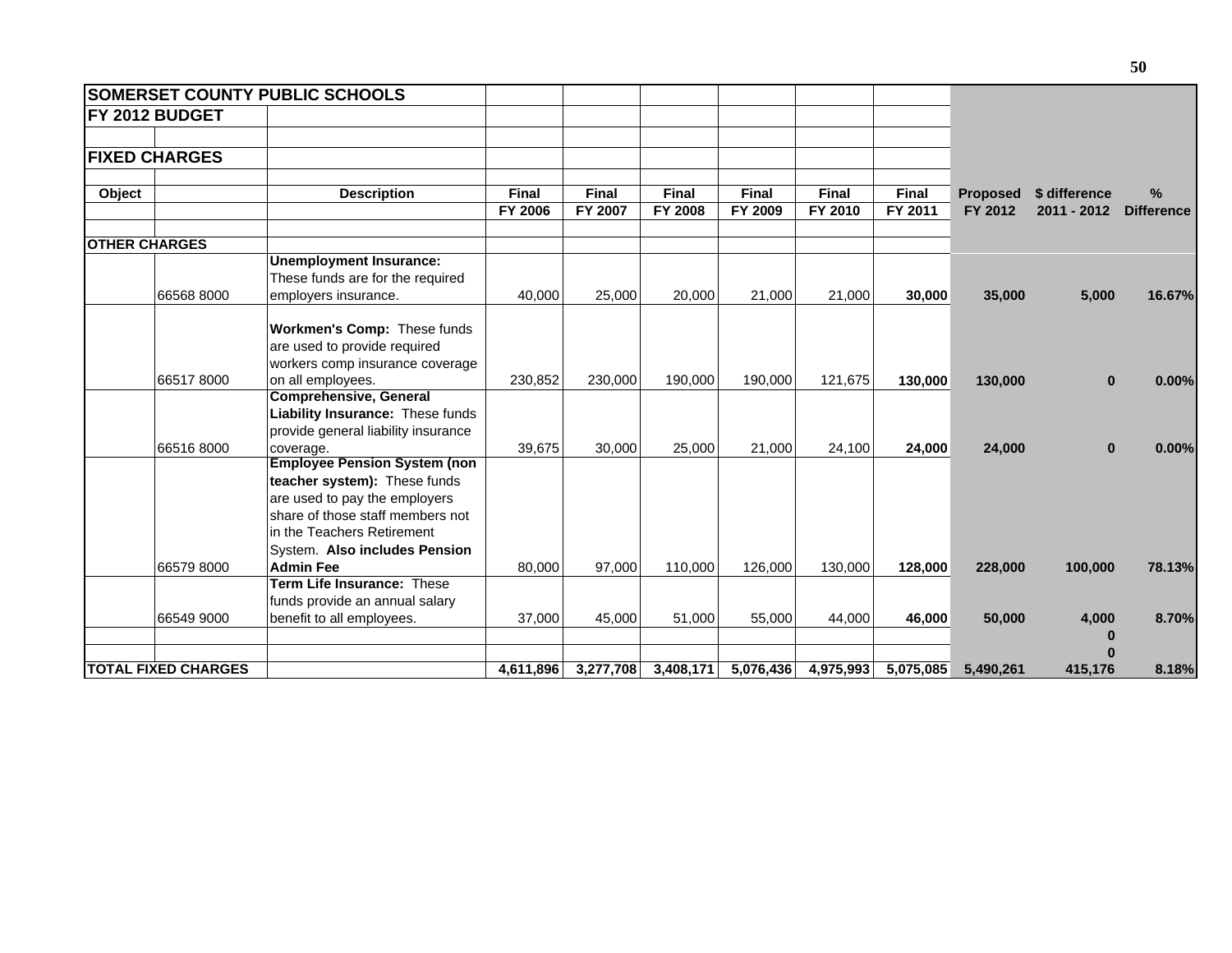|                      |                            | <b>SOMERSET COUNTY PUBLIC SCHOOLS</b>                                                                                                                                                                   |              |           |              |           |           |           |                 |               |                   |
|----------------------|----------------------------|---------------------------------------------------------------------------------------------------------------------------------------------------------------------------------------------------------|--------------|-----------|--------------|-----------|-----------|-----------|-----------------|---------------|-------------------|
|                      | <b>FY 2012 BUDGET</b>      |                                                                                                                                                                                                         |              |           |              |           |           |           |                 |               |                   |
|                      | <b>FIXED CHARGES</b>       |                                                                                                                                                                                                         |              |           |              |           |           |           |                 |               |                   |
| Object               |                            | <b>Description</b>                                                                                                                                                                                      | <b>Final</b> | Final     | <b>Final</b> | Final     | Final     | Final     | <b>Proposed</b> | \$ difference | $\%$              |
|                      |                            |                                                                                                                                                                                                         | FY 2006      | FY 2007   | FY 2008      | FY 2009   | FY 2010   | FY 2011   | FY 2012         | 2011 - 2012   | <b>Difference</b> |
| <b>OTHER CHARGES</b> |                            |                                                                                                                                                                                                         |              |           |              |           |           |           |                 |               |                   |
|                      |                            | <b>Unemployment Insurance:</b><br>These funds are for the required                                                                                                                                      |              |           |              |           |           |           |                 |               |                   |
|                      | 66568 8000                 | employers insurance.                                                                                                                                                                                    | 40,000       | 25,000    | 20,000       | 21,000    | 21,000    | 30,000    | 35,000          | 5,000         | 16.67%            |
|                      |                            | Workmen's Comp: These funds<br>are used to provide required<br>workers comp insurance coverage                                                                                                          |              |           |              |           |           |           |                 |               |                   |
|                      | 665178000                  | on all employees.                                                                                                                                                                                       | 230,852      | 230,000   | 190,000      | 190,000   | 121,675   | 130,000   | 130,000         | $\bf{0}$      | 0.00%             |
|                      |                            | <b>Comprehensive, General</b><br>Liability Insurance: These funds<br>provide general liability insurance                                                                                                |              |           |              |           |           |           |                 |               |                   |
|                      | 665168000                  | coverage.                                                                                                                                                                                               | 39,675       | 30.000    | 25,000       | 21,000    | 24,100    | 24,000    | 24,000          | $\bf{0}$      | 0.00%             |
|                      |                            | <b>Employee Pension System (non</b><br>teacher system): These funds<br>are used to pay the employers<br>share of those staff members not<br>in the Teachers Retirement<br>System. Also includes Pension |              |           |              |           |           |           |                 |               |                   |
|                      | 66579 8000                 | <b>Admin Fee</b>                                                                                                                                                                                        | 80,000       | 97,000    | 110,000      | 126,000   | 130,000   | 128,000   | 228,000         | 100,000       | 78.13%            |
|                      |                            | Term Life Insurance: These<br>funds provide an annual salary                                                                                                                                            |              |           |              |           |           |           |                 |               |                   |
|                      | 66549 9000                 | benefit to all employees.                                                                                                                                                                               | 37,000       | 45,000    | 51,000       | 55,000    | 44,000    | 46,000    | 50,000          | 4,000<br>0    | 8.70%             |
|                      | <b>TOTAL FIXED CHARGES</b> |                                                                                                                                                                                                         | 4,611,896    | 3,277,708 | 3,408,171    | 5,076,436 | 4,975,993 | 5,075,085 | 5,490,261       | Λ<br>415,176  | 8.18%             |